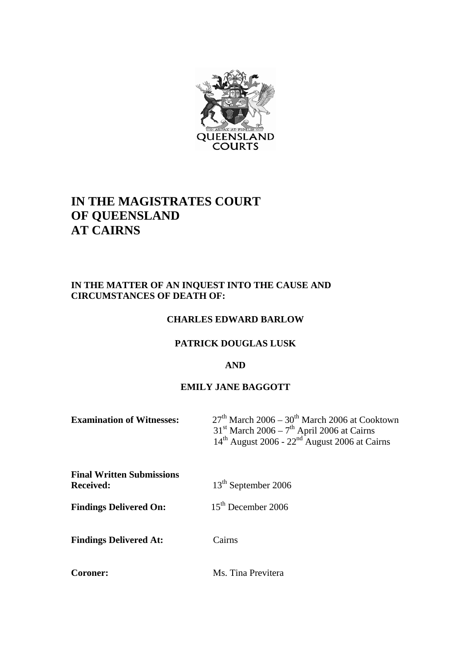

# **IN THE MAGISTRATES COURT OF QUEENSLAND AT CAIRNS**

# **IN THE MATTER OF AN INQUEST INTO THE CAUSE AND CIRCUMSTANCES OF DEATH OF:**

#### **CHARLES EDWARD BARLOW**

#### **PATRICK DOUGLAS LUSK**

#### **AND**

# **EMILY JANE BAGGOTT**

| <b>Examination of Witnesses:</b>                     | $27th$ March 2006 – 30 <sup>th</sup> March 2006 at Cooktown<br>$31st$ March 2006 – 7 <sup>th</sup> April 2006 at Cairns<br>$14th$ August 2006 - 22 <sup>nd</sup> August 2006 at Cairns |
|------------------------------------------------------|----------------------------------------------------------------------------------------------------------------------------------------------------------------------------------------|
| <b>Final Written Submissions</b><br><b>Received:</b> | 13 <sup>th</sup> September 2006                                                                                                                                                        |
| <b>Findings Delivered On:</b>                        | $15th$ December 2006                                                                                                                                                                   |
| <b>Findings Delivered At:</b>                        | Cairns                                                                                                                                                                                 |
| Coroner:                                             | Ms. Tina Previtera                                                                                                                                                                     |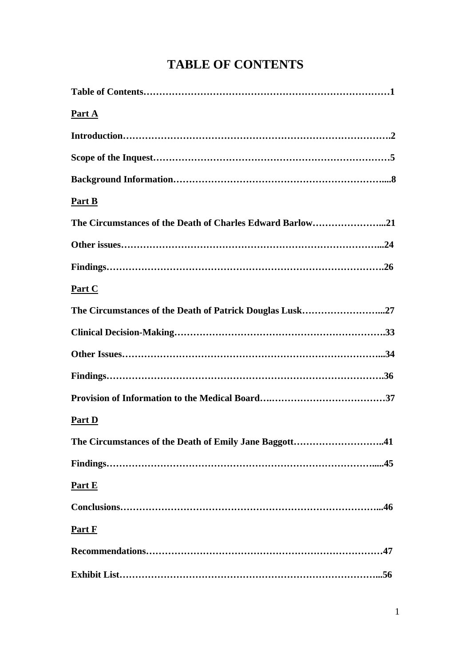# **TABLE OF CONTENTS**

| <u>Part A</u>                                            |
|----------------------------------------------------------|
|                                                          |
|                                                          |
|                                                          |
| Part B                                                   |
|                                                          |
|                                                          |
|                                                          |
| Part C                                                   |
| The Circumstances of the Death of Patrick Douglas Lusk27 |
|                                                          |
|                                                          |
|                                                          |
|                                                          |
| <b>Part D</b>                                            |
| The Circumstances of the Death of Emily Jane Baggott41   |
|                                                          |
| Part E                                                   |
|                                                          |
| Part F                                                   |
|                                                          |
|                                                          |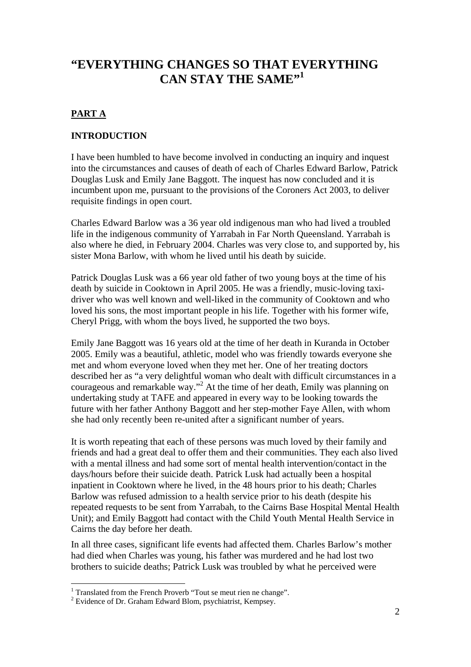# **"EVERYTHING CHANGES SO THAT EVERYTHING CAN STAY THE SAME"1**

# **PART A**

#### **INTRODUCTION**

I have been humbled to have become involved in conducting an inquiry and inquest into the circumstances and causes of death of each of Charles Edward Barlow, Patrick Douglas Lusk and Emily Jane Baggott. The inquest has now concluded and it is incumbent upon me, pursuant to the provisions of the Coroners Act 2003, to deliver requisite findings in open court.

Charles Edward Barlow was a 36 year old indigenous man who had lived a troubled life in the indigenous community of Yarrabah in Far North Queensland. Yarrabah is also where he died, in February 2004. Charles was very close to, and supported by, his sister Mona Barlow, with whom he lived until his death by suicide.

Patrick Douglas Lusk was a 66 year old father of two young boys at the time of his death by suicide in Cooktown in April 2005. He was a friendly, music-loving taxidriver who was well known and well-liked in the community of Cooktown and who loved his sons, the most important people in his life. Together with his former wife, Cheryl Prigg, with whom the boys lived, he supported the two boys.

Emily Jane Baggott was 16 years old at the time of her death in Kuranda in October 2005. Emily was a beautiful, athletic, model who was friendly towards everyone she met and whom everyone loved when they met her. One of her treating doctors described her as "a very delightful woman who dealt with difficult circumstances in a courageous and remarkable way."<sup>2</sup> At the time of her death, Emily was planning on undertaking study at TAFE and appeared in every way to be looking towards the future with her father Anthony Baggott and her step-mother Faye Allen, with whom she had only recently been re-united after a significant number of years.

It is worth repeating that each of these persons was much loved by their family and friends and had a great deal to offer them and their communities. They each also lived with a mental illness and had some sort of mental health intervention/contact in the days/hours before their suicide death. Patrick Lusk had actually been a hospital inpatient in Cooktown where he lived, in the 48 hours prior to his death; Charles Barlow was refused admission to a health service prior to his death (despite his repeated requests to be sent from Yarrabah, to the Cairns Base Hospital Mental Health Unit); and Emily Baggott had contact with the Child Youth Mental Health Service in Cairns the day before her death.

In all three cases, significant life events had affected them. Charles Barlow's mother had died when Charles was young, his father was murdered and he had lost two brothers to suicide deaths; Patrick Lusk was troubled by what he perceived were

<sup>&</sup>lt;sup>1</sup> Translated from the French Proverb "Tout se meut rien ne change".<br><sup>2</sup> Evidence of Dr. Graham Edward Plam, povehiatrist, Kampeav

 $2$  Evidence of Dr. Graham Edward Blom, psychiatrist, Kempsey.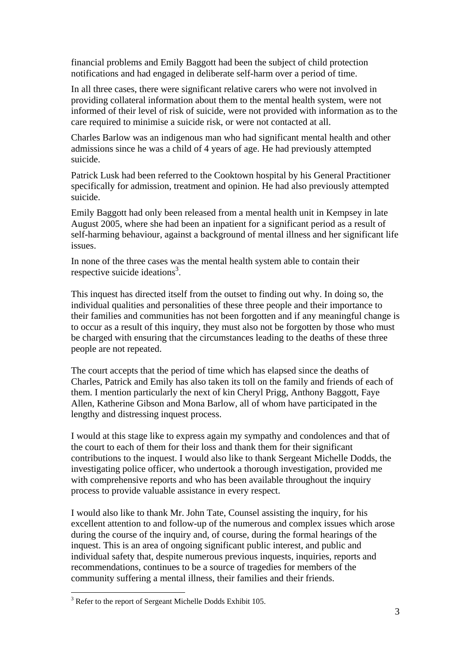financial problems and Emily Baggott had been the subject of child protection notifications and had engaged in deliberate self-harm over a period of time.

In all three cases, there were significant relative carers who were not involved in providing collateral information about them to the mental health system, were not informed of their level of risk of suicide, were not provided with information as to the care required to minimise a suicide risk, or were not contacted at all.

Charles Barlow was an indigenous man who had significant mental health and other admissions since he was a child of 4 years of age. He had previously attempted suicide.

Patrick Lusk had been referred to the Cooktown hospital by his General Practitioner specifically for admission, treatment and opinion. He had also previously attempted suicide.

Emily Baggott had only been released from a mental health unit in Kempsey in late August 2005, where she had been an inpatient for a significant period as a result of self-harming behaviour, against a background of mental illness and her significant life issues.

In none of the three cases was the mental health system able to contain their respective suicide ideations<sup>3</sup>.

This inquest has directed itself from the outset to finding out why. In doing so, the individual qualities and personalities of these three people and their importance to their families and communities has not been forgotten and if any meaningful change is to occur as a result of this inquiry, they must also not be forgotten by those who must be charged with ensuring that the circumstances leading to the deaths of these three people are not repeated.

The court accepts that the period of time which has elapsed since the deaths of Charles, Patrick and Emily has also taken its toll on the family and friends of each of them. I mention particularly the next of kin Cheryl Prigg, Anthony Baggott, Faye Allen, Katherine Gibson and Mona Barlow, all of whom have participated in the lengthy and distressing inquest process.

I would at this stage like to express again my sympathy and condolences and that of the court to each of them for their loss and thank them for their significant contributions to the inquest. I would also like to thank Sergeant Michelle Dodds, the investigating police officer, who undertook a thorough investigation, provided me with comprehensive reports and who has been available throughout the inquiry process to provide valuable assistance in every respect.

I would also like to thank Mr. John Tate, Counsel assisting the inquiry, for his excellent attention to and follow-up of the numerous and complex issues which arose during the course of the inquiry and, of course, during the formal hearings of the inquest. This is an area of ongoing significant public interest, and public and individual safety that, despite numerous previous inquests, inquiries, reports and recommendations, continues to be a source of tragedies for members of the community suffering a mental illness, their families and their friends.

<sup>&</sup>lt;sup>3</sup> Refer to the report of Sergeant Michelle Dodds Exhibit 105.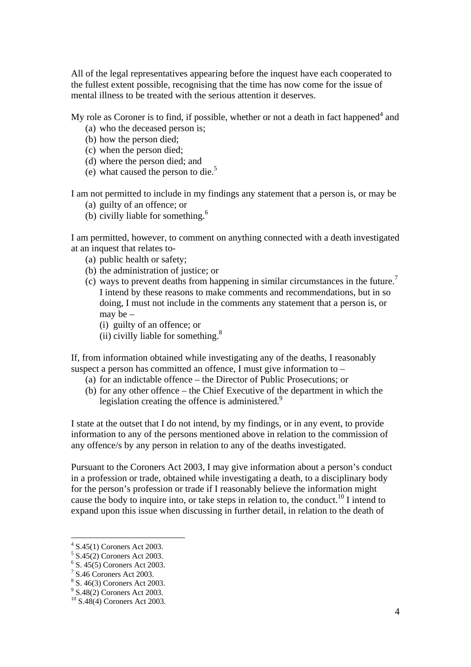All of the legal representatives appearing before the inquest have each cooperated to the fullest extent possible, recognising that the time has now come for the issue of mental illness to be treated with the serious attention it deserves.

My role as Coroner is to find, if possible, whether or not a death in fact happened $4$  and

- (a) who the deceased person is;
- (b) how the person died;
- (c) when the person died;
- (d) where the person died; and
- (e) what caused the person to die.<sup>5</sup>

I am not permitted to include in my findings any statement that a person is, or may be

- (a) guilty of an offence; or
- (b) civilly liable for something. $<sup>6</sup>$ </sup>

I am permitted, however, to comment on anything connected with a death investigated at an inquest that relates to-

- (a) public health or safety;
- (b) the administration of justice; or
- (c) ways to prevent deaths from happening in similar circumstances in the future.<sup>7</sup> I intend by these reasons to make comments and recommendations, but in so doing, I must not include in the comments any statement that a person is, or may be –
	- (i) guilty of an offence; or
	- (ii) civilly liable for something. $8$

If, from information obtained while investigating any of the deaths, I reasonably suspect a person has committed an offence, I must give information to –

- (a) for an indictable offence the Director of Public Prosecutions; or
- (b) for any other offence the Chief Executive of the department in which the legislation creating the offence is administered.<sup>9</sup>

I state at the outset that I do not intend, by my findings, or in any event, to provide information to any of the persons mentioned above in relation to the commission of any offence/s by any person in relation to any of the deaths investigated.

Pursuant to the Coroners Act 2003, I may give information about a person's conduct in a profession or trade, obtained while investigating a death, to a disciplinary body for the person's profession or trade if I reasonably believe the information might cause the body to inquire into, or take steps in relation to, the conduct.<sup>10</sup> I intend to expand upon this issue when discussing in further detail, in relation to the death of

<sup>4</sup> S.45(1) Coroners Act 2003.

<sup>5</sup> S.45(2) Coroners Act 2003.

<sup>6</sup> S. 45(5) Coroners Act 2003.

 $7$  S.46 Coroners Act 2003.

<sup>8</sup> S. 46(3) Coroners Act 2003.

<sup>&</sup>lt;sup>9</sup> S.48(2) Coroners Act 2003.

<sup>10</sup> S.48(4) Coroners Act 2003.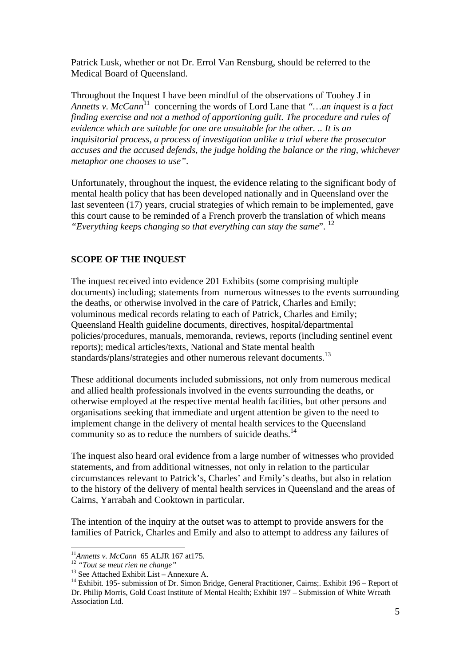Patrick Lusk, whether or not Dr. Errol Van Rensburg, should be referred to the Medical Board of Queensland.

Throughout the Inquest I have been mindful of the observations of Toohey J in *Annetts v. McCann*<sup>11</sup> concerning the words of Lord Lane that "...an inquest is a fact *finding exercise and not a method of apportioning guilt. The procedure and rules of evidence which are suitable for one are unsuitable for the other. .. It is an inquisitorial process, a process of investigation unlike a trial where the prosecutor accuses and the accused defends, the judge holding the balance or the ring, whichever metaphor one chooses to use"*.

Unfortunately, throughout the inquest, the evidence relating to the significant body of mental health policy that has been developed nationally and in Queensland over the last seventeen (17) years, crucial strategies of which remain to be implemented, gave this court cause to be reminded of a French proverb the translation of which means *"Everything keeps changing so that everything can stay the same*". 12

#### **SCOPE OF THE INQUEST**

The inquest received into evidence 201 Exhibits (some comprising multiple documents) including; statements from numerous witnesses to the events surrounding the deaths, or otherwise involved in the care of Patrick, Charles and Emily; voluminous medical records relating to each of Patrick, Charles and Emily; Queensland Health guideline documents, directives, hospital/departmental policies/procedures, manuals, memoranda, reviews, reports (including sentinel event reports); medical articles/texts, National and State mental health standards/plans/strategies and other numerous relevant documents.<sup>13</sup>

These additional documents included submissions, not only from numerous medical and allied health professionals involved in the events surrounding the deaths, or otherwise employed at the respective mental health facilities, but other persons and organisations seeking that immediate and urgent attention be given to the need to implement change in the delivery of mental health services to the Queensland community so as to reduce the numbers of suicide deaths.<sup>14</sup>

The inquest also heard oral evidence from a large number of witnesses who provided statements, and from additional witnesses, not only in relation to the particular circumstances relevant to Patrick's, Charles' and Emily's deaths, but also in relation to the history of the delivery of mental health services in Queensland and the areas of Cairns, Yarrabah and Cooktown in particular.

The intention of the inquiry at the outset was to attempt to provide answers for the families of Patrick, Charles and Emily and also to attempt to address any failures of

<sup>&</sup>lt;sup>11</sup>Annetts v. McCann 65 ALJR 167 at 175.<br><sup>12</sup> "Tout se meut rien ne change"<br><sup>13</sup> See Attached Exhibit List – Annexure A.<br><sup>14</sup> Exhibit. 195- submission of Dr. Simon Bridge, General Practitioner, Cairns;. Exhibit 196 – Rep Dr. Philip Morris, Gold Coast Institute of Mental Health; Exhibit 197 – Submission of White Wreath Association Ltd.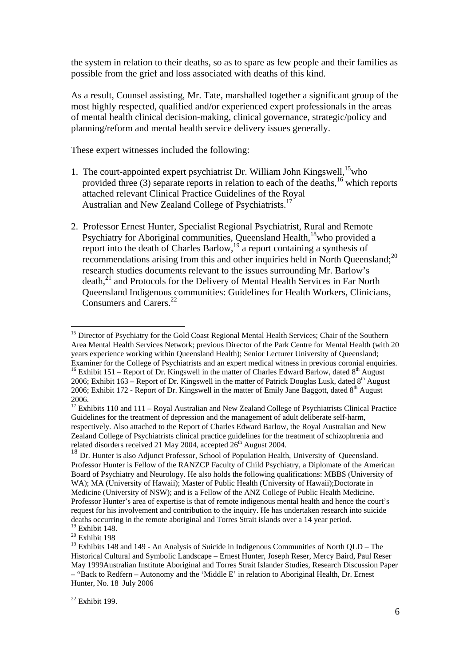the system in relation to their deaths, so as to spare as few people and their families as possible from the grief and loss associated with deaths of this kind.

As a result, Counsel assisting, Mr. Tate, marshalled together a significant group of the most highly respected, qualified and/or experienced expert professionals in the areas of mental health clinical decision-making, clinical governance, strategic/policy and planning/reform and mental health service delivery issues generally.

These expert witnesses included the following:

- 1. The court-appointed expert psychiatrist Dr. William John Kingswell,  $15$  who provided three (3) separate reports in relation to each of the deaths,<sup>16</sup> which reports attached relevant Clinical Practice Guidelines of the Royal Australian and New Zealand College of Psychiatrists.<sup>17</sup>
- 2. Professor Ernest Hunter, Specialist Regional Psychiatrist, Rural and Remote Psychiatry for Aboriginal communities, Queensland Health,<sup>18</sup>who provided a report into the death of Charles Barlow, $19$  a report containing a synthesis of recommendations arising from this and other inquiries held in North Queensland;<sup>20</sup> research studies documents relevant to the issues surrounding Mr. Barlow's death,<sup>21</sup> and Protocols for the Delivery of Mental Health Services in Far North Queensland Indigenous communities: Guidelines for Health Workers, Clinicians, Consumers and Carers.<sup>22</sup>

<sup>&</sup>lt;sup>15</sup> Director of Psychiatry for the Gold Coast Regional Mental Health Services; Chair of the Southern Area Mental Health Services Network; previous Director of the Park Centre for Mental Health (with 20 years experience working within Queensland Health); Senior Lecturer University of Queensland; Examiner for the College of Psychiatrists and an expert medical witness in previous coronial enquiries. <sup>16</sup> Exhibit 151 – Report of Dr. Kingswell in the matter of Charles Edward Barlow, dated  $8<sup>th</sup>$  August 2006; Exhibit 163 – Report of Dr. Kingswell in the matter of Patrick Douglas Lusk, dated  $8<sup>th</sup>$  August 2006; Exhibit 172 - Report of Dr. Kingswell in the matter of Emily Jane Baggott, dated  $8<sup>th</sup>$  August 2006.

<sup>&</sup>lt;sup>17</sup> Exhibits 110 and 111 – Royal Australian and New Zealand College of Psychiatrists Clinical Practice Guidelines for the treatment of depression and the management of adult deliberate self-harm, respectively. Also attached to the Report of Charles Edward Barlow, the Royal Australian and New Zealand College of Psychiatrists clinical practice guidelines for the treatment of schizophrenia and related disorders received 21 May 2004, accepted 26<sup>th</sup> August 2004.

<sup>&</sup>lt;sup>18</sup> Dr. Hunter is also Adjunct Professor, School of Population Health, University of Queensland. Professor Hunter is Fellow of the RANZCP Faculty of Child Psychiatry, a Diplomate of the American Board of Psychiatry and Neurology. He also holds the following qualifications: MBBS (University of WA); MA (University of Hawaii); Master of Public Health (University of Hawaii); Doctorate in Medicine (University of NSW); and is a Fellow of the ANZ College of Public Health Medicine. Professor Hunter's area of expertise is that of remote indigenous mental health and hence the court's request for his involvement and contribution to the inquiry. He has undertaken research into suicide deaths occurring in the remote aboriginal and Torres Strait islands over a 14 year period. 19 Exhibit 148.

<sup>&</sup>lt;sup>20</sup> Exhibit 198

<sup>&</sup>lt;sup>19</sup> Exhibits 148 and 149 - An Analysis of Suicide in Indigenous Communities of North QLD – The Historical Cultural and Symbolic Landscape – Ernest Hunter, Joseph Reser, Mercy Baird, Paul Reser May 1999Australian Institute Aboriginal and Torres Strait Islander Studies, Research Discussion Paper – "Back to Redfern – Autonomy and the 'Middle E' in relation to Aboriginal Health, Dr. Ernest Hunter, No. 18 July 2006

 $22$  Exhibit 199.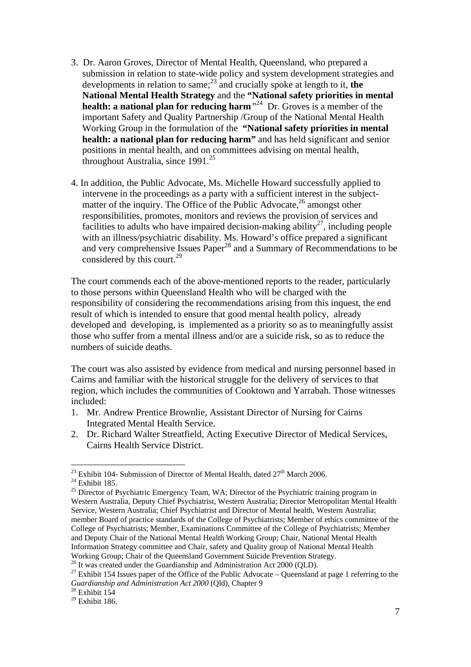- 3. Dr. Aaron Groves, Director of Mental Health, Queensland, who prepared a submission in relation to state-wide policy and system development strategies and developments in relation to same; $^{23}$  and crucially spoke at length to it, the **National Mental Health Strategy** and the **"National safety priorities in mental health: a national plan for reducing harm***"*24 Dr. Groves is a member of the important Safety and Quality Partnership /Group of the National Mental Health Working Group in the formulation of the **"National safety priorities in mental health: a national plan for reducing harm"** and has held significant and senior positions in mental health, and on committees advising on mental health, throughout Australia, since 1991.<sup>25</sup>
- 4. In addition, the Public Advocate, Ms. Michelle Howard successfully applied to intervene in the proceedings as a party with a sufficient interest in the subjectmatter of the inquiry. The Office of the Public Advocate, $^{26}$  amongst other responsibilities, promotes, monitors and reviews the provision of services and facilities to adults who have impaired decision-making ability<sup>27</sup>, including people with an illness/psychiatric disability. Ms. Howard's office prepared a significant and very comprehensive Issues Paper<sup>28</sup> and a Summary of Recommendations to be considered by this court. $^{29}$

The court commends each of the above-mentioned reports to the reader, particularly to those persons within Queensland Health who will be charged with the responsibility of considering the recommendations arising from this inquest, the end result of which is intended to ensure that good mental health policy, already developed and developing, is implemented as a priority so as to meaningfully assist those who suffer from a mental illness and/or are a suicide risk, so as to reduce the numbers of suicide deaths.

The court was also assisted by evidence from medical and nursing personnel based in Cairns and familiar with the historical struggle for the delivery of services to that region, which includes the communities of Cooktown and Yarrabah. Those witnesses included:

- 1. Mr. Andrew Prentice Brownlie, Assistant Director of Nursing for Cairns Integrated Mental Health Service.
- 2. Dr. Richard Walter Streatfield, Acting Executive Director of Medical Services, Cairns Health Service District.

<sup>&</sup>lt;sup>23</sup> Exhibit 104- Submission of Director of Mental Health, dated  $27<sup>th</sup>$  March 2006.<br><sup>24</sup> Exhibit 185.

<sup>&</sup>lt;sup>25</sup> Director of Psychiatric Emergency Team, WA; Director of the Psychiatric training program in Western Australia, Deputy Chief Psychiatrist, Western Australia; Director Metropolitan Mental Health Service, Western Australia; Chief Psychiatrist and Director of Mental health, Western Australia; member Board of practice standards of the College of Psychiatrists; Member of ethics committee of the College of Psychiatrists; Member, Examinations Committee of the College of Psychiatrists; Member and Deputy Chair of the National Mental Health Working Group; Chair, National Mental Health Information Strategy committee and Chair, safety and Quality group of National Mental Health Working Group; Chair of the Queensland Government Suicide Prevention Strategy.

<sup>&</sup>lt;sup>26</sup> It was created under the Guardianship and Administration Act 2000 (QLD).

<sup>&</sup>lt;sup>27</sup> Exhibit 154 Issues paper of the Office of the Public Advocate – Queensland at page 1 referring to the *Guardianship and Administration Act 2000* (Qld), Chapter 9

<sup>&</sup>lt;sup>28</sup> Exhibit 154<br><sup>29</sup> Exhibit 186.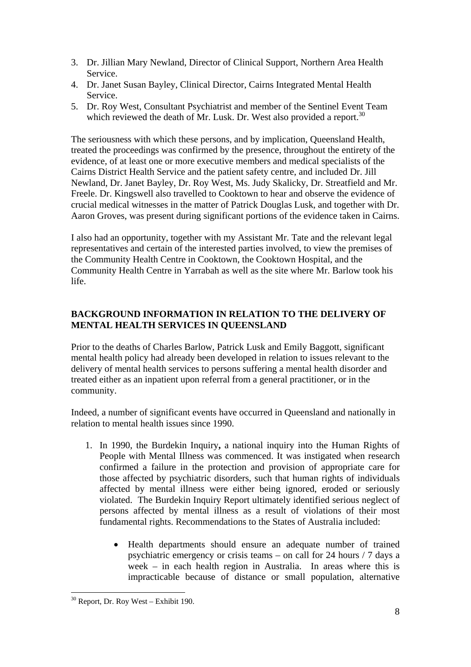- 3. Dr. Jillian Mary Newland, Director of Clinical Support, Northern Area Health Service.
- 4. Dr. Janet Susan Bayley, Clinical Director, Cairns Integrated Mental Health Service.
- 5. Dr. Roy West, Consultant Psychiatrist and member of the Sentinel Event Team which reviewed the death of Mr. Lusk. Dr. West also provided a report.<sup>30</sup>

The seriousness with which these persons, and by implication, Queensland Health, treated the proceedings was confirmed by the presence, throughout the entirety of the evidence, of at least one or more executive members and medical specialists of the Cairns District Health Service and the patient safety centre, and included Dr. Jill Newland, Dr. Janet Bayley, Dr. Roy West, Ms. Judy Skalicky, Dr. Streatfield and Mr. Freele. Dr. Kingswell also travelled to Cooktown to hear and observe the evidence of crucial medical witnesses in the matter of Patrick Douglas Lusk, and together with Dr. Aaron Groves, was present during significant portions of the evidence taken in Cairns.

I also had an opportunity, together with my Assistant Mr. Tate and the relevant legal representatives and certain of the interested parties involved, to view the premises of the Community Health Centre in Cooktown, the Cooktown Hospital, and the Community Health Centre in Yarrabah as well as the site where Mr. Barlow took his life.

## **BACKGROUND INFORMATION IN RELATION TO THE DELIVERY OF MENTAL HEALTH SERVICES IN QUEENSLAND**

Prior to the deaths of Charles Barlow, Patrick Lusk and Emily Baggott, significant mental health policy had already been developed in relation to issues relevant to the delivery of mental health services to persons suffering a mental health disorder and treated either as an inpatient upon referral from a general practitioner, or in the community.

Indeed, a number of significant events have occurred in Queensland and nationally in relation to mental health issues since 1990.

- 1. In 1990, the Burdekin Inquiry**,** a national inquiry into the Human Rights of People with Mental Illness was commenced. It was instigated when research confirmed a failure in the protection and provision of appropriate care for those affected by psychiatric disorders, such that human rights of individuals affected by mental illness were either being ignored, eroded or seriously violated. The Burdekin Inquiry Report ultimately identified serious neglect of persons affected by mental illness as a result of violations of their most fundamental rights. Recommendations to the States of Australia included:
	- Health departments should ensure an adequate number of trained psychiatric emergency or crisis teams – on call for 24 hours / 7 days a week – in each health region in Australia. In areas where this is impracticable because of distance or small population, alternative

 $\overline{a}$  $30$  Report, Dr. Roy West – Exhibit 190.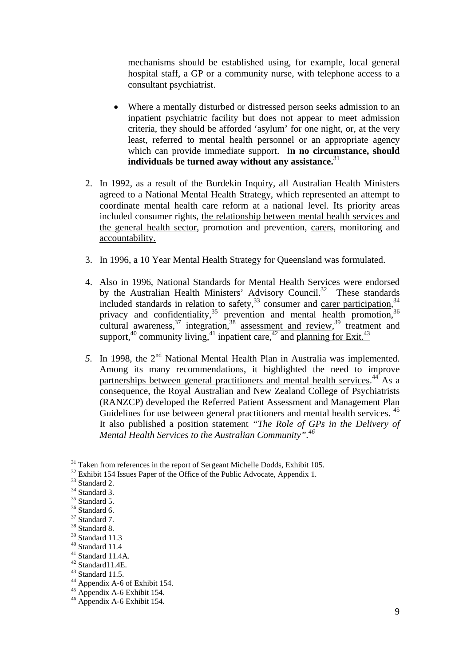mechanisms should be established using, for example, local general hospital staff, a GP or a community nurse, with telephone access to a consultant psychiatrist.

- Where a mentally disturbed or distressed person seeks admission to an inpatient psychiatric facility but does not appear to meet admission criteria, they should be afforded 'asylum' for one night, or, at the very least, referred to mental health personnel or an appropriate agency which can provide immediate support. I**n no circumstance, should individuals be turned away without any assistance.**<sup>31</sup>
- 2. In 1992, as a result of the Burdekin Inquiry, all Australian Health Ministers agreed to a National Mental Health Strategy, which represented an attempt to coordinate mental health care reform at a national level. Its priority areas included consumer rights, the relationship between mental health services and the general health sector, promotion and prevention, carers, monitoring and accountability.
- 3. In 1996, a 10 Year Mental Health Strategy for Queensland was formulated.
- 4. Also in 1996, National Standards for Mental Health Services were endorsed by the Australian Health Ministers' Advisory Council.<sup>32</sup> These standards included standards in relation to safety,  $33$  consumer and carer participation,  $34$ privacy and confidentiality,<sup>35</sup> prevention and mental health promotion,<sup>36</sup> cultural awareness,  $37$  integration,  $38$  assessment and review,  $39$  treatment and support,<sup>40</sup> community living,<sup>41</sup> inpatient care,<sup>42</sup> and planning for Exit.<sup>43</sup>
- 5. In 1998, the 2<sup>nd</sup> National Mental Health Plan in Australia was implemented. Among its many recommendations, it highlighted the need to improve partnerships between general practitioners and mental health services.<sup>44</sup> As a consequence, the Royal Australian and New Zealand College of Psychiatrists (RANZCP) developed the Referred Patient Assessment and Management Plan Guidelines for use between general practitioners and mental health services.<sup>45</sup> It also published a position statement *"The Role of GPs in the Delivery of Mental Health Services to the Australian Community".46*

 $31$  Taken from references in the report of Sergeant Michelle Dodds, Exhibit 105.

<sup>&</sup>lt;sup>32</sup> Exhibit 154 Issues Paper of the Office of the Public Advocate, Appendix 1.

<sup>&</sup>lt;sup>33</sup> Standard 2.

 $34$  Standard 3.

 $^{35}$  Standard 5.

<sup>&</sup>lt;sup>36</sup> Standard 6.

 $37 \text{ Standard } 7$ .

 $^{38}$  Standard 8.

 $39$  Standard 11.3

 $40$  Standard 11.4

<sup>41</sup> Standard 11.4A.

 $42$  Standard11.4E.

 $43$  Standard 11.5.

<sup>44</sup> Appendix A-6 of Exhibit 154.

 $45$  Appendix A-6 Exhibit 154.

<sup>46</sup> Appendix A-6 Exhibit 154.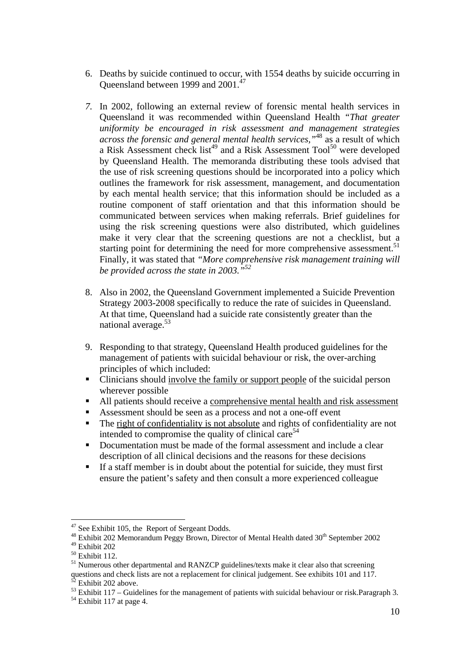- 6. Deaths by suicide continued to occur, with 1554 deaths by suicide occurring in Queensland between 1999 and 2001.47
- *7.* In 2002, following an external review of forensic mental health services in Queensland it was recommended within Queensland Health *"That greater uniformity be encouraged in risk assessment and management strategies across the forensic and general mental health services,"*48 as a result of which a Risk Assessment check list<sup>49</sup> and a Risk Assessment Tool<sup>50</sup> were developed by Queensland Health. The memoranda distributing these tools advised that the use of risk screening questions should be incorporated into a policy which outlines the framework for risk assessment, management, and documentation by each mental health service; that this information should be included as a routine component of staff orientation and that this information should be communicated between services when making referrals. Brief guidelines for using the risk screening questions were also distributed, which guidelines make it very clear that the screening questions are not a checklist, but a starting point for determining the need for more comprehensive assessment.<sup>51</sup> Finally, it was stated that *"More comprehensive risk management training will be provided across the state in 2003."52*
- 8. Also in 2002, the Queensland Government implemented a Suicide Prevention Strategy 2003-2008 specifically to reduce the rate of suicides in Queensland. At that time, Queensland had a suicide rate consistently greater than the national average.<sup>53</sup>
- 9. Responding to that strategy, Queensland Health produced guidelines for the management of patients with suicidal behaviour or risk, the over-arching principles of which included:
- Clinicians should involve the family or support people of the suicidal person wherever possible
- All patients should receive a comprehensive mental health and risk assessment
- Assessment should be seen as a process and not a one-off event
- The right of confidentiality is not absolute and rights of confidentiality are not intended to compromise the quality of clinical care<sup>54</sup>
- Documentation must be made of the formal assessment and include a clear description of all clinical decisions and the reasons for these decisions
- If a staff member is in doubt about the potential for suicide, they must first ensure the patient's safety and then consult a more experienced colleague

<sup>&</sup>lt;sup>47</sup> See Exhibit 105, the Report of Sergeant Dodds.

 $48$  Exhibit 202 Memorandum Peggy Brown, Director of Mental Health dated  $30<sup>th</sup>$  September 2002  $49$  Exhibit 202

 $50$  Exhibit 112.

<sup>&</sup>lt;sup>51</sup> Numerous other departmental and RANZCP guidelines/texts make it clear also that screening questions and check lists are not a replacement for clinical judgement. See exhibits 101 and 117. <sup>52</sup> Exhibit 202 above.

<sup>53</sup> Exhibit 117 – Guidelines for the management of patients with suicidal behaviour or risk.Paragraph 3.

 $54$  Exhibit 117 at page 4.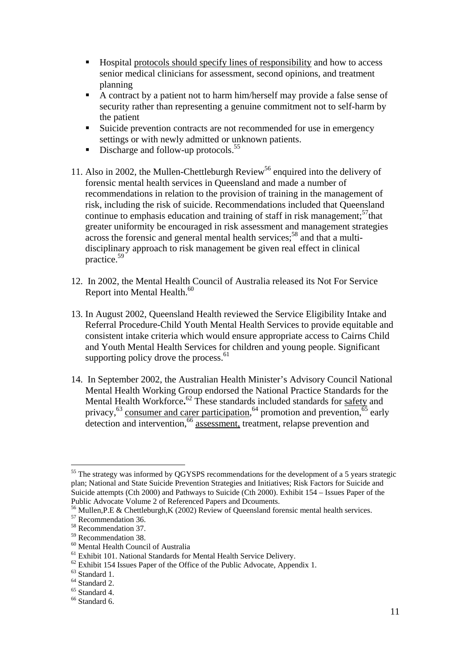- Hospital protocols should specify lines of responsibility and how to access senior medical clinicians for assessment, second opinions, and treatment planning
- A contract by a patient not to harm him/herself may provide a false sense of security rather than representing a genuine commitment not to self-harm by the patient
- Suicide prevention contracts are not recommended for use in emergency settings or with newly admitted or unknown patients.
- Discharge and follow-up protocols.<sup>55</sup>
- 11. Also in 2002, the Mullen-Chettleburgh Review<sup>56</sup> enquired into the delivery of forensic mental health services in Queensland and made a number of recommendations in relation to the provision of training in the management of risk, including the risk of suicide. Recommendations included that Queensland continue to emphasis education and training of staff in risk management; $57$ that greater uniformity be encouraged in risk assessment and management strategies across the forensic and general mental health services;<sup>58</sup> and that a multidisciplinary approach to risk management be given real effect in clinical practice.59
- 12. In 2002, the Mental Health Council of Australia released its Not For Service Report into Mental Health.<sup>60</sup>
- 13. In August 2002, Queensland Health reviewed the Service Eligibility Intake and Referral Procedure-Child Youth Mental Health Services to provide equitable and consistent intake criteria which would ensure appropriate access to Cairns Child and Youth Mental Health Services for children and young people. Significant supporting policy drove the process. $61$
- 14. In September 2002, the Australian Health Minister's Advisory Council National Mental Health Working Group endorsed the National Practice Standards for the Mental Health Workforce.<sup>62</sup> These standards included standards for safety and privacy,  $^{63}$  consumer and carer participation,  $^{64}$  promotion and prevention,  $^{65}$  early  $\frac{1}{\text{detection}}$  and intervention,  $\frac{66}{\text{dases}}$  assessment, treatment, relapse prevention and

<sup>&</sup>lt;sup>55</sup> The strategy was informed by QGYSPS recommendations for the development of a 5 years strategic plan; National and State Suicide Prevention Strategies and Initiatives; Risk Factors for Suicide and Suicide attempts (Cth 2000) and Pathways to Suicide (Cth 2000). Exhibit 154 – Issues Paper of the Public Advocate Volume 2 of Referenced Papers and Dcouments.

<sup>&</sup>lt;sup>56</sup> Mullen,P.E & Chettleburgh,K (2002) Review of Queensland forensic mental health services.<br><sup>57</sup> Recommendation 36.

<sup>58</sup> Recommendation 37.

<sup>59</sup> Recommendation 38.

<sup>60</sup> Mental Health Council of Australia

<sup>&</sup>lt;sup>61</sup> Exhibit 101. National Standards for Mental Health Service Delivery.

 $62$  Exhibit 154 Issues Paper of the Office of the Public Advocate, Appendix 1.

 $63$  Standard 1.

<sup>64</sup> Standard 2.

 $65$  Standard 4.

<sup>&</sup>lt;sup>66</sup> Standard 6.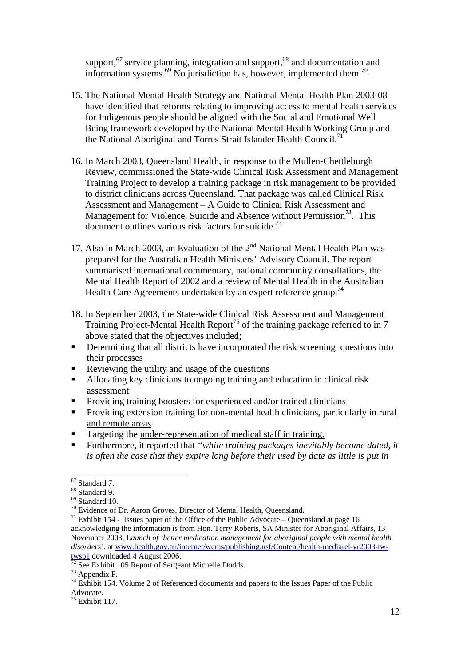support,<sup>67</sup> service planning, integration and support,<sup>68</sup> and documentation and information systems. $^{69}$  No jurisdiction has, however, implemented them.<sup>70</sup>

- 15. The National Mental Health Strategy and National Mental Health Plan 2003-08 have identified that reforms relating to improving access to mental health services for Indigenous people should be aligned with the Social and Emotional Well Being framework developed by the National Mental Health Working Group and the National Aboriginal and Torres Strait Islander Health Council.<sup>71</sup>
- 16. In March 2003, Queensland Health, in response to the Mullen-Chettleburgh Review, commissioned the State-wide Clinical Risk Assessment and Management Training Project to develop a training package in risk management to be provided to district clinicians across Queensland. That package was called Clinical Risk Assessment and Management – A Guide to Clinical Risk Assessment and Management for Violence, Suicide and Absence without Permission*<sup>72</sup>*. This document outlines various risk factors for suicide.<sup>73</sup>
- 17. Also in March 2003, an Evaluation of the  $2<sup>nd</sup>$  National Mental Health Plan was prepared for the Australian Health Ministers' Advisory Council. The report summarised international commentary, national community consultations, the Mental Health Report of 2002 and a review of Mental Health in the Australian Health Care Agreements undertaken by an expert reference group.<sup>74</sup>
- 18. In September 2003, the State-wide Clinical Risk Assessment and Management Training Project-Mental Health Report<sup>75</sup> of the training package referred to in 7 above stated that the objectives included;
- Determining that all districts have incorporated the risk screening questions into their processes
- Reviewing the utility and usage of the questions
- Allocating key clinicians to ongoing training and education in clinical risk assessment
- **Providing training boosters for experienced and/or trained clinicians**
- **Providing extension training for non-mental health clinicians, particularly in rural** and remote areas
- Targeting the under-representation of medical staff in training.
- Furthermore, it reported that *"while training packages inevitably become dated, it is often the case that they expire long before their used by date as little is put in*

<sup>67</sup> Standard 7.

 $68$  Standard 9

 $^{69}$  Standard 10.<br><sup>70</sup> Evidence of Dr. Aaron Groves, Director of Mental Health, Queensland.

<sup>&</sup>lt;sup>71</sup> Exhibit 154 - Issues paper of the Office of the Public Advocate – Queensland at page 16 acknowledging the information is from Hon. Terry Roberts, SA Minister for Aboriginal Affairs, 13 November 2003, L*aunch of 'better medication management for aboriginal people with mental health disorders'*. at <u>www.health.gov.au/internet/wcms/publishing.nsf/Content/health-mediarel-yr2003-tw-<br>twsp1</u> downloaded 4 August 2006.

 $\frac{1}{2}$  See Exhibit 105 Report of Sergeant Michelle Dodds.

 $73$  Appendix F.

<sup>&</sup>lt;sup>74</sup> Exhibit 154. Volume 2 of Referenced documents and papers to the Issues Paper of the Public Advocate.

 $75$  Exhibit 117.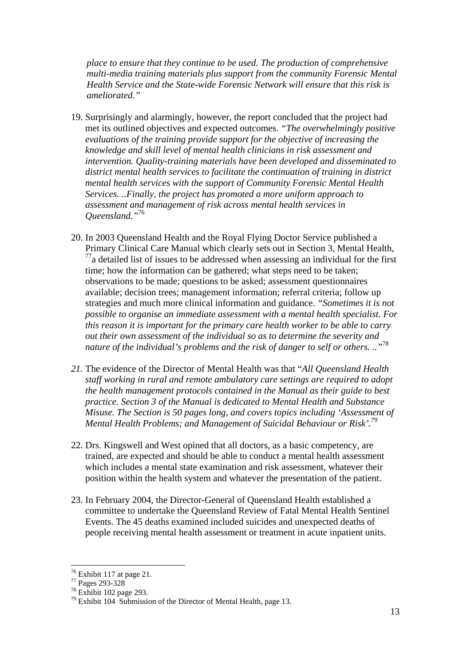*place to ensure that they continue to be used. The production of comprehensive multi-media training materials plus support from the community Forensic Mental Health Service and the State-wide Forensic Network will ensure that this risk is ameliorated."*

- 19. Surprisingly and alarmingly, however, the report concluded that the project had met its outlined objectives and expected outcomes. *"The overwhelmingly positive evaluations of the training provide support for the objective of increasing the knowledge and skill level of mental health clinicians in risk assessment and intervention. Quality-training materials have been developed and disseminated to district mental health services to facilitate the continuation of training in district mental health services with the support of Community Forensic Mental Health Services. ..Finally, the project has promoted a more uniform approach to assessment and management of risk across mental health services in Queensland."*<sup>76</sup>
- 20. In 2003 Queensland Health and the Royal Flying Doctor Service published a Primary Clinical Care Manual which clearly sets out in Section 3, Mental Health,  $^{77}$ a detailed list of issues to be addressed when assessing an individual for the first time; how the information can be gathered; what steps need to be taken; observations to be made; questions to be asked; assessment questionnaires available; decision trees; management information; referral criteria; follow up strategies and much more clinical information and guidance. *"Sometimes it is not possible to organise an immediate assessment with a mental health specialist. For this reason it is important for the primary care health worker to be able to carry out their own assessment of the individual so as to determine the severity and nature of the individual's problems and the risk of danger to self or others. .."*<sup>78</sup>
- *21.* The evidence of the Director of Mental Health was that "*All Queensland Health staff working in rural and remote ambulatory care settings are required to adopt the health management protocols contained in the Manual as their guide to best practice. Section 3 of the Manual is dedicated to Mental Health and Substance Misuse. The Section is 50 pages long, and covers topics including 'Assessment of Mental Health Problems; and Management of Suicidal Behaviour or Risk'.79*
- 22. Drs. Kingswell and West opined that all doctors, as a basic competency, are trained, are expected and should be able to conduct a mental health assessment which includes a mental state examination and risk assessment, whatever their position within the health system and whatever the presentation of the patient.
- 23. In February 2004, the Director-General of Queensland Health established a committee to undertake the Queensland Review of Fatal Mental Health Sentinel Events. The 45 deaths examined included suicides and unexpected deaths of people receiving mental health assessment or treatment in acute inpatient units.

 $76$  Exhibit 117 at page 21.

<sup>77</sup> Pages 293-328

<sup>78</sup> Exhibit 102 page 293.

 $79$  Exhibit 104 Submission of the Director of Mental Health, page 13.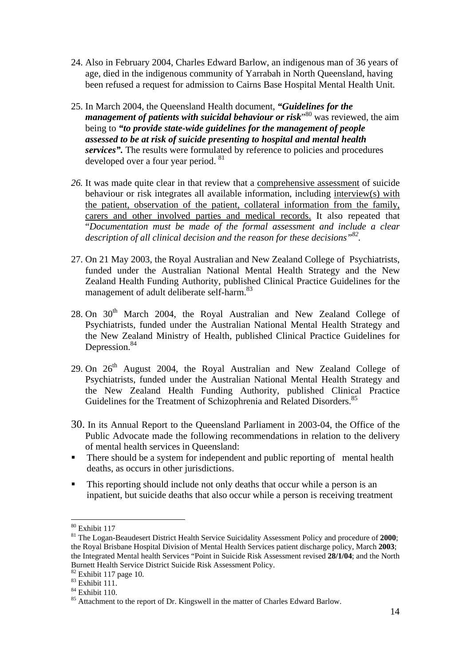- 24. Also in February 2004, Charles Edward Barlow, an indigenous man of 36 years of age, died in the indigenous community of Yarrabah in North Queensland, having been refused a request for admission to Cairns Base Hospital Mental Health Unit.
- 25. In March 2004, the Queensland Health document, *"Guidelines for the*  management of patients with suicidal behaviour or risk<sup>30</sup> was reviewed, the aim being to *"to provide state-wide guidelines for the management of people assessed to be at risk of suicide presenting to hospital and mental health*  services". The results were formulated by reference to policies and procedures developed over a four year period. <sup>81</sup>
- *26.* It was made quite clear in that review that a comprehensive assessment of suicide behaviour or risk integrates all available information, including interview(s) with the patient, observation of the patient, collateral information from the family, carers and other involved parties and medical records. It also repeated that "*Documentation must be made of the formal assessment and include a clear description of all clinical decision and the reason for these decisions"82.*
- 27. On 21 May 2003, the Royal Australian and New Zealand College of Psychiatrists, funded under the Australian National Mental Health Strategy and the New Zealand Health Funding Authority, published Clinical Practice Guidelines for the management of adult deliberate self-harm.<sup>83</sup>
- 28. On  $30<sup>th</sup>$  March 2004, the Royal Australian and New Zealand College of Psychiatrists, funded under the Australian National Mental Health Strategy and the New Zealand Ministry of Health, published Clinical Practice Guidelines for Depression.<sup>84</sup>
- 29. On  $26<sup>th</sup>$  August 2004, the Royal Australian and New Zealand College of Psychiatrists, funded under the Australian National Mental Health Strategy and the New Zealand Health Funding Authority, published Clinical Practice Guidelines for the Treatment of Schizophrenia and Related Disorders.<sup>85</sup>
- 30. In its Annual Report to the Queensland Parliament in 2003-04, the Office of the Public Advocate made the following recommendations in relation to the delivery of mental health services in Queensland:
- There should be a system for independent and public reporting of mental health deaths, as occurs in other jurisdictions.
- This reporting should include not only deaths that occur while a person is an inpatient, but suicide deaths that also occur while a person is receiving treatment

<sup>80</sup> Exhibit 117

<sup>81</sup> The Logan-Beaudesert District Health Service Suicidality Assessment Policy and procedure of **2000**; the Royal Brisbane Hospital Division of Mental Health Services patient discharge policy, March **2003**; the Integrated Mental health Services "Point in Suicide Risk Assessment revised **28/1/04**; and the North Burnett Health Service District Suicide Risk Assessment Policy.

 $82$  Exhibit 117 page 10.

 $83$  Exhibit 111.

<sup>84</sup> Exhibit 110.

<sup>&</sup>lt;sup>85</sup> Attachment to the report of Dr. Kingswell in the matter of Charles Edward Barlow.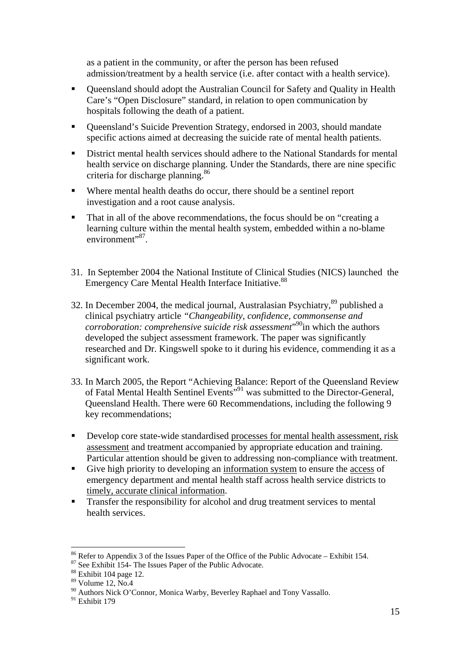as a patient in the community, or after the person has been refused admission/treatment by a health service (i.e. after contact with a health service).

- Queensland should adopt the Australian Council for Safety and Quality in Health Care's "Open Disclosure" standard, in relation to open communication by hospitals following the death of a patient.
- Oueensland's Suicide Prevention Strategy, endorsed in 2003, should mandate specific actions aimed at decreasing the suicide rate of mental health patients.
- District mental health services should adhere to the National Standards for mental health service on discharge planning. Under the Standards, there are nine specific criteria for discharge planning.<sup>86</sup>
- Where mental health deaths do occur, there should be a sentinel report investigation and a root cause analysis.
- That in all of the above recommendations, the focus should be on "creating a learning culture within the mental health system, embedded within a no-blame environment"<sup>87</sup>.
- 31. In September 2004 the National Institute of Clinical Studies (NICS) launched the Emergency Care Mental Health Interface Initiative.<sup>88</sup>
- 32. In December 2004, the medical journal, Australasian Psychiatry,<sup>89</sup> published a clinical psychiatry article *"Changeability, confidence, commonsense and corroboration: comprehensive suicide risk assessment*" 90in which the authors developed the subject assessment framework. The paper was significantly researched and Dr. Kingswell spoke to it during his evidence, commending it as a significant work.
- 33. In March 2005, the Report "Achieving Balance: Report of the Queensland Review of Fatal Mental Health Sentinel Events"91 was submitted to the Director-General, Queensland Health. There were 60 Recommendations, including the following 9 key recommendations;
- Develop core state-wide standardised processes for mental health assessment, risk assessment and treatment accompanied by appropriate education and training. Particular attention should be given to addressing non-compliance with treatment.
- Give high priority to developing an information system to ensure the access of emergency department and mental health staff across health service districts to timely, accurate clinical information.
- **Transfer the responsibility for alcohol and drug treatment services to mental** health services.

<sup>86</sup> Refer to Appendix 3 of the Issues Paper of the Office of the Public Advocate – Exhibit 154.

 $87$  See Exhibit 154- The Issues Paper of the Public Advocate.

<sup>88</sup> Exhibit 104 page 12.

<sup>89</sup> Volume 12, No.4

<sup>&</sup>lt;sup>90</sup> Authors Nick O'Connor, Monica Warby, Beverley Raphael and Tony Vassallo.

<sup>91</sup> Exhibit 179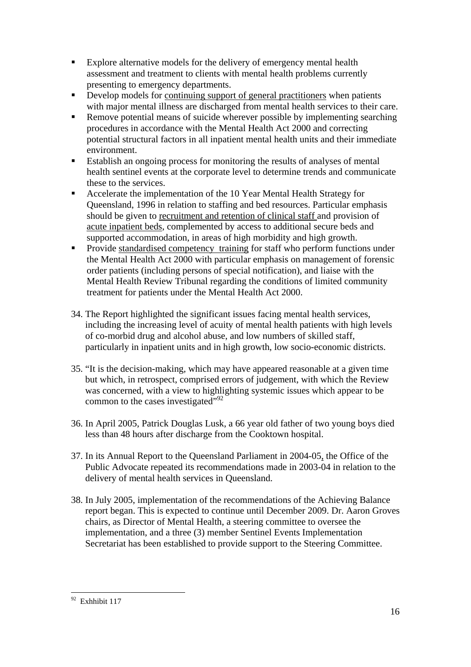- Explore alternative models for the delivery of emergency mental health assessment and treatment to clients with mental health problems currently presenting to emergency departments.
- Develop models for continuing support of general practitioners when patients with major mental illness are discharged from mental health services to their care.
- Remove potential means of suicide wherever possible by implementing searching procedures in accordance with the Mental Health Act 2000 and correcting potential structural factors in all inpatient mental health units and their immediate environment.
- Establish an ongoing process for monitoring the results of analyses of mental health sentinel events at the corporate level to determine trends and communicate these to the services.
- Accelerate the implementation of the 10 Year Mental Health Strategy for Queensland, 1996 in relation to staffing and bed resources. Particular emphasis should be given to recruitment and retention of clinical staff and provision of acute inpatient beds, complemented by access to additional secure beds and supported accommodation, in areas of high morbidity and high growth.
- **Provide standardised competency training for staff who perform functions under** the Mental Health Act 2000 with particular emphasis on management of forensic order patients (including persons of special notification), and liaise with the Mental Health Review Tribunal regarding the conditions of limited community treatment for patients under the Mental Health Act 2000.
- 34. The Report highlighted the significant issues facing mental health services, including the increasing level of acuity of mental health patients with high levels of co-morbid drug and alcohol abuse, and low numbers of skilled staff, particularly in inpatient units and in high growth, low socio-economic districts.
- 35. "It is the decision-making, which may have appeared reasonable at a given time but which, in retrospect, comprised errors of judgement, with which the Review was concerned, with a view to highlighting systemic issues which appear to be common to the cases investigated",<sup>92</sup>
- 36. In April 2005, Patrick Douglas Lusk, a 66 year old father of two young boys died less than 48 hours after discharge from the Cooktown hospital.
- 37. In its Annual Report to the Queensland Parliament in 2004-05, the Office of the Public Advocate repeated its recommendations made in 2003-04 in relation to the delivery of mental health services in Queensland.
- 38. In July 2005, implementation of the recommendations of the Achieving Balance report began. This is expected to continue until December 2009. Dr. Aaron Groves chairs, as Director of Mental Health, a steering committee to oversee the implementation, and a three (3) member Sentinel Events Implementation Secretariat has been established to provide support to the Steering Committee.

 $\overline{a}$ <sup>92</sup> Exhhibit 117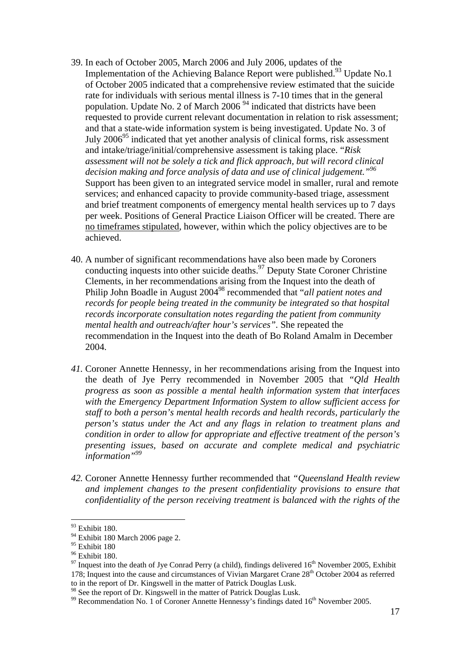- 39. In each of October 2005, March 2006 and July 2006, updates of the Implementation of the Achieving Balance Report were published.<sup>93</sup> Update No.1 of October 2005 indicated that a comprehensive review estimated that the suicide rate for individuals with serious mental illness is 7-10 times that in the general population. Update No. 2 of March 2006<sup>94</sup> indicated that districts have been requested to provide current relevant documentation in relation to risk assessment; and that a state-wide information system is being investigated. Update No. 3 of July  $2006<sup>95</sup>$  indicated that yet another analysis of clinical forms, risk assessment and intake/triage/initial/comprehensive assessment is taking place. "*Risk assessment will not be solely a tick and flick approach, but will record clinical decision making and force analysis of data and use of clinical judgement."96* Support has been given to an integrated service model in smaller, rural and remote services; and enhanced capacity to provide community-based triage, assessment and brief treatment components of emergency mental health services up to 7 days per week. Positions of General Practice Liaison Officer will be created. There are no timeframes stipulated, however, within which the policy objectives are to be achieved.
- 40. A number of significant recommendations have also been made by Coroners conducting inquests into other suicide deaths.<sup>97</sup> Deputy State Coroner Christine Clements, in her recommendations arising from the Inquest into the death of Philip John Boadle in August 200498 recommended that "*all patient notes and records for people being treated in the community be integrated so that hospital records incorporate consultation notes regarding the patient from community mental health and outreach/after hour's services".* She repeated the recommendation in the Inquest into the death of Bo Roland Amalm in December 2004.
- *41.* Coroner Annette Hennessy, in her recommendations arising from the Inquest into the death of Jye Perry recommended in November 2005 that *"Qld Health progress as soon as possible a mental health information system that interfaces with the Emergency Department Information System to allow sufficient access for staff to both a person's mental health records and health records, particularly the person's status under the Act and any flags in relation to treatment plans and condition in order to allow for appropriate and effective treatment of the person's presenting issues, based on accurate and complete medical and psychiatric information"99*
- *42.* Coroner Annette Hennessy further recommended that *"Queensland Health review and implement changes to the present confidentiality provisions to ensure that confidentiality of the person receiving treatment is balanced with the rights of the*

<sup>93</sup> Exhibit 180.

 $94$  Exhibit 180 March 2006 page 2.

<sup>&</sup>lt;sup>95</sup> Exhibit 180

<sup>&</sup>lt;sup>96</sup> Exhibit 180.

 $97$  Inquest into the death of Jye Conrad Perry (a child), findings delivered  $16<sup>th</sup>$  November 2005, Exhibit 178; Inquest into the cause and circumstances of Vivian Margaret Crane 28<sup>th</sup> October 2004 as referred to in the report of Dr. Kingswell in the matter of Patrick Douglas Lusk.

<sup>&</sup>lt;sup>98</sup> See the report of Dr. Kingswell in the matter of Patrick Douglas Lusk.

 $99$  Recommendation No. 1 of Coroner Annette Hennessy's findings dated  $16<sup>th</sup>$  November 2005.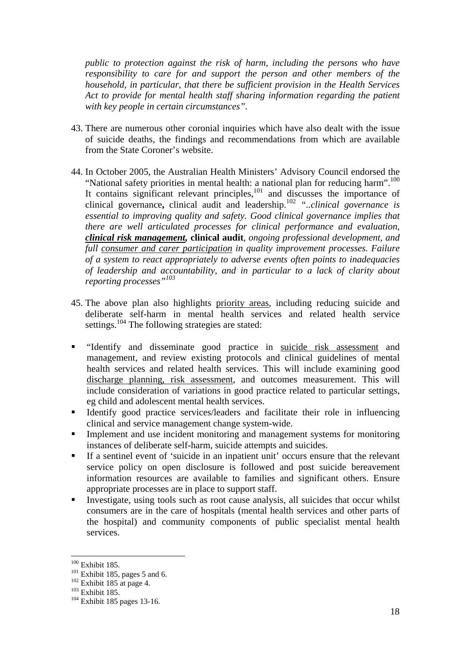*public to protection against the risk of harm, including the persons who have responsibility to care for and support the person and other members of the household, in particular, that there be sufficient provision in the Health Services Act to provide for mental health staff sharing information regarding the patient with key people in certain circumstances".* 

- 43. There are numerous other coronial inquiries which have also dealt with the issue of suicide deaths, the findings and recommendations from which are available from the State Coroner's website.
- 44. In October 2005, the Australian Health Ministers' Advisory Council endorsed the "National safety priorities in mental health: a national plan for reducing harm".<sup>100</sup> It contains significant relevant principles,<sup>101</sup> and discusses the importance of clinical governance**,** clinical audit and leadership.102 *"..clinical governance is essential to improving quality and safety. Good clinical governance implies that there are well articulated processes for clinical performance and evaluation, clinical risk management,* **clinical audit**, *ongoing professional development, and full consumer and carer participation in quality improvement processes. Failure of a system to react appropriately to adverse events often points to inadequacies of leadership and accountability, and in particular to a lack of clarity about reporting processes"103*
- 45. The above plan also highlights priority areas, including reducing suicide and deliberate self-harm in mental health services and related health service settings.<sup>104</sup> The following strategies are stated:
- "Identify and disseminate good practice in suicide risk assessment and management, and review existing protocols and clinical guidelines of mental health services and related health services. This will include examining good discharge planning, risk assessment, and outcomes measurement. This will include consideration of variations in good practice related to particular settings, eg child and adolescent mental health services.
- Identify good practice services/leaders and facilitate their role in influencing clinical and service management change system-wide.
- Implement and use incident monitoring and management systems for monitoring instances of deliberate self-harm, suicide attempts and suicides.
- If a sentinel event of 'suicide in an inpatient unit' occurs ensure that the relevant service policy on open disclosure is followed and post suicide bereavement information resources are available to families and significant others. Ensure appropriate processes are in place to support staff.
- Investigate, using tools such as root cause analysis, all suicides that occur whilst consumers are in the care of hospitals (mental health services and other parts of the hospital) and community components of public specialist mental health services.

 $100$  Exhibit 185.

<sup>101</sup> Exhibit 185, pages 5 and 6.<br>
<sup>102</sup> Exhibit 185 at page 4.<br>
<sup>103</sup> Exhibit 185.<br>
<sup>104</sup> Exhibit 185 pages 13-16.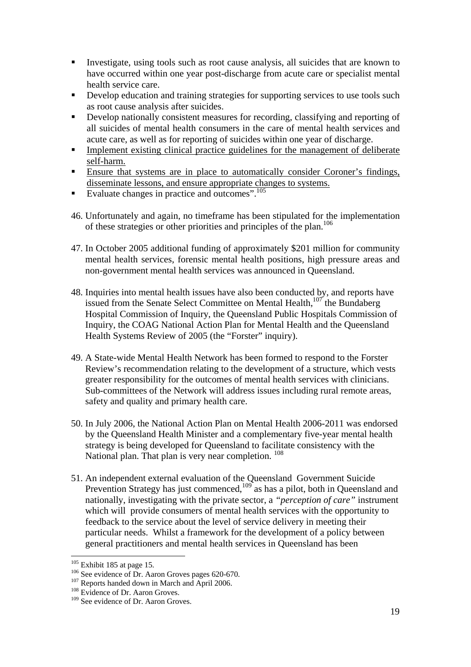- Investigate, using tools such as root cause analysis, all suicides that are known to have occurred within one year post-discharge from acute care or specialist mental health service care.
- Develop education and training strategies for supporting services to use tools such as root cause analysis after suicides.
- Develop nationally consistent measures for recording, classifying and reporting of all suicides of mental health consumers in the care of mental health services and acute care, as well as for reporting of suicides within one year of discharge.
- Implement existing clinical practice guidelines for the management of deliberate self-harm.
- Ensure that systems are in place to automatically consider Coroner's findings, disseminate lessons, and ensure appropriate changes to systems.
- Evaluate changes in practice and outcomes".105
- 46. Unfortunately and again, no timeframe has been stipulated for the implementation of these strategies or other priorities and principles of the plan.106
- 47. In October 2005 additional funding of approximately \$201 million for community mental health services, forensic mental health positions, high pressure areas and non-government mental health services was announced in Queensland.
- 48. Inquiries into mental health issues have also been conducted by, and reports have issued from the Senate Select Committee on Mental Health, $107$  the Bundaberg Hospital Commission of Inquiry, the Queensland Public Hospitals Commission of Inquiry, the COAG National Action Plan for Mental Health and the Queensland Health Systems Review of 2005 (the "Forster" inquiry).
- 49. A State-wide Mental Health Network has been formed to respond to the Forster Review's recommendation relating to the development of a structure, which vests greater responsibility for the outcomes of mental health services with clinicians. Sub-committees of the Network will address issues including rural remote areas, safety and quality and primary health care.
- 50. In July 2006, the National Action Plan on Mental Health 2006-2011 was endorsed by the Queensland Health Minister and a complementary five-year mental health strategy is being developed for Queensland to facilitate consistency with the National plan. That plan is very near completion. <sup>108</sup>
- 51. An independent external evaluation of the Queensland Government Suicide Prevention Strategy has just commenced, $109$  as has a pilot, both in Queensland and nationally, investigating with the private sector, a *"perception of care"* instrument which will provide consumers of mental health services with the opportunity to feedback to the service about the level of service delivery in meeting their particular needs. Whilst a framework for the development of a policy between general practitioners and mental health services in Queensland has been

 $105$  Exhibit 185 at page 15.

<sup>&</sup>lt;sup>106</sup> See evidence of Dr. Aaron Groves pages 620-670.<br><sup>107</sup> Reports handed down in March and April 2006.<br><sup>108</sup> Evidence of Dr. Aaron Groves.

<sup>&</sup>lt;sup>109</sup> See evidence of Dr. Aaron Groves.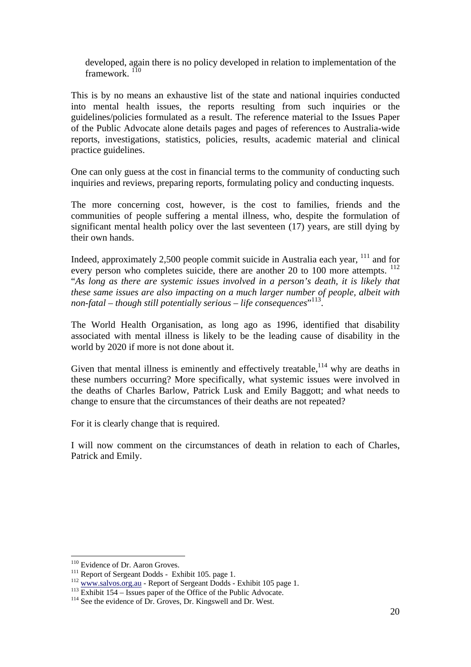developed, again there is no policy developed in relation to implementation of the framework.<sup>110</sup>

This is by no means an exhaustive list of the state and national inquiries conducted into mental health issues, the reports resulting from such inquiries or the guidelines/policies formulated as a result. The reference material to the Issues Paper of the Public Advocate alone details pages and pages of references to Australia-wide reports, investigations, statistics, policies, results, academic material and clinical practice guidelines.

One can only guess at the cost in financial terms to the community of conducting such inquiries and reviews, preparing reports, formulating policy and conducting inquests.

The more concerning cost, however, is the cost to families, friends and the communities of people suffering a mental illness, who, despite the formulation of significant mental health policy over the last seventeen (17) years, are still dying by their own hands.

Indeed, approximately 2,500 people commit suicide in Australia each year,  $^{111}$  and for every person who completes suicide, there are another 20 to 100 more attempts. <sup>112</sup> "*As long as there are systemic issues involved in a person's death, it is likely that these same issues are also impacting on a much larger number of people, albeit with non-fatal – though still potentially serious – life consequences*" 113.

The World Health Organisation, as long ago as 1996, identified that disability associated with mental illness is likely to be the leading cause of disability in the world by 2020 if more is not done about it.

Given that mental illness is eminently and effectively treatable,  $114$  why are deaths in these numbers occurring? More specifically, what systemic issues were involved in the deaths of Charles Barlow, Patrick Lusk and Emily Baggott; and what needs to change to ensure that the circumstances of their deaths are not repeated?

For it is clearly change that is required.

I will now comment on the circumstances of death in relation to each of Charles, Patrick and Emily.

<sup>&</sup>lt;sup>110</sup> Evidence of Dr. Aaron Groves.

<sup>&</sup>lt;sup>111</sup> Report of Sergeant Dodds - Exhibit 105. page 1.<br>
<sup>112</sup> <u>www.salvos.org.au</u> - Report of Sergeant Dodds - Exhibit 105 page 1.<br>
<sup>113</sup> Exhibit 154 – Issues paper of the Office of the Public Advocate.<br>
<sup>114</sup> See the evid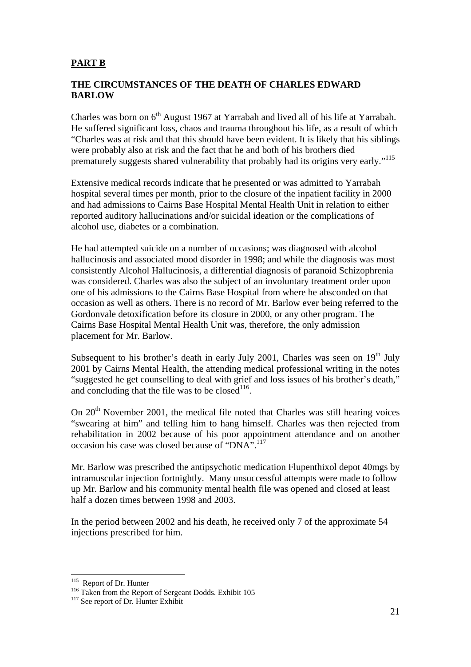## **PART B**

#### **THE CIRCUMSTANCES OF THE DEATH OF CHARLES EDWARD BARLOW**

Charles was born on 6<sup>th</sup> August 1967 at Yarrabah and lived all of his life at Yarrabah. He suffered significant loss, chaos and trauma throughout his life, as a result of which "Charles was at risk and that this should have been evident. It is likely that his siblings were probably also at risk and the fact that he and both of his brothers died prematurely suggests shared vulnerability that probably had its origins very early."115

Extensive medical records indicate that he presented or was admitted to Yarrabah hospital several times per month, prior to the closure of the inpatient facility in 2000 and had admissions to Cairns Base Hospital Mental Health Unit in relation to either reported auditory hallucinations and/or suicidal ideation or the complications of alcohol use, diabetes or a combination.

He had attempted suicide on a number of occasions; was diagnosed with alcohol hallucinosis and associated mood disorder in 1998; and while the diagnosis was most consistently Alcohol Hallucinosis, a differential diagnosis of paranoid Schizophrenia was considered. Charles was also the subject of an involuntary treatment order upon one of his admissions to the Cairns Base Hospital from where he absconded on that occasion as well as others. There is no record of Mr. Barlow ever being referred to the Gordonvale detoxification before its closure in 2000, or any other program. The Cairns Base Hospital Mental Health Unit was, therefore, the only admission placement for Mr. Barlow.

Subsequent to his brother's death in early July 2001, Charles was seen on  $19<sup>th</sup>$  July 2001 by Cairns Mental Health, the attending medical professional writing in the notes "suggested he get counselling to deal with grief and loss issues of his brother's death," and concluding that the file was to be closed<sup>116</sup>.

On  $20<sup>th</sup>$  November 2001, the medical file noted that Charles was still hearing voices "swearing at him" and telling him to hang himself. Charles was then rejected from rehabilitation in 2002 because of his poor appointment attendance and on another occasion his case was closed because of "DNA".117

Mr. Barlow was prescribed the antipsychotic medication Flupenthixol depot 40mgs by intramuscular injection fortnightly. Many unsuccessful attempts were made to follow up Mr. Barlow and his community mental health file was opened and closed at least half a dozen times between 1998 and 2003.

In the period between 2002 and his death, he received only 7 of the approximate 54 injections prescribed for him.

<sup>&</sup>lt;sup>115</sup> Report of Dr. Hunter

<sup>116</sup> Taken from the Report of Sergeant Dodds. Exhibit 105<br><sup>117</sup> See report of Dr. Hunter Exhibit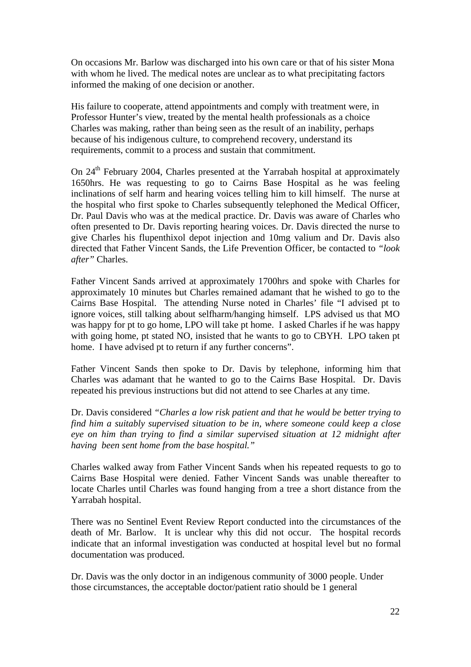On occasions Mr. Barlow was discharged into his own care or that of his sister Mona with whom he lived. The medical notes are unclear as to what precipitating factors informed the making of one decision or another.

His failure to cooperate, attend appointments and comply with treatment were, in Professor Hunter's view, treated by the mental health professionals as a choice Charles was making, rather than being seen as the result of an inability, perhaps because of his indigenous culture, to comprehend recovery, understand its requirements, commit to a process and sustain that commitment.

On 24<sup>th</sup> February 2004, Charles presented at the Yarrabah hospital at approximately 1650hrs. He was requesting to go to Cairns Base Hospital as he was feeling inclinations of self harm and hearing voices telling him to kill himself. The nurse at the hospital who first spoke to Charles subsequently telephoned the Medical Officer, Dr. Paul Davis who was at the medical practice. Dr. Davis was aware of Charles who often presented to Dr. Davis reporting hearing voices. Dr. Davis directed the nurse to give Charles his flupenthixol depot injection and 10mg valium and Dr. Davis also directed that Father Vincent Sands, the Life Prevention Officer, be contacted to *"look after"* Charles.

Father Vincent Sands arrived at approximately 1700hrs and spoke with Charles for approximately 10 minutes but Charles remained adamant that he wished to go to the Cairns Base Hospital. The attending Nurse noted in Charles' file "I advised pt to ignore voices, still talking about selfharm/hanging himself. LPS advised us that MO was happy for pt to go home, LPO will take pt home. I asked Charles if he was happy with going home, pt stated NO, insisted that he wants to go to CBYH. LPO taken pt home. I have advised pt to return if any further concerns".

Father Vincent Sands then spoke to Dr. Davis by telephone, informing him that Charles was adamant that he wanted to go to the Cairns Base Hospital. Dr. Davis repeated his previous instructions but did not attend to see Charles at any time.

Dr. Davis considered *"Charles a low risk patient and that he would be better trying to find him a suitably supervised situation to be in, where someone could keep a close eye on him than trying to find a similar supervised situation at 12 midnight after having been sent home from the base hospital."* 

Charles walked away from Father Vincent Sands when his repeated requests to go to Cairns Base Hospital were denied. Father Vincent Sands was unable thereafter to locate Charles until Charles was found hanging from a tree a short distance from the Yarrabah hospital.

There was no Sentinel Event Review Report conducted into the circumstances of the death of Mr. Barlow. It is unclear why this did not occur. The hospital records indicate that an informal investigation was conducted at hospital level but no formal documentation was produced.

Dr. Davis was the only doctor in an indigenous community of 3000 people. Under those circumstances, the acceptable doctor/patient ratio should be 1 general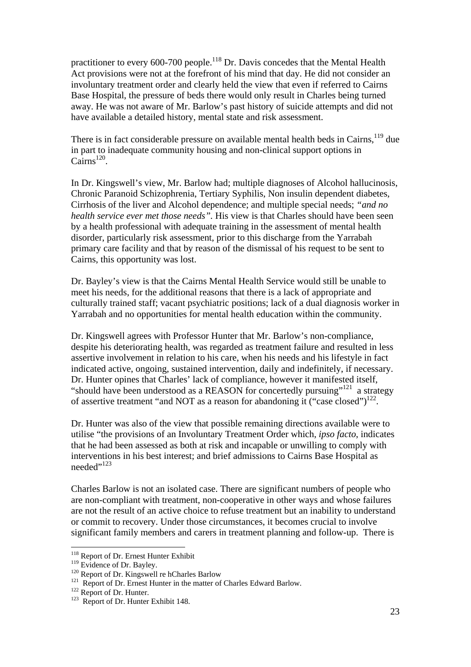practitioner to every 600-700 people.<sup>118</sup> Dr. Davis concedes that the Mental Health Act provisions were not at the forefront of his mind that day. He did not consider an involuntary treatment order and clearly held the view that even if referred to Cairns Base Hospital, the pressure of beds there would only result in Charles being turned away. He was not aware of Mr. Barlow's past history of suicide attempts and did not have available a detailed history, mental state and risk assessment.

There is in fact considerable pressure on available mental health beds in Cairns,  $^{119}$  due in part to inadequate community housing and non-clinical support options in  $Cairns^{120}$ .

In Dr. Kingswell's view, Mr. Barlow had; multiple diagnoses of Alcohol hallucinosis, Chronic Paranoid Schizophrenia, Tertiary Syphilis, Non insulin dependent diabetes, Cirrhosis of the liver and Alcohol dependence; and multiple special needs; *"and no health service ever met those needs".* His view is that Charles should have been seen by a health professional with adequate training in the assessment of mental health disorder, particularly risk assessment, prior to this discharge from the Yarrabah primary care facility and that by reason of the dismissal of his request to be sent to Cairns, this opportunity was lost.

Dr. Bayley's view is that the Cairns Mental Health Service would still be unable to meet his needs, for the additional reasons that there is a lack of appropriate and culturally trained staff; vacant psychiatric positions; lack of a dual diagnosis worker in Yarrabah and no opportunities for mental health education within the community.

Dr. Kingswell agrees with Professor Hunter that Mr. Barlow's non-compliance, despite his deteriorating health, was regarded as treatment failure and resulted in less assertive involvement in relation to his care, when his needs and his lifestyle in fact indicated active, ongoing, sustained intervention, daily and indefinitely, if necessary. Dr. Hunter opines that Charles' lack of compliance, however it manifested itself, "should have been understood as a REASON for concertedly pursuing"<sup>121</sup> a strategy of assertive treatment "and NOT as a reason for abandoning it ("case closed") $^{122}$ .

Dr. Hunter was also of the view that possible remaining directions available were to utilise "the provisions of an Involuntary Treatment Order which, *ipso facto*, indicates that he had been assessed as both at risk and incapable or unwilling to comply with interventions in his best interest; and brief admissions to Cairns Base Hospital as needed",123

Charles Barlow is not an isolated case. There are significant numbers of people who are non-compliant with treatment, non-cooperative in other ways and whose failures are not the result of an active choice to refuse treatment but an inability to understand or commit to recovery. Under those circumstances, it becomes crucial to involve significant family members and carers in treatment planning and follow-up. There is

<sup>&</sup>lt;sup>118</sup> Report of Dr. Ernest Hunter Exhibit

<sup>&</sup>lt;sup>119</sup> Evidence of Dr. Bayley.<br><sup>120</sup> Report of Dr. Kingswell re hCharles Barlow <sup>121</sup> Report of Dr. Ernest Hunter in the matter of Charles Edward Barlow.<br><sup>122</sup> Report of Dr. Hunter. 1<sup>23</sup> Report of Dr. Hunter Exhibit 148.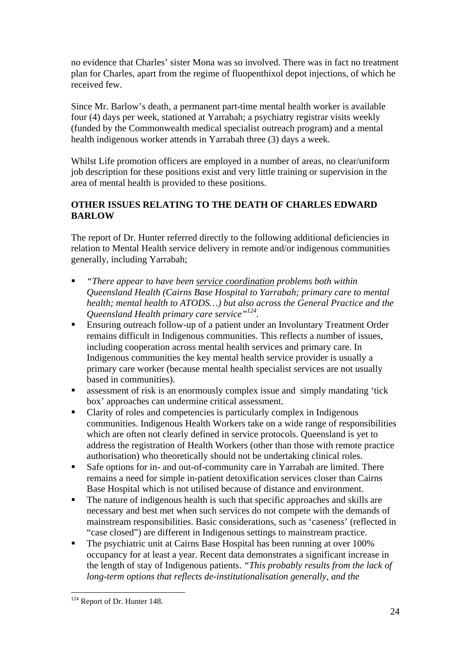no evidence that Charles' sister Mona was so involved. There was in fact no treatment plan for Charles, apart from the regime of fluopenthixol depot injections, of which he received few.

Since Mr. Barlow's death, a permanent part-time mental health worker is available four (4) days per week, stationed at Yarrabah; a psychiatry registrar visits weekly (funded by the Commonwealth medical specialist outreach program) and a mental health indigenous worker attends in Yarrabah three (3) days a week.

Whilst Life promotion officers are employed in a number of areas, no clear/uniform job description for these positions exist and very little training or supervision in the area of mental health is provided to these positions.

## **OTHER ISSUES RELATING TO THE DEATH OF CHARLES EDWARD BARLOW**

The report of Dr. Hunter referred directly to the following additional deficiencies in relation to Mental Health service delivery in remote and/or indigenous communities generally, including Yarrabah;

- *"There appear to have been service coordination problems both within Queensland Health (Cairns Base Hospital to Yarrabah; primary care to mental health; mental health to ATODS…) but also across the General Practice and the Queensland Health primary care service"124.*
- Ensuring outreach follow-up of a patient under an Involuntary Treatment Order remains difficult in Indigenous communities. This reflects a number of issues, including cooperation across mental health services and primary care. In Indigenous communities the key mental health service provider is usually a primary care worker (because mental health specialist services are not usually based in communities).
- **Example 1** assessment of risk is an enormously complex issue and simply mandating 'tick box' approaches can undermine critical assessment.
- Clarity of roles and competencies is particularly complex in Indigenous communities. Indigenous Health Workers take on a wide range of responsibilities which are often not clearly defined in service protocols. Queensland is yet to address the registration of Health Workers (other than those with remote practice authorisation) who theoretically should not be undertaking clinical roles.
- Safe options for in- and out-of-community care in Yarrabah are limited. There remains a need for simple in-patient detoxification services closer than Cairns Base Hospital which is not utilised because of distance and environment.
- The nature of indigenous health is such that specific approaches and skills are necessary and best met when such services do not compete with the demands of mainstream responsibilities. Basic considerations, such as 'caseness' (reflected in "case closed") are different in Indigenous settings to mainstream practice.
- The psychiatric unit at Cairns Base Hospital has been running at over 100% occupancy for at least a year. Recent data demonstrates a significant increase in the length of stay of Indigenous patients. *"This probably results from the lack of long-term options that reflects de-institutionalisation generally, and the*

 $\overline{a}$ <sup>124</sup> Report of Dr. Hunter 148.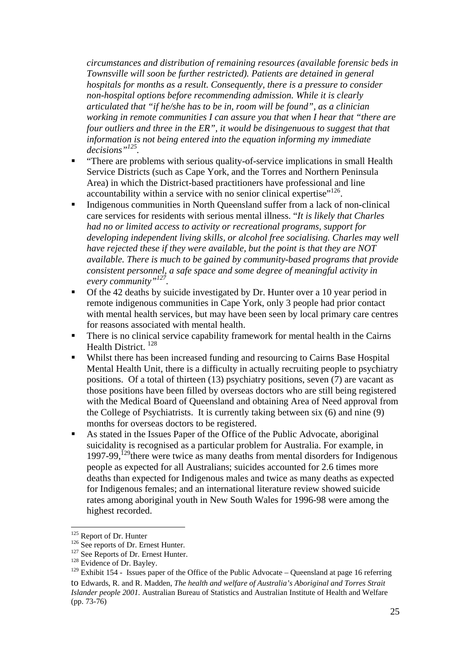*circumstances and distribution of remaining resources (available forensic beds in Townsville will soon be further restricted). Patients are detained in general hospitals for months as a result. Consequently, there is a pressure to consider non-hospital options before recommending admission. While it is clearly articulated that "if he/she has to be in, room will be found", as a clinician working in remote communities I can assure you that when I hear that "there are four outliers and three in the ER", it would be disingenuous to suggest that that information is not being entered into the equation informing my immediate decisions"125.* 

- "There are problems with serious quality-of-service implications in small Health Service Districts (such as Cape York, and the Torres and Northern Peninsula Area) in which the District-based practitioners have professional and line accountability within a service with no senior clinical expertise"<sup>126</sup>.
- Indigenous communities in North Queensland suffer from a lack of non-clinical care services for residents with serious mental illness. "*It is likely that Charles had no or limited access to activity or recreational programs, support for developing independent living skills, or alcohol free socialising. Charles may well have rejected these if they were available, but the point is that they are NOT available. There is much to be gained by community-based programs that provide consistent personnel, a safe space and some degree of meaningful activity in every community"127.*
- $\blacksquare$  Of the 42 deaths by suicide investigated by Dr. Hunter over a 10 year period in remote indigenous communities in Cape York, only 3 people had prior contact with mental health services, but may have been seen by local primary care centres for reasons associated with mental health.
- There is no clinical service capability framework for mental health in the Cairns Health District.<sup>128</sup>
- Whilst there has been increased funding and resourcing to Cairns Base Hospital Mental Health Unit, there is a difficulty in actually recruiting people to psychiatry positions. Of a total of thirteen (13) psychiatry positions, seven (7) are vacant as those positions have been filled by overseas doctors who are still being registered with the Medical Board of Queensland and obtaining Area of Need approval from the College of Psychiatrists. It is currently taking between six (6) and nine (9) months for overseas doctors to be registered.
- As stated in the Issues Paper of the Office of the Public Advocate, aboriginal suicidality is recognised as a particular problem for Australia. For example, in 1997-99,<sup>129</sup>there were twice as many deaths from mental disorders for Indigenous people as expected for all Australians; suicides accounted for 2.6 times more deaths than expected for Indigenous males and twice as many deaths as expected for Indigenous females; and an international literature review showed suicide rates among aboriginal youth in New South Wales for 1996-98 were among the highest recorded.

<sup>&</sup>lt;sup>125</sup> Report of Dr. Hunter<br><sup>126</sup> See reports of Dr. Ernest Hunter.<br><sup>127</sup> See Reports of Dr. Ernest Hunter.<br><sup>128</sup> Evidence of Dr. Bayley.

 $129$  Exhibit 154 - Issues paper of the Office of the Public Advocate – Queensland at page 16 referring to Edwards, R. and R. Madden, *The health and welfare of Australia's Aboriginal and Torres Strait Islander people 2001.* Australian Bureau of Statistics and Australian Institute of Health and Welfare (pp. 73-76)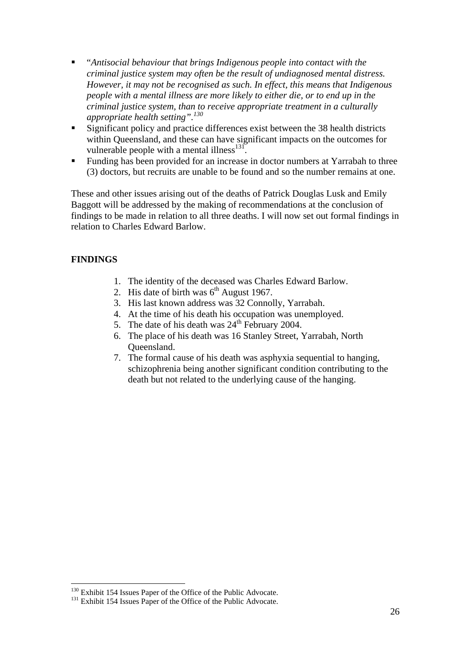- "*Antisocial behaviour that brings Indigenous people into contact with the criminal justice system may often be the result of undiagnosed mental distress. However, it may not be recognised as such. In effect, this means that Indigenous people with a mental illness are more likely to either die, or to end up in the criminal justice system, than to receive appropriate treatment in a culturally appropriate health setting".<sup>130</sup>*
- Significant policy and practice differences exist between the 38 health districts within Queensland, and these can have significant impacts on the outcomes for vulnerable people with a mental illness $^{131}$ .
- Funding has been provided for an increase in doctor numbers at Yarrabah to three (3) doctors, but recruits are unable to be found and so the number remains at one.

These and other issues arising out of the deaths of Patrick Douglas Lusk and Emily Baggott will be addressed by the making of recommendations at the conclusion of findings to be made in relation to all three deaths. I will now set out formal findings in relation to Charles Edward Barlow.

#### **FINDINGS**

- 1. The identity of the deceased was Charles Edward Barlow.
- 2. His date of birth was  $6<sup>th</sup>$  August 1967.
- 3. His last known address was 32 Connolly, Yarrabah.
- 4. At the time of his death his occupation was unemployed.
- 5. The date of his death was  $24<sup>th</sup>$  February 2004.
- 6. The place of his death was 16 Stanley Street, Yarrabah, North Queensland.
- 7. The formal cause of his death was asphyxia sequential to hanging, schizophrenia being another significant condition contributing to the death but not related to the underlying cause of the hanging.

 $130$  Exhibit 154 Issues Paper of the Office of the Public Advocate.  $131$  Exhibit 154 Issues Paper of the Office of the Public Advocate.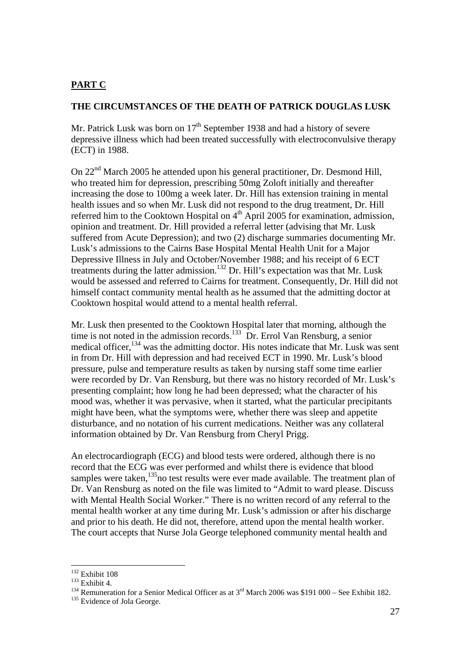### **PART C**

#### **THE CIRCUMSTANCES OF THE DEATH OF PATRICK DOUGLAS LUSK**

Mr. Patrick Lusk was born on  $17<sup>th</sup>$  September 1938 and had a history of severe depressive illness which had been treated successfully with electroconvulsive therapy (ECT) in 1988.

On 22nd March 2005 he attended upon his general practitioner, Dr. Desmond Hill, who treated him for depression, prescribing 50mg Zoloft initially and thereafter increasing the dose to 100mg a week later. Dr. Hill has extension training in mental health issues and so when Mr. Lusk did not respond to the drug treatment, Dr. Hill referred him to the Cooktown Hospital on  $4<sup>th</sup>$  April 2005 for examination, admission, opinion and treatment. Dr. Hill provided a referral letter (advising that Mr. Lusk suffered from Acute Depression); and two (2) discharge summaries documenting Mr. Lusk's admissions to the Cairns Base Hospital Mental Health Unit for a Major Depressive Illness in July and October/November 1988; and his receipt of 6 ECT treatments during the latter admission.<sup>132</sup> Dr. Hill's expectation was that Mr. Lusk would be assessed and referred to Cairns for treatment. Consequently, Dr. Hill did not himself contact community mental health as he assumed that the admitting doctor at Cooktown hospital would attend to a mental health referral.

Mr. Lusk then presented to the Cooktown Hospital later that morning, although the time is not noted in the admission records.<sup>133</sup> Dr. Errol Van Rensburg, a senior medical officer,  $^{134}$  was the admitting doctor. His notes indicate that Mr. Lusk was sent in from Dr. Hill with depression and had received ECT in 1990. Mr. Lusk's blood pressure, pulse and temperature results as taken by nursing staff some time earlier were recorded by Dr. Van Rensburg, but there was no history recorded of Mr. Lusk's presenting complaint; how long he had been depressed; what the character of his mood was, whether it was pervasive, when it started, what the particular precipitants might have been, what the symptoms were, whether there was sleep and appetite disturbance, and no notation of his current medications. Neither was any collateral information obtained by Dr. Van Rensburg from Cheryl Prigg.

An electrocardiograph (ECG) and blood tests were ordered, although there is no record that the ECG was ever performed and whilst there is evidence that blood samples were taken, $135$ no test results were ever made available. The treatment plan of Dr. Van Rensburg as noted on the file was limited to "Admit to ward please. Discuss with Mental Health Social Worker." There is no written record of any referral to the mental health worker at any time during Mr. Lusk's admission or after his discharge and prior to his death. He did not, therefore, attend upon the mental health worker. The court accepts that Nurse Jola George telephoned community mental health and

 $132$  Exhibit 108

<sup>&</sup>lt;sup>133</sup> Exhibit 4.<br><sup>134</sup> Remuneration for a Senior Medical Officer as at 3<sup>rd</sup> March 2006 was \$191 000 – See Exhibit 182.<br><sup>135</sup> Evidence of Jola George.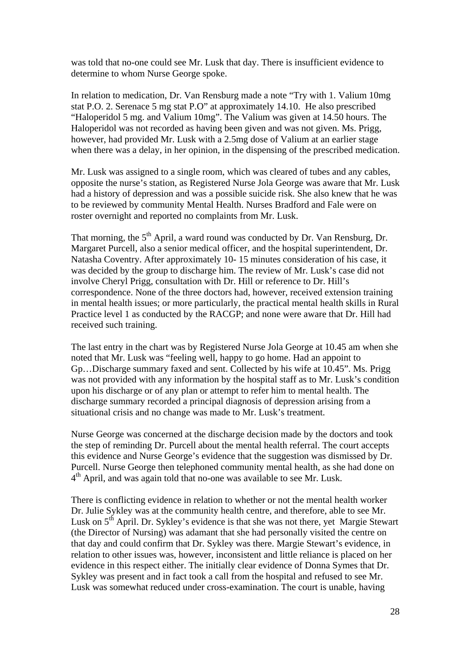was told that no-one could see Mr. Lusk that day. There is insufficient evidence to determine to whom Nurse George spoke.

In relation to medication, Dr. Van Rensburg made a note "Try with 1. Valium 10mg stat P.O. 2. Serenace 5 mg stat P.O" at approximately 14.10. He also prescribed "Haloperidol 5 mg. and Valium 10mg". The Valium was given at 14.50 hours. The Haloperidol was not recorded as having been given and was not given. Ms. Prigg, however, had provided Mr. Lusk with a 2.5mg dose of Valium at an earlier stage when there was a delay, in her opinion, in the dispensing of the prescribed medication.

Mr. Lusk was assigned to a single room, which was cleared of tubes and any cables, opposite the nurse's station, as Registered Nurse Jola George was aware that Mr. Lusk had a history of depression and was a possible suicide risk. She also knew that he was to be reviewed by community Mental Health. Nurses Bradford and Fale were on roster overnight and reported no complaints from Mr. Lusk.

That morning, the  $5<sup>th</sup>$  April, a ward round was conducted by Dr. Van Rensburg, Dr. Margaret Purcell, also a senior medical officer, and the hospital superintendent, Dr. Natasha Coventry. After approximately 10- 15 minutes consideration of his case, it was decided by the group to discharge him. The review of Mr. Lusk's case did not involve Cheryl Prigg, consultation with Dr. Hill or reference to Dr. Hill's correspondence. None of the three doctors had, however, received extension training in mental health issues; or more particularly, the practical mental health skills in Rural Practice level 1 as conducted by the RACGP; and none were aware that Dr. Hill had received such training.

The last entry in the chart was by Registered Nurse Jola George at 10.45 am when she noted that Mr. Lusk was "feeling well, happy to go home. Had an appoint to Gp…Discharge summary faxed and sent. Collected by his wife at 10.45". Ms. Prigg was not provided with any information by the hospital staff as to Mr. Lusk's condition upon his discharge or of any plan or attempt to refer him to mental health. The discharge summary recorded a principal diagnosis of depression arising from a situational crisis and no change was made to Mr. Lusk's treatment.

Nurse George was concerned at the discharge decision made by the doctors and took the step of reminding Dr. Purcell about the mental health referral. The court accepts this evidence and Nurse George's evidence that the suggestion was dismissed by Dr. Purcell. Nurse George then telephoned community mental health, as she had done on  $4<sup>th</sup>$  April, and was again told that no-one was available to see Mr. Lusk.

There is conflicting evidence in relation to whether or not the mental health worker Dr. Julie Sykley was at the community health centre, and therefore, able to see Mr. Lusk on 5<sup>th</sup> April. Dr. Sykley's evidence is that she was not there, yet Margie Stewart (the Director of Nursing) was adamant that she had personally visited the centre on that day and could confirm that Dr. Sykley was there. Margie Stewart's evidence, in relation to other issues was, however, inconsistent and little reliance is placed on her evidence in this respect either. The initially clear evidence of Donna Symes that Dr. Sykley was present and in fact took a call from the hospital and refused to see Mr. Lusk was somewhat reduced under cross-examination. The court is unable, having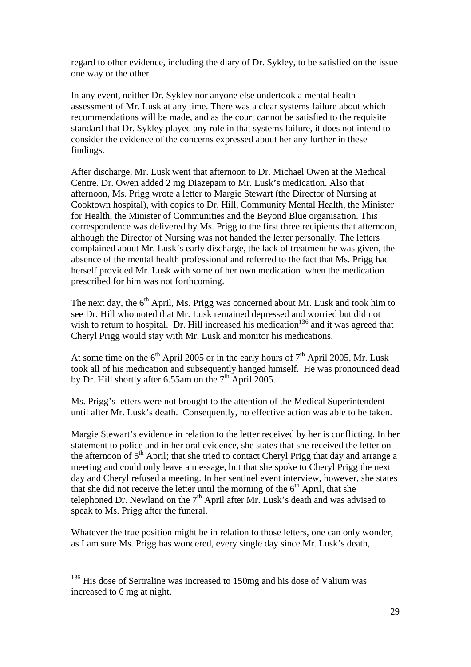regard to other evidence, including the diary of Dr. Sykley, to be satisfied on the issue one way or the other.

In any event, neither Dr. Sykley nor anyone else undertook a mental health assessment of Mr. Lusk at any time. There was a clear systems failure about which recommendations will be made, and as the court cannot be satisfied to the requisite standard that Dr. Sykley played any role in that systems failure, it does not intend to consider the evidence of the concerns expressed about her any further in these findings.

After discharge, Mr. Lusk went that afternoon to Dr. Michael Owen at the Medical Centre. Dr. Owen added 2 mg Diazepam to Mr. Lusk's medication. Also that afternoon, Ms. Prigg wrote a letter to Margie Stewart (the Director of Nursing at Cooktown hospital), with copies to Dr. Hill, Community Mental Health, the Minister for Health, the Minister of Communities and the Beyond Blue organisation. This correspondence was delivered by Ms. Prigg to the first three recipients that afternoon, although the Director of Nursing was not handed the letter personally. The letters complained about Mr. Lusk's early discharge, the lack of treatment he was given, the absence of the mental health professional and referred to the fact that Ms. Prigg had herself provided Mr. Lusk with some of her own medication when the medication prescribed for him was not forthcoming.

The next day, the  $6<sup>th</sup>$  April, Ms. Prigg was concerned about Mr. Lusk and took him to see Dr. Hill who noted that Mr. Lusk remained depressed and worried but did not wish to return to hospital. Dr. Hill increased his medication<sup>136</sup> and it was agreed that Cheryl Prigg would stay with Mr. Lusk and monitor his medications.

At some time on the  $6<sup>th</sup>$  April 2005 or in the early hours of  $7<sup>th</sup>$  April 2005, Mr. Lusk took all of his medication and subsequently hanged himself. He was pronounced dead by Dr. Hill shortly after 6.55am on the  $7<sup>th</sup>$  April 2005.

Ms. Prigg's letters were not brought to the attention of the Medical Superintendent until after Mr. Lusk's death. Consequently, no effective action was able to be taken.

Margie Stewart's evidence in relation to the letter received by her is conflicting. In her statement to police and in her oral evidence, she states that she received the letter on the afternoon of  $5<sup>th</sup>$  April; that she tried to contact Cheryl Prigg that day and arrange a meeting and could only leave a message, but that she spoke to Cheryl Prigg the next day and Cheryl refused a meeting. In her sentinel event interview, however, she states that she did not receive the letter until the morning of the  $6<sup>th</sup>$  April, that she telephoned Dr. Newland on the  $7<sup>th</sup>$  April after Mr. Lusk's death and was advised to speak to Ms. Prigg after the funeral.

Whatever the true position might be in relation to those letters, one can only wonder, as I am sure Ms. Prigg has wondered, every single day since Mr. Lusk's death,

 $136$  His dose of Sertraline was increased to 150mg and his dose of Valium was increased to 6 mg at night.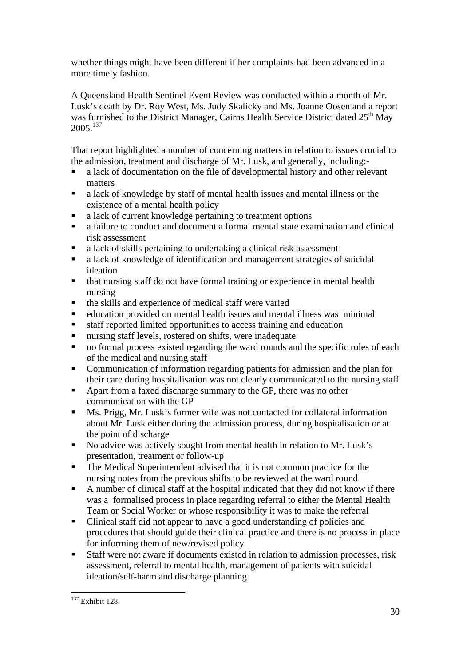whether things might have been different if her complaints had been advanced in a more timely fashion.

A Queensland Health Sentinel Event Review was conducted within a month of Mr. Lusk's death by Dr. Roy West, Ms. Judy Skalicky and Ms. Joanne Oosen and a report was furnished to the District Manager, Cairns Health Service District dated 25<sup>th</sup> May 2005.137

That report highlighted a number of concerning matters in relation to issues crucial to the admission, treatment and discharge of Mr. Lusk, and generally, including:-

- a lack of documentation on the file of developmental history and other relevant matters
- a lack of knowledge by staff of mental health issues and mental illness or the existence of a mental health policy
- a lack of current knowledge pertaining to treatment options
- a failure to conduct and document a formal mental state examination and clinical risk assessment
- a lack of skills pertaining to undertaking a clinical risk assessment
- a lack of knowledge of identification and management strategies of suicidal ideation
- that nursing staff do not have formal training or experience in mental health nursing
- $\blacksquare$  the skills and experience of medical staff were varied
- education provided on mental health issues and mental illness was minimal
- staff reported limited opportunities to access training and education
- nursing staff levels, rostered on shifts, were inadequate
- no formal process existed regarding the ward rounds and the specific roles of each of the medical and nursing staff
- Communication of information regarding patients for admission and the plan for their care during hospitalisation was not clearly communicated to the nursing staff
- Apart from a faxed discharge summary to the GP, there was no other communication with the GP
- **Ms. Prigg, Mr. Lusk's former wife was not contacted for collateral information** about Mr. Lusk either during the admission process, during hospitalisation or at the point of discharge
- No advice was actively sought from mental health in relation to Mr. Lusk's presentation, treatment or follow-up
- The Medical Superintendent advised that it is not common practice for the nursing notes from the previous shifts to be reviewed at the ward round
- A number of clinical staff at the hospital indicated that they did not know if there was a formalised process in place regarding referral to either the Mental Health Team or Social Worker or whose responsibility it was to make the referral
- Clinical staff did not appear to have a good understanding of policies and procedures that should guide their clinical practice and there is no process in place for informing them of new/revised policy
- Staff were not aware if documents existed in relation to admission processes, risk assessment, referral to mental health, management of patients with suicidal ideation/self-harm and discharge planning

<sup>&</sup>lt;sup>137</sup> Exhibit 128.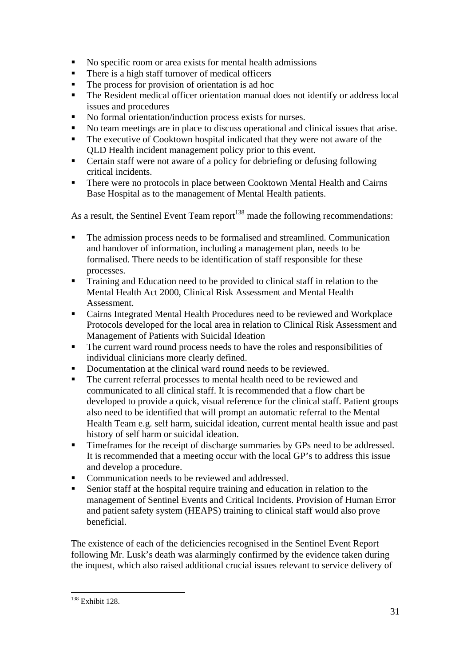- No specific room or area exists for mental health admissions
- **There is a high staff turnover of medical officers**
- The process for provision of orientation is ad hoc
- The Resident medical officer orientation manual does not identify or address local issues and procedures
- No formal orientation/induction process exists for nurses.
- No team meetings are in place to discuss operational and clinical issues that arise.
- The executive of Cooktown hospital indicated that they were not aware of the QLD Health incident management policy prior to this event.
- Certain staff were not aware of a policy for debriefing or defusing following critical incidents.
- There were no protocols in place between Cooktown Mental Health and Cairns Base Hospital as to the management of Mental Health patients.

As a result, the Sentinel Event Team report<sup>138</sup> made the following recommendations:

- The admission process needs to be formalised and streamlined. Communication and handover of information, including a management plan, needs to be formalised. There needs to be identification of staff responsible for these processes.
- **Training and Education need to be provided to clinical staff in relation to the** Mental Health Act 2000, Clinical Risk Assessment and Mental Health Assessment.
- Cairns Integrated Mental Health Procedures need to be reviewed and Workplace Protocols developed for the local area in relation to Clinical Risk Assessment and Management of Patients with Suicidal Ideation
- The current ward round process needs to have the roles and responsibilities of individual clinicians more clearly defined.
- Documentation at the clinical ward round needs to be reviewed.
- The current referral processes to mental health need to be reviewed and communicated to all clinical staff. It is recommended that a flow chart be developed to provide a quick, visual reference for the clinical staff. Patient groups also need to be identified that will prompt an automatic referral to the Mental Health Team e.g. self harm, suicidal ideation, current mental health issue and past history of self harm or suicidal ideation.
- **Timeframes for the receipt of discharge summaries by GPs need to be addressed.** It is recommended that a meeting occur with the local GP's to address this issue and develop a procedure.
- Communication needs to be reviewed and addressed.
- Senior staff at the hospital require training and education in relation to the management of Sentinel Events and Critical Incidents. Provision of Human Error and patient safety system (HEAPS) training to clinical staff would also prove beneficial.

The existence of each of the deficiencies recognised in the Sentinel Event Report following Mr. Lusk's death was alarmingly confirmed by the evidence taken during the inquest, which also raised additional crucial issues relevant to service delivery of

 $\overline{a}$ 138 Exhibit 128.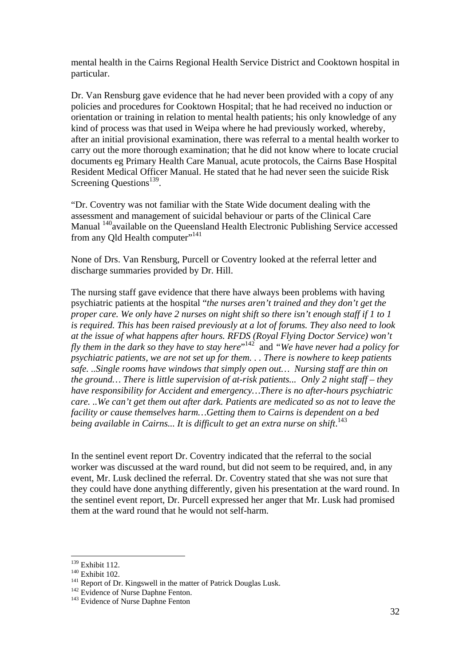mental health in the Cairns Regional Health Service District and Cooktown hospital in particular.

Dr. Van Rensburg gave evidence that he had never been provided with a copy of any policies and procedures for Cooktown Hospital; that he had received no induction or orientation or training in relation to mental health patients; his only knowledge of any kind of process was that used in Weipa where he had previously worked, whereby, after an initial provisional examination, there was referral to a mental health worker to carry out the more thorough examination; that he did not know where to locate crucial documents eg Primary Health Care Manual, acute protocols, the Cairns Base Hospital Resident Medical Officer Manual. He stated that he had never seen the suicide Risk Screening Questions $^{139}$ .

"Dr. Coventry was not familiar with the State Wide document dealing with the assessment and management of suicidal behaviour or parts of the Clinical Care Manual <sup>140</sup>available on the Queensland Health Electronic Publishing Service accessed from any Qld Health computer"<sup>141</sup>

None of Drs. Van Rensburg, Purcell or Coventry looked at the referral letter and discharge summaries provided by Dr. Hill.

The nursing staff gave evidence that there have always been problems with having psychiatric patients at the hospital "*the nurses aren't trained and they don't get the proper care. We only have 2 nurses on night shift so there isn't enough staff if 1 to 1 is required. This has been raised previously at a lot of forums. They also need to look at the issue of what happens after hours. RFDS (Royal Flying Doctor Service) won't fly them in the dark so they have to stay here*" 142 and *"We have never had a policy for psychiatric patients, we are not set up for them. . . There is nowhere to keep patients safe. ..Single rooms have windows that simply open out… Nursing staff are thin on the ground… There is little supervision of at-risk patients... Only 2 night staff – they have responsibility for Accident and emergency…There is no after-hours psychiatric care. ..We can't get them out after dark. Patients are medicated so as not to leave the facility or cause themselves harm…Getting them to Cairns is dependent on a bed*  being available in Cairns... It is difficult to get an extra nurse on shift.<sup>143</sup>

In the sentinel event report Dr. Coventry indicated that the referral to the social worker was discussed at the ward round, but did not seem to be required, and, in any event, Mr. Lusk declined the referral. Dr. Coventry stated that she was not sure that they could have done anything differently, given his presentation at the ward round. In the sentinel event report, Dr. Purcell expressed her anger that Mr. Lusk had promised them at the ward round that he would not self-harm.

 $139$  Exhibit 112.

<sup>140</sup> Exhibit 102.<br>
<sup>141</sup> Report of Dr. Kingswell in the matter of Patrick Douglas Lusk.<br>
<sup>142</sup> Evidence of Nurse Daphne Fenton.<br>
<sup>143</sup> Evidence of Nurse Daphne Fenton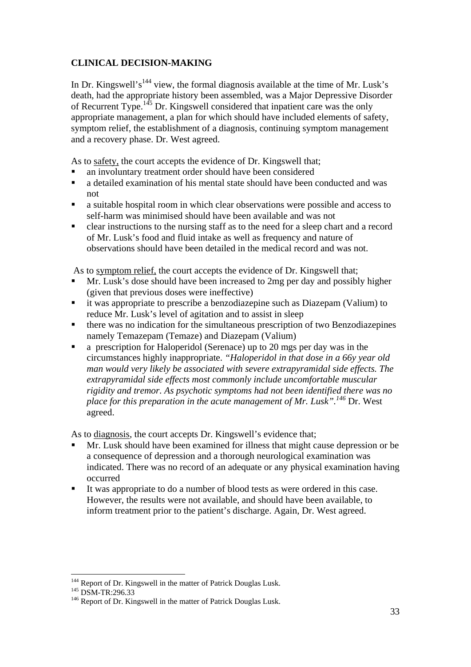# **CLINICAL DECISION-MAKING**

In Dr. Kingswell's<sup>144</sup> view, the formal diagnosis available at the time of Mr. Lusk's death, had the appropriate history been assembled, was a Major Depressive Disorder of Recurrent Type.145 Dr. Kingswell considered that inpatient care was the only appropriate management, a plan for which should have included elements of safety, symptom relief, the establishment of a diagnosis, continuing symptom management and a recovery phase. Dr. West agreed.

As to safety, the court accepts the evidence of Dr. Kingswell that;

- an involuntary treatment order should have been considered
- a detailed examination of his mental state should have been conducted and was not
- a suitable hospital room in which clear observations were possible and access to self-harm was minimised should have been available and was not
- clear instructions to the nursing staff as to the need for a sleep chart and a record of Mr. Lusk's food and fluid intake as well as frequency and nature of observations should have been detailed in the medical record and was not.

As to symptom relief, the court accepts the evidence of Dr. Kingswell that;

- Mr. Lusk's dose should have been increased to 2mg per day and possibly higher (given that previous doses were ineffective)
- it was appropriate to prescribe a benzodiazepine such as Diazepam (Valium) to reduce Mr. Lusk's level of agitation and to assist in sleep
- there was no indication for the simultaneous prescription of two Benzodiazepines namely Temazepam (Temaze) and Diazepam (Valium)
- a prescription for Haloperidol (Serenace) up to 20 mgs per day was in the circumstances highly inappropriate. *"Haloperidol in that dose in a 66y year old man would very likely be associated with severe extrapyramidal side effects. The extrapyramidal side effects most commonly include uncomfortable muscular rigidity and tremor. As psychotic symptoms had not been identified there was no place for this preparation in the acute management of Mr. Lusk".146* Dr. West agreed.

As to diagnosis, the court accepts Dr. Kingswell's evidence that;

- Mr. Lusk should have been examined for illness that might cause depression or be a consequence of depression and a thorough neurological examination was indicated. There was no record of an adequate or any physical examination having occurred
- It was appropriate to do a number of blood tests as were ordered in this case. However, the results were not available, and should have been available, to inform treatment prior to the patient's discharge. Again, Dr. West agreed.

<sup>&</sup>lt;sup>144</sup> Report of Dr. Kingswell in the matter of Patrick Douglas Lusk.<br><sup>145</sup> DSM-TR:296.33<br><sup>146</sup> Report of Dr. Kingswell in the matter of Patrick Douglas Lusk.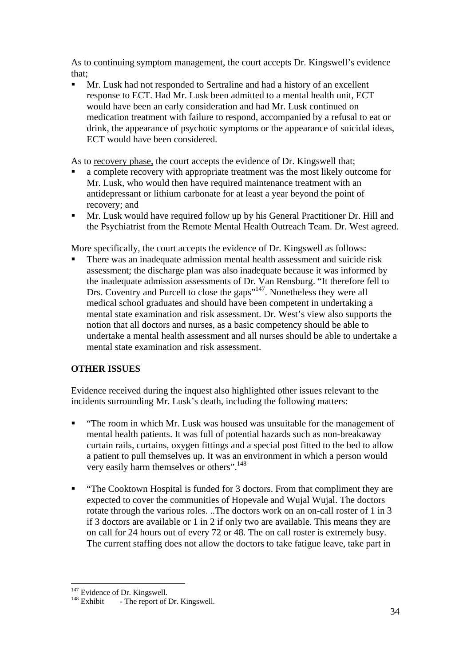As to continuing symptom management, the court accepts Dr. Kingswell's evidence that;

 Mr. Lusk had not responded to Sertraline and had a history of an excellent response to ECT. Had Mr. Lusk been admitted to a mental health unit, ECT would have been an early consideration and had Mr. Lusk continued on medication treatment with failure to respond, accompanied by a refusal to eat or drink, the appearance of psychotic symptoms or the appearance of suicidal ideas, ECT would have been considered.

As to recovery phase, the court accepts the evidence of Dr. Kingswell that;

- a complete recovery with appropriate treatment was the most likely outcome for Mr. Lusk, who would then have required maintenance treatment with an antidepressant or lithium carbonate for at least a year beyond the point of recovery; and
- Mr. Lusk would have required follow up by his General Practitioner Dr. Hill and the Psychiatrist from the Remote Mental Health Outreach Team. Dr. West agreed.

More specifically, the court accepts the evidence of Dr. Kingswell as follows:

 There was an inadequate admission mental health assessment and suicide risk assessment; the discharge plan was also inadequate because it was informed by the inadequate admission assessments of Dr. Van Rensburg. "It therefore fell to Drs. Coventry and Purcell to close the gaps<sup>"147</sup>. Nonetheless they were all medical school graduates and should have been competent in undertaking a mental state examination and risk assessment. Dr. West's view also supports the notion that all doctors and nurses, as a basic competency should be able to undertake a mental health assessment and all nurses should be able to undertake a mental state examination and risk assessment.

# **OTHER ISSUES**

Evidence received during the inquest also highlighted other issues relevant to the incidents surrounding Mr. Lusk's death, including the following matters:

- **"** "The room in which Mr. Lusk was housed was unsuitable for the management of mental health patients. It was full of potential hazards such as non-breakaway curtain rails, curtains, oxygen fittings and a special post fitted to the bed to allow a patient to pull themselves up. It was an environment in which a person would very easily harm themselves or others".<sup>148</sup>
- "The Cooktown Hospital is funded for 3 doctors. From that compliment they are expected to cover the communities of Hopevale and Wujal Wujal. The doctors rotate through the various roles. ..The doctors work on an on-call roster of 1 in 3 if 3 doctors are available or 1 in 2 if only two are available. This means they are on call for 24 hours out of every 72 or 48. The on call roster is extremely busy. The current staffing does not allow the doctors to take fatigue leave, take part in

<sup>&</sup>lt;sup>147</sup> Evidence of Dr. Kingswell.<br><sup>148</sup> Exhibit - The report of Dr. Kingswell.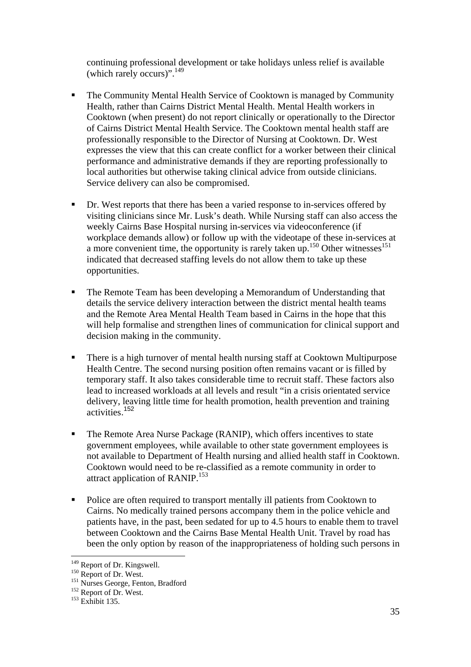continuing professional development or take holidays unless relief is available (which rarely occurs)".<sup>149</sup>

- The Community Mental Health Service of Cooktown is managed by Community Health, rather than Cairns District Mental Health. Mental Health workers in Cooktown (when present) do not report clinically or operationally to the Director of Cairns District Mental Health Service. The Cooktown mental health staff are professionally responsible to the Director of Nursing at Cooktown. Dr. West expresses the view that this can create conflict for a worker between their clinical performance and administrative demands if they are reporting professionally to local authorities but otherwise taking clinical advice from outside clinicians. Service delivery can also be compromised.
- Dr. West reports that there has been a varied response to in-services offered by visiting clinicians since Mr. Lusk's death. While Nursing staff can also access the weekly Cairns Base Hospital nursing in-services via videoconference (if workplace demands allow) or follow up with the videotape of these in-services at a more convenient time, the opportunity is rarely taken up.<sup>150</sup> Other witnesses<sup>151</sup> indicated that decreased staffing levels do not allow them to take up these opportunities.
- The Remote Team has been developing a Memorandum of Understanding that details the service delivery interaction between the district mental health teams and the Remote Area Mental Health Team based in Cairns in the hope that this will help formalise and strengthen lines of communication for clinical support and decision making in the community.
- There is a high turnover of mental health nursing staff at Cooktown Multipurpose Health Centre. The second nursing position often remains vacant or is filled by temporary staff. It also takes considerable time to recruit staff. These factors also lead to increased workloads at all levels and result "in a crisis orientated service delivery, leaving little time for health promotion, health prevention and training activities. <sup>152</sup>
- The Remote Area Nurse Package (RANIP), which offers incentives to state government employees, while available to other state government employees is not available to Department of Health nursing and allied health staff in Cooktown. Cooktown would need to be re-classified as a remote community in order to attract application of RANIP.<sup>153</sup>
- Police are often required to transport mentally ill patients from Cooktown to Cairns. No medically trained persons accompany them in the police vehicle and patients have, in the past, been sedated for up to 4.5 hours to enable them to travel between Cooktown and the Cairns Base Mental Health Unit. Travel by road has been the only option by reason of the inappropriateness of holding such persons in

<sup>&</sup>lt;sup>149</sup> Report of Dr. Kingswell.

<sup>150</sup> Report of Dr. West.<br>
<sup>151</sup> Nurses George, Fenton, Bradford<br>
<sup>152</sup> Report of Dr. West.<br>
<sup>153</sup> Exhibit 135.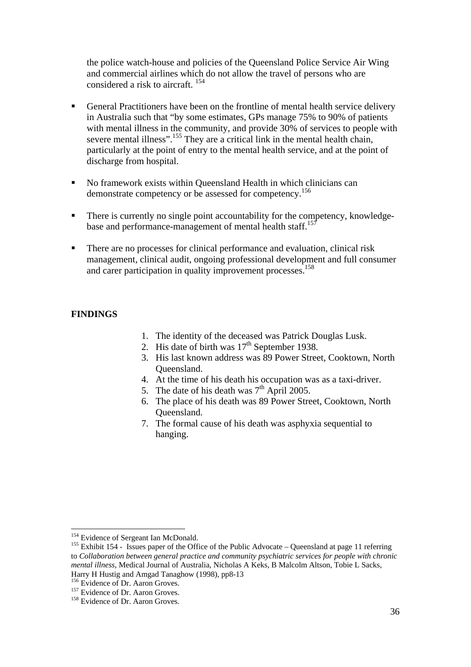the police watch-house and policies of the Queensland Police Service Air Wing and commercial airlines which do not allow the travel of persons who are considered a risk to aircraft. <sup>154</sup>

- General Practitioners have been on the frontline of mental health service delivery in Australia such that "by some estimates, GPs manage 75% to 90% of patients with mental illness in the community, and provide 30% of services to people with severe mental illness".<sup>155</sup> They are a critical link in the mental health chain, particularly at the point of entry to the mental health service, and at the point of discharge from hospital.
- No framework exists within Queensland Health in which clinicians can demonstrate competency or be assessed for competency.156
- There is currently no single point accountability for the competency, knowledgebase and performance-management of mental health staff.<sup>157</sup>
- There are no processes for clinical performance and evaluation, clinical risk management, clinical audit, ongoing professional development and full consumer and carer participation in quality improvement processes.<sup>158</sup>

#### **FINDINGS**

- 1. The identity of the deceased was Patrick Douglas Lusk.
- 2. His date of birth was  $17<sup>th</sup>$  September 1938.
- 3. His last known address was 89 Power Street, Cooktown, North Queensland.
- 4. At the time of his death his occupation was as a taxi-driver.
- 5. The date of his death was  $7<sup>th</sup>$  April 2005.
- 6. The place of his death was 89 Power Street, Cooktown, North Queensland.
- 7. The formal cause of his death was asphyxia sequential to hanging.

<sup>&</sup>lt;sup>154</sup> Evidence of Sergeant Ian McDonald.

<sup>&</sup>lt;sup>155</sup> Exhibit 154 - Issues paper of the Office of the Public Advocate – Queensland at page 11 referring to *Collaboration between general practice and community psychiatric services for people with chronic mental illness*, Medical Journal of Australia, Nicholas A Keks, B Malcolm Altson, Tobie L Sacks, Harry H Hustig and Amgad Tanaghow (1998), pp8-13

<sup>&</sup>lt;sup>156</sup> Evidence of Dr. Aaron Groves.<br><sup>157</sup> Evidence of Dr. Aaron Groves.<br><sup>158</sup> Evidence of Dr. Aaron Groves.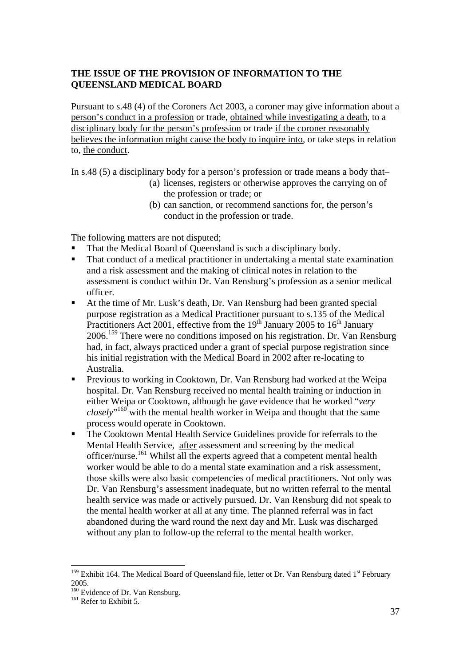#### **THE ISSUE OF THE PROVISION OF INFORMATION TO THE QUEENSLAND MEDICAL BOARD**

Pursuant to s.48 (4) of the Coroners Act 2003, a coroner may give information about a person's conduct in a profession or trade, obtained while investigating a death, to a disciplinary body for the person's profession or trade if the coroner reasonably believes the information might cause the body to inquire into, or take steps in relation to, the conduct.

In s.48 (5) a disciplinary body for a person's profession or trade means a body that–

- (a) licenses, registers or otherwise approves the carrying on of the profession or trade; or
- (b) can sanction, or recommend sanctions for, the person's conduct in the profession or trade.

The following matters are not disputed;

- That the Medical Board of Queensland is such a disciplinary body.
- That conduct of a medical practitioner in undertaking a mental state examination and a risk assessment and the making of clinical notes in relation to the assessment is conduct within Dr. Van Rensburg's profession as a senior medical officer.
- At the time of Mr. Lusk's death, Dr. Van Rensburg had been granted special purpose registration as a Medical Practitioner pursuant to s.135 of the Medical Practitioners Act 2001, effective from the  $19<sup>th</sup>$  January 2005 to  $16<sup>th</sup>$  January 2006.159 There were no conditions imposed on his registration. Dr. Van Rensburg had, in fact, always practiced under a grant of special purpose registration since his initial registration with the Medical Board in 2002 after re-locating to Australia.
- **Previous to working in Cooktown, Dr. Van Rensburg had worked at the Weipa** hospital. Dr. Van Rensburg received no mental health training or induction in either Weipa or Cooktown, although he gave evidence that he worked "*very closely*" 160 with the mental health worker in Weipa and thought that the same process would operate in Cooktown.
- The Cooktown Mental Health Service Guidelines provide for referrals to the Mental Health Service, after assessment and screening by the medical officer/nurse.161 Whilst all the experts agreed that a competent mental health worker would be able to do a mental state examination and a risk assessment, those skills were also basic competencies of medical practitioners. Not only was Dr. Van Rensburg's assessment inadequate, but no written referral to the mental health service was made or actively pursued. Dr. Van Rensburg did not speak to the mental health worker at all at any time. The planned referral was in fact abandoned during the ward round the next day and Mr. Lusk was discharged without any plan to follow-up the referral to the mental health worker.

 $159$  Exhibit 164. The Medical Board of Queensland file, letter ot Dr. Van Rensburg dated  $1<sup>st</sup>$  February 2005.

 $160$  Evidence of Dr. Van Rensburg.<br><sup>161</sup> Refer to Exhibit 5.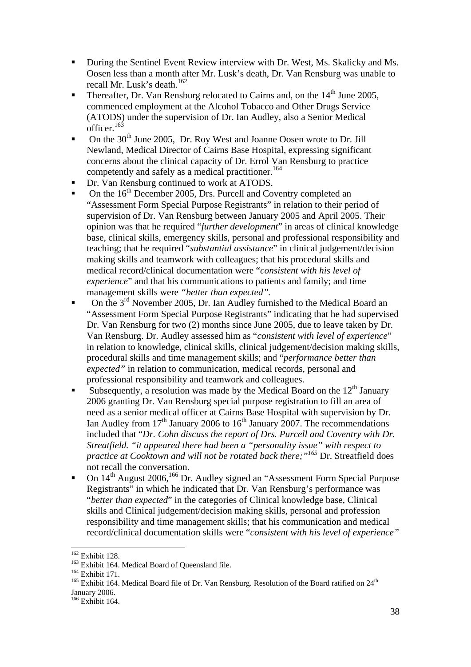- During the Sentinel Event Review interview with Dr. West, Ms. Skalicky and Ms. Oosen less than a month after Mr. Lusk's death, Dr. Van Rensburg was unable to recall Mr. Lusk's death.<sup>162</sup>
- Thereafter, Dr. Van Rensburg relocated to Cairns and, on the  $14<sup>th</sup>$  June 2005, commenced employment at the Alcohol Tobacco and Other Drugs Service (ATODS) under the supervision of Dr. Ian Audley, also a Senior Medical officer.<sup>163</sup>
- $\blacksquare$  On the 30<sup>th</sup> June 2005, Dr. Roy West and Joanne Oosen wrote to Dr. Jill Newland, Medical Director of Cairns Base Hospital, expressing significant concerns about the clinical capacity of Dr. Errol Van Rensburg to practice competently and safely as a medical practitioner.<sup>164</sup>
- Dr. Van Rensburg continued to work at ATODS.
- On the 16<sup>th</sup> December 2005, Drs. Purcell and Coventry completed an "Assessment Form Special Purpose Registrants" in relation to their period of supervision of Dr. Van Rensburg between January 2005 and April 2005. Their opinion was that he required "*further development*" in areas of clinical knowledge base, clinical skills, emergency skills, personal and professional responsibility and teaching; that he required "*substantial assistance*" in clinical judgement/decision making skills and teamwork with colleagues; that his procedural skills and medical record/clinical documentation were "*consistent with his level of experience*" and that his communications to patients and family; and time management skills were *"better than expected".*
- On the  $3^{rd}$  November 2005, Dr. Ian Audley furnished to the Medical Board an "Assessment Form Special Purpose Registrants" indicating that he had supervised Dr. Van Rensburg for two (2) months since June 2005, due to leave taken by Dr. Van Rensburg. Dr. Audley assessed him as "*consistent with level of experience*" in relation to knowledge, clinical skills, clinical judgement/decision making skills, procedural skills and time management skills; and "*performance better than expected"* in relation to communication, medical records, personal and professional responsibility and teamwork and colleagues.
- Subsequently, a resolution was made by the Medical Board on the  $12<sup>th</sup>$  January 2006 granting Dr. Van Rensburg special purpose registration to fill an area of need as a senior medical officer at Cairns Base Hospital with supervision by Dr. Ian Audley from  $17<sup>th</sup>$  January 2006 to  $16<sup>th</sup>$  January 2007. The recommendations included that "*Dr. Cohn discuss the report of Drs. Purcell and Coventry with Dr. Streatfield. "it appeared there had been a "personality issue" with respect to practice at Cooktown and will not be rotated back there;"165* Dr. Streatfield does not recall the conversation.
- On 14<sup>th</sup> August 2006,<sup>166</sup> Dr. Audley signed an "Assessment Form Special Purpose Registrants" in which he indicated that Dr. Van Rensburg's performance was "*better than expected*" in the categories of Clinical knowledge base, Clinical skills and Clinical judgement/decision making skills, personal and profession responsibility and time management skills; that his communication and medical record/clinical documentation skills were "*consistent with his level of experience"*

 $\overline{a}$ 

<sup>&</sup>lt;sup>162</sup> Exhibit 128.<br><sup>163</sup> Exhibit 164. Medical Board of Queensland file.<br><sup>164</sup> Exhibit 171.<br><sup>165</sup> Exhibit 164. Medical Board file of Dr. Van Rensburg. Resolution of the Board ratified on 24<sup>th</sup> January 2006.

 $166$  Exhibit 164.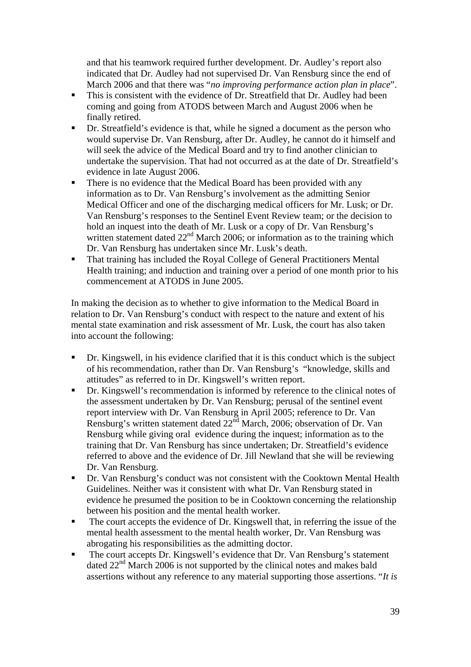and that his teamwork required further development. Dr. Audley's report also indicated that Dr. Audley had not supervised Dr. Van Rensburg since the end of March 2006 and that there was "*no improving performance action plan in place*".

- This is consistent with the evidence of Dr. Streatfield that Dr. Audley had been coming and going from ATODS between March and August 2006 when he finally retired.
- Dr. Streatfield's evidence is that, while he signed a document as the person who would supervise Dr. Van Rensburg, after Dr. Audley, he cannot do it himself and will seek the advice of the Medical Board and try to find another clinician to undertake the supervision. That had not occurred as at the date of Dr. Streatfield's evidence in late August 2006.
- There is no evidence that the Medical Board has been provided with any information as to Dr. Van Rensburg's involvement as the admitting Senior Medical Officer and one of the discharging medical officers for Mr. Lusk; or Dr. Van Rensburg's responses to the Sentinel Event Review team; or the decision to hold an inquest into the death of Mr. Lusk or a copy of Dr. Van Rensburg's written statement dated  $22<sup>nd</sup>$  March 2006; or information as to the training which Dr. Van Rensburg has undertaken since Mr. Lusk's death.
- That training has included the Royal College of General Practitioners Mental Health training; and induction and training over a period of one month prior to his commencement at ATODS in June 2005.

In making the decision as to whether to give information to the Medical Board in relation to Dr. Van Rensburg's conduct with respect to the nature and extent of his mental state examination and risk assessment of Mr. Lusk, the court has also taken into account the following:

- Dr. Kingswell, in his evidence clarified that it is this conduct which is the subject of his recommendation, rather than Dr. Van Rensburg's "knowledge, skills and attitudes" as referred to in Dr. Kingswell's written report.
- Dr. Kingswell's recommendation is informed by reference to the clinical notes of the assessment undertaken by Dr. Van Rensburg; perusal of the sentinel event report interview with Dr. Van Rensburg in April 2005; reference to Dr. Van Rensburg's written statement dated  $22<sup>nd</sup>$  March, 2006; observation of Dr. Van Rensburg while giving oral evidence during the inquest; information as to the training that Dr. Van Rensburg has since undertaken; Dr. Streatfield's evidence referred to above and the evidence of Dr. Jill Newland that she will be reviewing Dr. Van Rensburg.
- Dr. Van Rensburg's conduct was not consistent with the Cooktown Mental Health Guidelines. Neither was it consistent with what Dr. Van Rensburg stated in evidence he presumed the position to be in Cooktown concerning the relationship between his position and the mental health worker.
- The court accepts the evidence of Dr. Kingswell that, in referring the issue of the mental health assessment to the mental health worker, Dr. Van Rensburg was abrogating his responsibilities as the admitting doctor.
- The court accepts Dr. Kingswell's evidence that Dr. Van Rensburg's statement dated 22<sup>nd</sup> March 2006 is not supported by the clinical notes and makes bald assertions without any reference to any material supporting those assertions. "*It is*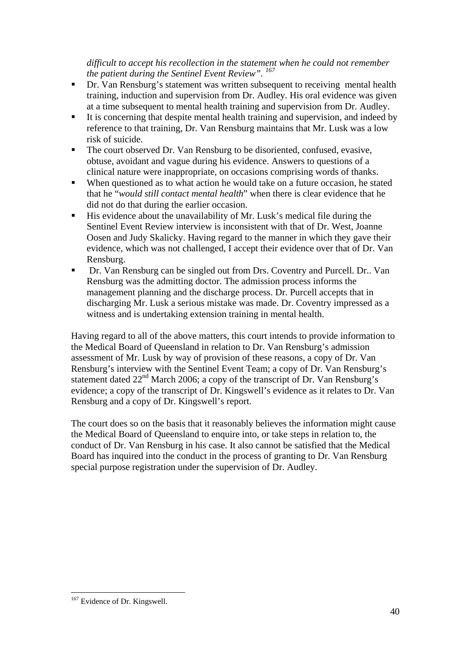#### *difficult to accept his recollection in the statement when he could not remember the patient during the Sentinel Event Review". 167*

- **•** Dr. Van Rensburg's statement was written subsequent to receiving mental health training, induction and supervision from Dr. Audley. His oral evidence was given at a time subsequent to mental health training and supervision from Dr. Audley.
- It is concerning that despite mental health training and supervision, and indeed by reference to that training, Dr. Van Rensburg maintains that Mr. Lusk was a low risk of suicide.
- The court observed Dr. Van Rensburg to be disoriented, confused, evasive, obtuse, avoidant and vague during his evidence. Answers to questions of a clinical nature were inappropriate, on occasions comprising words of thanks.
- When questioned as to what action he would take on a future occasion, he stated that he "*would still contact mental health*" when there is clear evidence that he did not do that during the earlier occasion.
- $\blacksquare$  His evidence about the unavailability of Mr. Lusk's medical file during the Sentinel Event Review interview is inconsistent with that of Dr. West, Joanne Oosen and Judy Skalicky. Having regard to the manner in which they gave their evidence, which was not challenged, I accept their evidence over that of Dr. Van Rensburg.
- Dr. Van Rensburg can be singled out from Drs. Coventry and Purcell. Dr.. Van Rensburg was the admitting doctor. The admission process informs the management planning and the discharge process. Dr. Purcell accepts that in discharging Mr. Lusk a serious mistake was made. Dr. Coventry impressed as a witness and is undertaking extension training in mental health.

Having regard to all of the above matters, this court intends to provide information to the Medical Board of Queensland in relation to Dr. Van Rensburg's admission assessment of Mr. Lusk by way of provision of these reasons, a copy of Dr. Van Rensburg's interview with the Sentinel Event Team; a copy of Dr. Van Rensburg's statement dated 22<sup>nd</sup> March 2006; a copy of the transcript of Dr. Van Rensburg's evidence; a copy of the transcript of Dr. Kingswell's evidence as it relates to Dr. Van Rensburg and a copy of Dr. Kingswell's report.

The court does so on the basis that it reasonably believes the information might cause the Medical Board of Queensland to enquire into, or take steps in relation to, the conduct of Dr. Van Rensburg in his case. It also cannot be satisfied that the Medical Board has inquired into the conduct in the process of granting to Dr. Van Rensburg special purpose registration under the supervision of Dr. Audley.

 $\overline{a}$ <sup>167</sup> Evidence of Dr. Kingswell.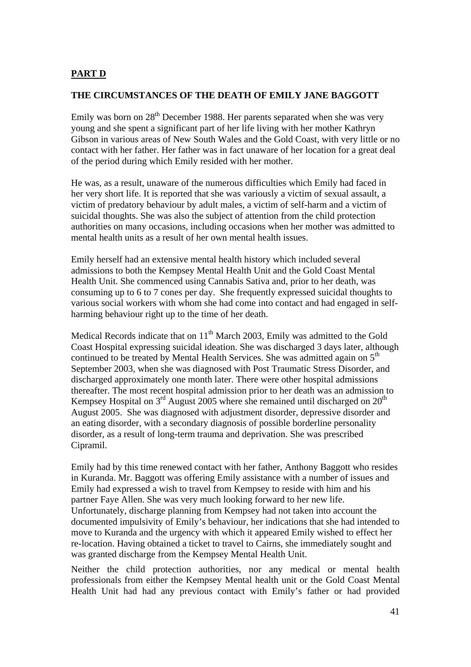#### **PART D**

#### **THE CIRCUMSTANCES OF THE DEATH OF EMILY JANE BAGGOTT**

Emily was born on  $28<sup>th</sup>$  December 1988. Her parents separated when she was very young and she spent a significant part of her life living with her mother Kathryn Gibson in various areas of New South Wales and the Gold Coast, with very little or no contact with her father. Her father was in fact unaware of her location for a great deal of the period during which Emily resided with her mother.

He was, as a result, unaware of the numerous difficulties which Emily had faced in her very short life. It is reported that she was variously a victim of sexual assault, a victim of predatory behaviour by adult males, a victim of self-harm and a victim of suicidal thoughts. She was also the subject of attention from the child protection authorities on many occasions, including occasions when her mother was admitted to mental health units as a result of her own mental health issues.

Emily herself had an extensive mental health history which included several admissions to both the Kempsey Mental Health Unit and the Gold Coast Mental Health Unit. She commenced using Cannabis Sativa and, prior to her death, was consuming up to 6 to 7 cones per day. She frequently expressed suicidal thoughts to various social workers with whom she had come into contact and had engaged in selfharming behaviour right up to the time of her death.

Medical Records indicate that on  $11<sup>th</sup>$  March 2003, Emily was admitted to the Gold Coast Hospital expressing suicidal ideation. She was discharged 3 days later, although continued to be treated by Mental Health Services. She was admitted again on  $5<sup>th</sup>$ September 2003, when she was diagnosed with Post Traumatic Stress Disorder, and discharged approximately one month later. There were other hospital admissions thereafter. The most recent hospital admission prior to her death was an admission to Kempsey Hospital on  $3<sup>rd</sup>$  August 2005 where she remained until discharged on  $20<sup>th</sup>$ August 2005. She was diagnosed with adjustment disorder, depressive disorder and an eating disorder, with a secondary diagnosis of possible borderline personality disorder, as a result of long-term trauma and deprivation. She was prescribed Cipramil.

Emily had by this time renewed contact with her father, Anthony Baggott who resides in Kuranda. Mr. Baggott was offering Emily assistance with a number of issues and Emily had expressed a wish to travel from Kempsey to reside with him and his partner Faye Allen. She was very much looking forward to her new life. Unfortunately, discharge planning from Kempsey had not taken into account the documented impulsivity of Emily's behaviour, her indications that she had intended to move to Kuranda and the urgency with which it appeared Emily wished to effect her re-location. Having obtained a ticket to travel to Cairns, she immediately sought and was granted discharge from the Kempsey Mental Health Unit.

Neither the child protection authorities, nor any medical or mental health professionals from either the Kempsey Mental health unit or the Gold Coast Mental Health Unit had had any previous contact with Emily's father or had provided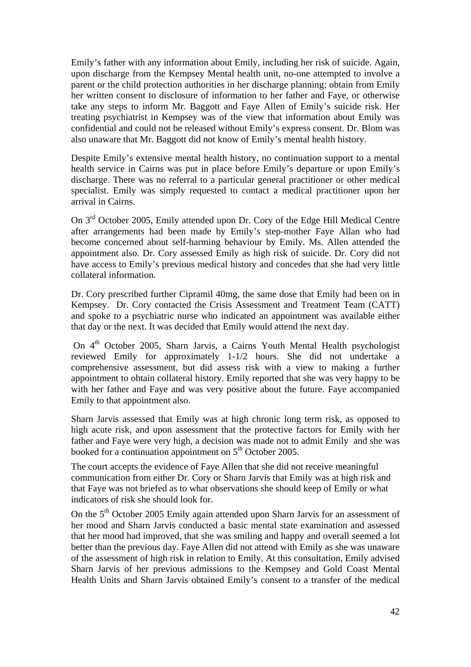Emily's father with any information about Emily, including her risk of suicide. Again, upon discharge from the Kempsey Mental health unit, no-one attempted to involve a parent or the child protection authorities in her discharge planning; obtain from Emily her written consent to disclosure of information to her father and Faye, or otherwise take any steps to inform Mr. Baggott and Faye Allen of Emily's suicide risk. Her treating psychiatrist in Kempsey was of the view that information about Emily was confidential and could not be released without Emily's express consent. Dr. Blom was also unaware that Mr. Baggott did not know of Emily's mental health history.

Despite Emily's extensive mental health history, no continuation support to a mental health service in Cairns was put in place before Emily's departure or upon Emily's discharge. There was no referral to a particular general practitioner or other medical specialist. Emily was simply requested to contact a medical practitioner upon her arrival in Cairns.

On 3rd October 2005, Emily attended upon Dr. Cory of the Edge Hill Medical Centre after arrangements had been made by Emily's step-mother Faye Allan who had become concerned about self-harming behaviour by Emily. Ms. Allen attended the appointment also. Dr. Cory assessed Emily as high risk of suicide. Dr. Cory did not have access to Emily's previous medical history and concedes that she had very little collateral information.

Dr. Cory prescribed further Cipramil 40mg, the same dose that Emily had been on in Kempsey. Dr. Cory contacted the Crisis Assessment and Treatment Team (CATT) and spoke to a psychiatric nurse who indicated an appointment was available either that day or the next. It was decided that Emily would attend the next day.

On 4<sup>th</sup> October 2005, Sharn Jarvis, a Cairns Youth Mental Health psychologist reviewed Emily for approximately 1-1/2 hours. She did not undertake a comprehensive assessment, but did assess risk with a view to making a further appointment to obtain collateral history. Emily reported that she was very happy to be with her father and Faye and was very positive about the future. Faye accompanied Emily to that appointment also.

Sharn Jarvis assessed that Emily was at high chronic long term risk, as opposed to high acute risk, and upon assessment that the protective factors for Emily with her father and Faye were very high, a decision was made not to admit Emily and she was booked for a continuation appointment on  $5<sup>th</sup>$  October 2005.

The court accepts the evidence of Faye Allen that she did not receive meaningful communication from either Dr. Cory or Sharn Jarvis that Emily was at high risk and that Faye was not briefed as to what observations she should keep of Emily or what indicators of risk she should look for.

On the 5<sup>th</sup> October 2005 Emily again attended upon Sharn Jarvis for an assessment of her mood and Sharn Jarvis conducted a basic mental state examination and assessed that her mood had improved, that she was smiling and happy and overall seemed a lot better than the previous day. Faye Allen did not attend with Emily as she was unaware of the assessment of high risk in relation to Emily. At this consultation, Emily advised Sharn Jarvis of her previous admissions to the Kempsey and Gold Coast Mental Health Units and Sharn Jarvis obtained Emily's consent to a transfer of the medical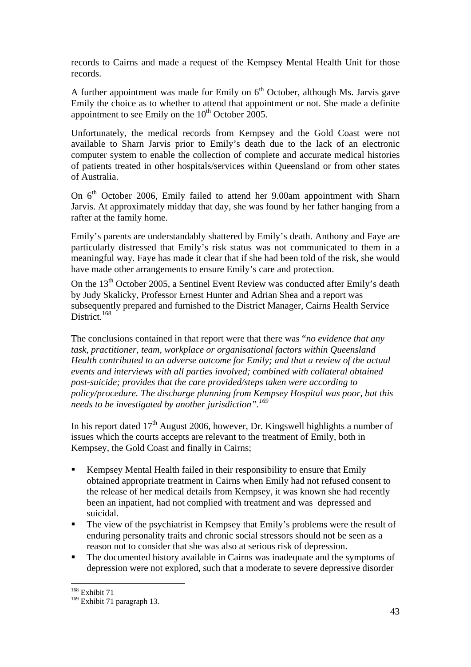records to Cairns and made a request of the Kempsey Mental Health Unit for those records.

A further appointment was made for Emily on  $6<sup>th</sup>$  October, although Ms. Jarvis gave Emily the choice as to whether to attend that appointment or not. She made a definite appointment to see Emily on the  $10<sup>th</sup>$  October 2005.

Unfortunately, the medical records from Kempsey and the Gold Coast were not available to Sharn Jarvis prior to Emily's death due to the lack of an electronic computer system to enable the collection of complete and accurate medical histories of patients treated in other hospitals/services within Queensland or from other states of Australia.

On  $6<sup>th</sup>$  October 2006, Emily failed to attend her 9.00am appointment with Sharn Jarvis. At approximately midday that day, she was found by her father hanging from a rafter at the family home.

Emily's parents are understandably shattered by Emily's death. Anthony and Faye are particularly distressed that Emily's risk status was not communicated to them in a meaningful way. Faye has made it clear that if she had been told of the risk, she would have made other arrangements to ensure Emily's care and protection.

On the  $13<sup>th</sup>$  October 2005, a Sentinel Event Review was conducted after Emily's death by Judy Skalicky, Professor Ernest Hunter and Adrian Shea and a report was subsequently prepared and furnished to the District Manager, Cairns Health Service District.<sup>168</sup>

The conclusions contained in that report were that there was "*no evidence that any task, practitioner, team, workplace or organisational factors within Queensland Health contributed to an adverse outcome for Emily; and that a review of the actual events and interviews with all parties involved; combined with collateral obtained post-suicide; provides that the care provided/steps taken were according to policy/procedure. The discharge planning from Kempsey Hospital was poor, but this needs to be investigated by another jurisdiction".169*

In his report dated  $17<sup>th</sup>$  August 2006, however, Dr. Kingswell highlights a number of issues which the courts accepts are relevant to the treatment of Emily, both in Kempsey, the Gold Coast and finally in Cairns;

- Kempsey Mental Health failed in their responsibility to ensure that Emily obtained appropriate treatment in Cairns when Emily had not refused consent to the release of her medical details from Kempsey, it was known she had recently been an inpatient, had not complied with treatment and was depressed and suicidal.
- The view of the psychiatrist in Kempsey that Emily's problems were the result of enduring personality traits and chronic social stressors should not be seen as a reason not to consider that she was also at serious risk of depression.
- The documented history available in Cairns was inadequate and the symptoms of depression were not explored, such that a moderate to severe depressive disorder

 $\overline{a}$ 168 Exhibit 71

<sup>&</sup>lt;sup>169</sup> Exhibit 71 paragraph 13.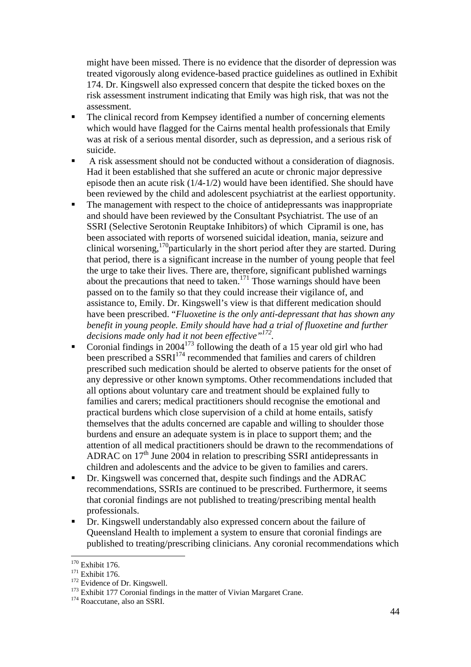might have been missed. There is no evidence that the disorder of depression was treated vigorously along evidence-based practice guidelines as outlined in Exhibit 174. Dr. Kingswell also expressed concern that despite the ticked boxes on the risk assessment instrument indicating that Emily was high risk, that was not the assessment.

- The clinical record from Kempsey identified a number of concerning elements which would have flagged for the Cairns mental health professionals that Emily was at risk of a serious mental disorder, such as depression, and a serious risk of suicide.
- A risk assessment should not be conducted without a consideration of diagnosis. Had it been established that she suffered an acute or chronic major depressive episode then an acute risk (1/4-1/2) would have been identified. She should have been reviewed by the child and adolescent psychiatrist at the earliest opportunity.
- The management with respect to the choice of antidepressants was inappropriate and should have been reviewed by the Consultant Psychiatrist. The use of an SSRI (Selective Serotonin Reuptake Inhibitors) of which Cipramil is one, has been associated with reports of worsened suicidal ideation, mania, seizure and clinical worsening,<sup>170</sup>particularly in the short period after they are started. During that period, there is a significant increase in the number of young people that feel the urge to take their lives. There are, therefore, significant published warnings about the precautions that need to taken.<sup>171</sup> Those warnings should have been passed on to the family so that they could increase their vigilance of, and assistance to, Emily. Dr. Kingswell's view is that different medication should have been prescribed. "*Fluoxetine is the only anti-depressant that has shown any benefit in young people. Emily should have had a trial of fluoxetine and further decisions made only had it not been effective"172.*
- Coronial findings in  $2004^{173}$  following the death of a 15 year old girl who had been prescribed a SSRI<sup>174</sup> recommended that families and carers of children prescribed such medication should be alerted to observe patients for the onset of any depressive or other known symptoms. Other recommendations included that all options about voluntary care and treatment should be explained fully to families and carers; medical practitioners should recognise the emotional and practical burdens which close supervision of a child at home entails, satisfy themselves that the adults concerned are capable and willing to shoulder those burdens and ensure an adequate system is in place to support them; and the attention of all medical practitioners should be drawn to the recommendations of ADRAC on  $17<sup>th</sup>$  June 2004 in relation to prescribing SSRI antidepressants in children and adolescents and the advice to be given to families and carers.
- Dr. Kingswell was concerned that, despite such findings and the ADRAC recommendations, SSRIs are continued to be prescribed. Furthermore, it seems that coronial findings are not published to treating/prescribing mental health professionals.
- Dr. Kingswell understandably also expressed concern about the failure of Queensland Health to implement a system to ensure that coronial findings are published to treating/prescribing clinicians. Any coronial recommendations which

 $170$  Exhibit 176.

<sup>171</sup> Exhibit 176.<br>
<sup>172</sup> Evidence of Dr. Kingswell.<br>
<sup>173</sup> Exhibit 177 Coronial findings in the matter of Vivian Margaret Crane.<br>
<sup>174</sup> Roaccutane, also an SSRI.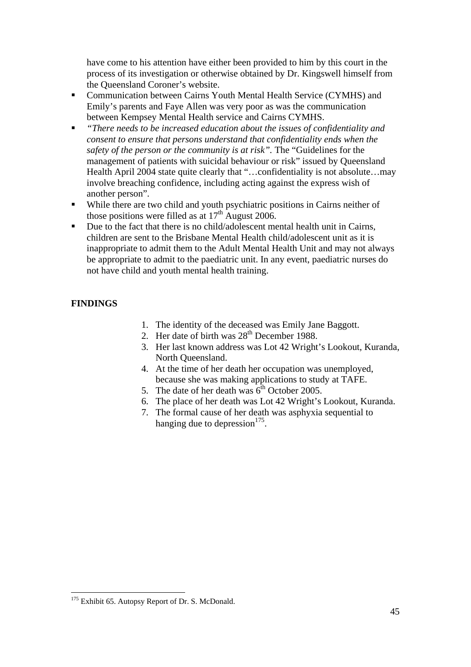have come to his attention have either been provided to him by this court in the process of its investigation or otherwise obtained by Dr. Kingswell himself from the Queensland Coroner's website.

- Communication between Cairns Youth Mental Health Service (CYMHS) and Emily's parents and Faye Allen was very poor as was the communication between Kempsey Mental Health service and Cairns CYMHS.
- *"There needs to be increased education about the issues of confidentiality and consent to ensure that persons understand that confidentiality ends when the safety of the person or the community is at risk".* The "Guidelines for the management of patients with suicidal behaviour or risk" issued by Queensland Health April 2004 state quite clearly that "…confidentiality is not absolute…may involve breaching confidence, including acting against the express wish of another person".
- While there are two child and youth psychiatric positions in Cairns neither of those positions were filled as at  $17<sup>th</sup>$  August 2006.
- Due to the fact that there is no child/adolescent mental health unit in Cairns, children are sent to the Brisbane Mental Health child/adolescent unit as it is inappropriate to admit them to the Adult Mental Health Unit and may not always be appropriate to admit to the paediatric unit. In any event, paediatric nurses do not have child and youth mental health training.

## **FINDINGS**

- 1. The identity of the deceased was Emily Jane Baggott.
- 2. Her date of birth was  $28<sup>th</sup>$  December 1988.
- 3. Her last known address was Lot 42 Wright's Lookout, Kuranda, North Queensland.
- 4. At the time of her death her occupation was unemployed, because she was making applications to study at TAFE.
- 5. The date of her death was  $6<sup>th</sup>$  October 2005.
- 6. The place of her death was Lot 42 Wright's Lookout, Kuranda.
- 7. The formal cause of her death was asphyxia sequential to hanging due to depression $175$ .

<sup>&</sup>lt;sup>175</sup> Exhibit 65. Autopsy Report of Dr. S. McDonald.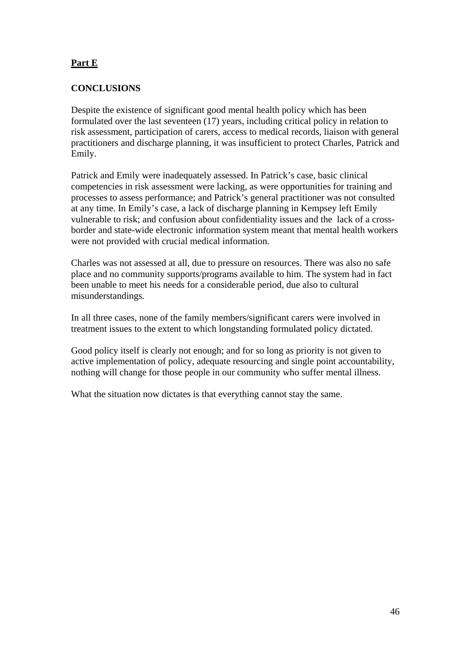# **Part E**

#### **CONCLUSIONS**

Despite the existence of significant good mental health policy which has been formulated over the last seventeen (17) years, including critical policy in relation to risk assessment, participation of carers, access to medical records, liaison with general practitioners and discharge planning, it was insufficient to protect Charles, Patrick and Emily.

Patrick and Emily were inadequately assessed. In Patrick's case, basic clinical competencies in risk assessment were lacking, as were opportunities for training and processes to assess performance; and Patrick's general practitioner was not consulted at any time. In Emily's case, a lack of discharge planning in Kempsey left Emily vulnerable to risk; and confusion about confidentiality issues and the lack of a crossborder and state-wide electronic information system meant that mental health workers were not provided with crucial medical information.

Charles was not assessed at all, due to pressure on resources. There was also no safe place and no community supports/programs available to him. The system had in fact been unable to meet his needs for a considerable period, due also to cultural misunderstandings.

In all three cases, none of the family members/significant carers were involved in treatment issues to the extent to which longstanding formulated policy dictated.

Good policy itself is clearly not enough; and for so long as priority is not given to active implementation of policy, adequate resourcing and single point accountability, nothing will change for those people in our community who suffer mental illness.

What the situation now dictates is that everything cannot stay the same.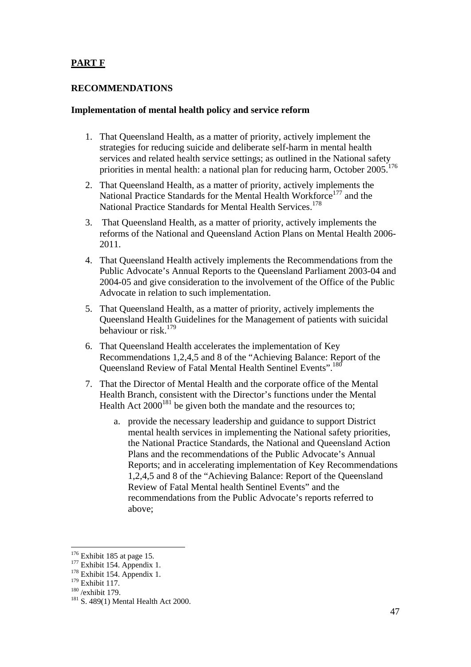# **PART F**

#### **RECOMMENDATIONS**

#### **Implementation of mental health policy and service reform**

- 1. That Queensland Health, as a matter of priority, actively implement the strategies for reducing suicide and deliberate self-harm in mental health services and related health service settings; as outlined in the National safety priorities in mental health: a national plan for reducing harm, October 2005.<sup>176</sup>
- 2. That Queensland Health, as a matter of priority, actively implements the National Practice Standards for the Mental Health Workforce<sup>177</sup> and the National Practice Standards for Mental Health Services.<sup>178</sup>
- 3. That Queensland Health, as a matter of priority, actively implements the reforms of the National and Queensland Action Plans on Mental Health 2006- 2011.
- 4. That Queensland Health actively implements the Recommendations from the Public Advocate's Annual Reports to the Queensland Parliament 2003-04 and 2004-05 and give consideration to the involvement of the Office of the Public Advocate in relation to such implementation.
- 5. That Queensland Health, as a matter of priority, actively implements the Queensland Health Guidelines for the Management of patients with suicidal behaviour or risk.179
- 6. That Queensland Health accelerates the implementation of Key Recommendations 1,2,4,5 and 8 of the "Achieving Balance: Report of the Queensland Review of Fatal Mental Health Sentinel Events".<sup>180</sup>
- 7. That the Director of Mental Health and the corporate office of the Mental Health Branch, consistent with the Director's functions under the Mental Health Act  $2000^{181}$  be given both the mandate and the resources to;
	- a. provide the necessary leadership and guidance to support District mental health services in implementing the National safety priorities, the National Practice Standards, the National and Queensland Action Plans and the recommendations of the Public Advocate's Annual Reports; and in accelerating implementation of Key Recommendations 1,2,4,5 and 8 of the "Achieving Balance: Report of the Queensland Review of Fatal Mental health Sentinel Events" and the recommendations from the Public Advocate's reports referred to above;

 $176$  Exhibit 185 at page 15.

<sup>177</sup> Exhibit 154. Appendix 1.<br>
<sup>178</sup> Exhibit 154. Appendix 1.<br>
<sup>179</sup> Exhibit 117.

 $\frac{180}{260}$ /exhibit 179.<br><sup>181</sup> S. 489(1) Mental Health Act 2000.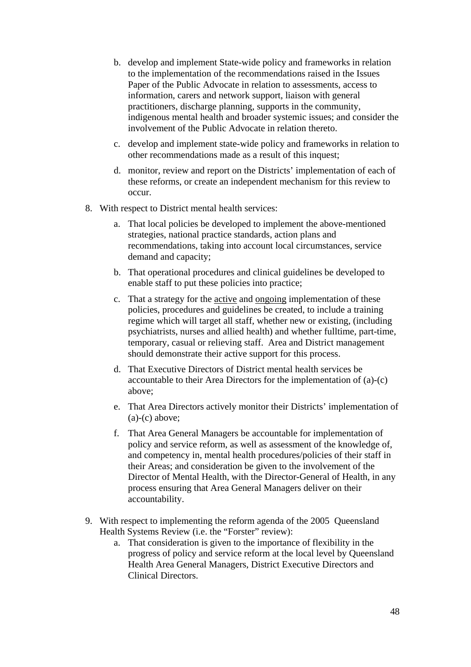- b. develop and implement State-wide policy and frameworks in relation to the implementation of the recommendations raised in the Issues Paper of the Public Advocate in relation to assessments, access to information, carers and network support, liaison with general practitioners, discharge planning, supports in the community, indigenous mental health and broader systemic issues; and consider the involvement of the Public Advocate in relation thereto.
- c. develop and implement state-wide policy and frameworks in relation to other recommendations made as a result of this inquest;
- d. monitor, review and report on the Districts' implementation of each of these reforms, or create an independent mechanism for this review to occur.
- 8. With respect to District mental health services:
	- a. That local policies be developed to implement the above-mentioned strategies, national practice standards, action plans and recommendations, taking into account local circumstances, service demand and capacity;
	- b. That operational procedures and clinical guidelines be developed to enable staff to put these policies into practice;
	- c. That a strategy for the active and ongoing implementation of these policies, procedures and guidelines be created, to include a training regime which will target all staff, whether new or existing, (including psychiatrists, nurses and allied health) and whether fulltime, part-time, temporary, casual or relieving staff. Area and District management should demonstrate their active support for this process.
	- d. That Executive Directors of District mental health services be accountable to their Area Directors for the implementation of (a)-(c) above;
	- e. That Area Directors actively monitor their Districts' implementation of  $(a)-(c)$  above;
	- f. That Area General Managers be accountable for implementation of policy and service reform, as well as assessment of the knowledge of, and competency in, mental health procedures/policies of their staff in their Areas; and consideration be given to the involvement of the Director of Mental Health, with the Director-General of Health, in any process ensuring that Area General Managers deliver on their accountability.
- 9. With respect to implementing the reform agenda of the 2005 Queensland Health Systems Review (i.e. the "Forster" review):
	- a. That consideration is given to the importance of flexibility in the progress of policy and service reform at the local level by Queensland Health Area General Managers, District Executive Directors and Clinical Directors.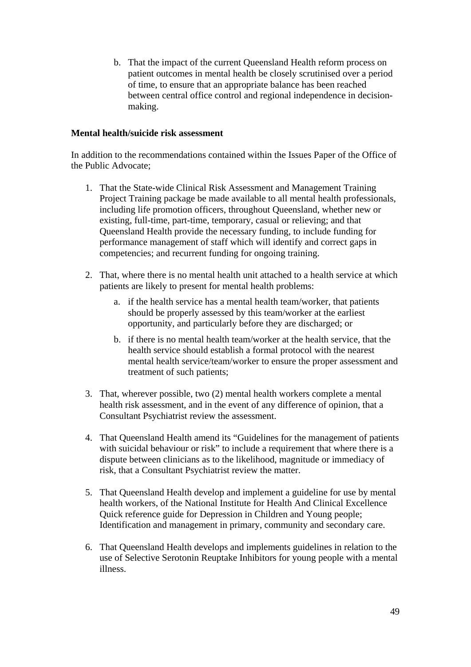b. That the impact of the current Queensland Health reform process on patient outcomes in mental health be closely scrutinised over a period of time, to ensure that an appropriate balance has been reached between central office control and regional independence in decisionmaking.

#### **Mental health/suicide risk assessment**

In addition to the recommendations contained within the Issues Paper of the Office of the Public Advocate;

- 1. That the State-wide Clinical Risk Assessment and Management Training Project Training package be made available to all mental health professionals, including life promotion officers, throughout Queensland, whether new or existing, full-time, part-time, temporary, casual or relieving; and that Queensland Health provide the necessary funding, to include funding for performance management of staff which will identify and correct gaps in competencies; and recurrent funding for ongoing training.
- 2. That, where there is no mental health unit attached to a health service at which patients are likely to present for mental health problems:
	- a. if the health service has a mental health team/worker, that patients should be properly assessed by this team/worker at the earliest opportunity, and particularly before they are discharged; or
	- b. if there is no mental health team/worker at the health service, that the health service should establish a formal protocol with the nearest mental health service/team/worker to ensure the proper assessment and treatment of such patients;
- 3. That, wherever possible, two (2) mental health workers complete a mental health risk assessment, and in the event of any difference of opinion, that a Consultant Psychiatrist review the assessment.
- 4. That Queensland Health amend its "Guidelines for the management of patients with suicidal behaviour or risk" to include a requirement that where there is a dispute between clinicians as to the likelihood, magnitude or immediacy of risk, that a Consultant Psychiatrist review the matter.
- 5. That Queensland Health develop and implement a guideline for use by mental health workers, of the National Institute for Health And Clinical Excellence Quick reference guide for Depression in Children and Young people; Identification and management in primary, community and secondary care.
- 6. That Queensland Health develops and implements guidelines in relation to the use of Selective Serotonin Reuptake Inhibitors for young people with a mental illness.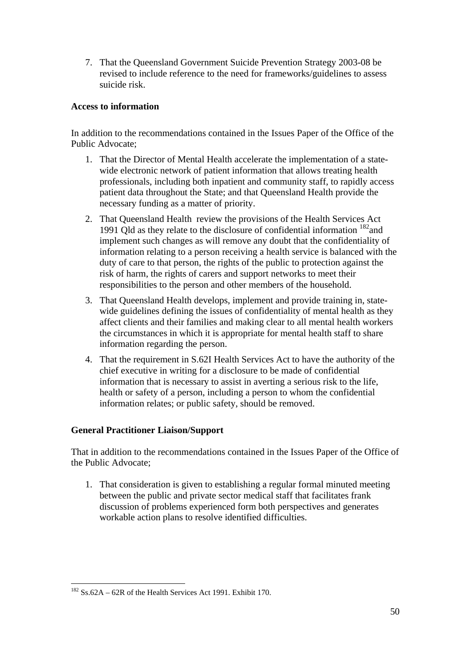7. That the Queensland Government Suicide Prevention Strategy 2003-08 be revised to include reference to the need for frameworks/guidelines to assess suicide risk.

#### **Access to information**

In addition to the recommendations contained in the Issues Paper of the Office of the Public Advocate;

- 1. That the Director of Mental Health accelerate the implementation of a statewide electronic network of patient information that allows treating health professionals, including both inpatient and community staff, to rapidly access patient data throughout the State; and that Queensland Health provide the necessary funding as a matter of priority.
- 2. That Queensland Health review the provisions of the Health Services Act 1991 Qld as they relate to the disclosure of confidential information  $^{182}$  and implement such changes as will remove any doubt that the confidentiality of information relating to a person receiving a health service is balanced with the duty of care to that person, the rights of the public to protection against the risk of harm, the rights of carers and support networks to meet their responsibilities to the person and other members of the household.
- 3. That Queensland Health develops, implement and provide training in, statewide guidelines defining the issues of confidentiality of mental health as they affect clients and their families and making clear to all mental health workers the circumstances in which it is appropriate for mental health staff to share information regarding the person.
- 4. That the requirement in S.62I Health Services Act to have the authority of the chief executive in writing for a disclosure to be made of confidential information that is necessary to assist in averting a serious risk to the life, health or safety of a person, including a person to whom the confidential information relates; or public safety, should be removed.

#### **General Practitioner Liaison/Support**

That in addition to the recommendations contained in the Issues Paper of the Office of the Public Advocate;

1. That consideration is given to establishing a regular formal minuted meeting between the public and private sector medical staff that facilitates frank discussion of problems experienced form both perspectives and generates workable action plans to resolve identified difficulties.

 $182$  Ss.62A – 62R of the Health Services Act 1991. Exhibit 170.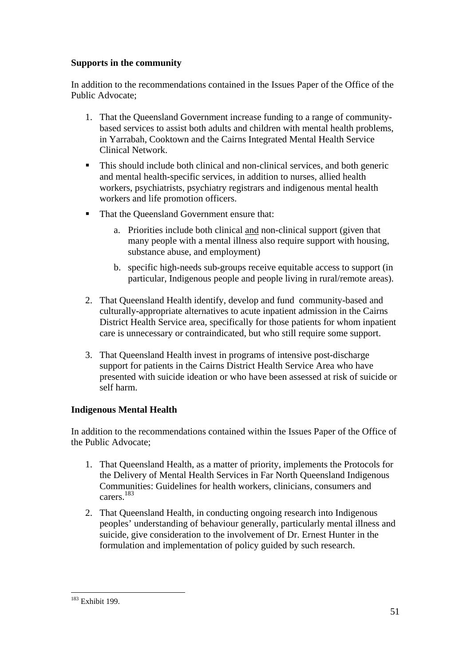## **Supports in the community**

In addition to the recommendations contained in the Issues Paper of the Office of the Public Advocate;

- 1. That the Queensland Government increase funding to a range of communitybased services to assist both adults and children with mental health problems, in Yarrabah, Cooktown and the Cairns Integrated Mental Health Service Clinical Network.
- This should include both clinical and non-clinical services, and both generic and mental health-specific services, in addition to nurses, allied health workers, psychiatrists, psychiatry registrars and indigenous mental health workers and life promotion officers.
- That the Queensland Government ensure that:
	- a. Priorities include both clinical and non-clinical support (given that many people with a mental illness also require support with housing, substance abuse, and employment)
	- b. specific high-needs sub-groups receive equitable access to support (in particular, Indigenous people and people living in rural/remote areas).
- 2. That Queensland Health identify, develop and fund community-based and culturally-appropriate alternatives to acute inpatient admission in the Cairns District Health Service area, specifically for those patients for whom inpatient care is unnecessary or contraindicated, but who still require some support.
- 3. That Queensland Health invest in programs of intensive post-discharge support for patients in the Cairns District Health Service Area who have presented with suicide ideation or who have been assessed at risk of suicide or self harm.

# **Indigenous Mental Health**

In addition to the recommendations contained within the Issues Paper of the Office of the Public Advocate;

- 1. That Queensland Health, as a matter of priority, implements the Protocols for the Delivery of Mental Health Services in Far North Queensland Indigenous Communities: Guidelines for health workers, clinicians, consumers and carers.183
- 2. That Queensland Health, in conducting ongoing research into Indigenous peoples' understanding of behaviour generally, particularly mental illness and suicide, give consideration to the involvement of Dr. Ernest Hunter in the formulation and implementation of policy guided by such research.

 $\overline{a}$ <sup>183</sup> Exhibit 199.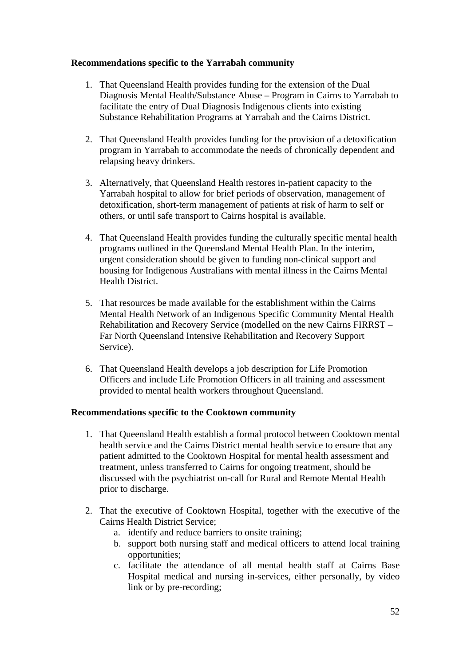#### **Recommendations specific to the Yarrabah community**

- 1. That Queensland Health provides funding for the extension of the Dual Diagnosis Mental Health/Substance Abuse – Program in Cairns to Yarrabah to facilitate the entry of Dual Diagnosis Indigenous clients into existing Substance Rehabilitation Programs at Yarrabah and the Cairns District.
- 2. That Queensland Health provides funding for the provision of a detoxification program in Yarrabah to accommodate the needs of chronically dependent and relapsing heavy drinkers.
- 3. Alternatively, that Queensland Health restores in-patient capacity to the Yarrabah hospital to allow for brief periods of observation, management of detoxification, short-term management of patients at risk of harm to self or others, or until safe transport to Cairns hospital is available.
- 4. That Queensland Health provides funding the culturally specific mental health programs outlined in the Queensland Mental Health Plan. In the interim, urgent consideration should be given to funding non-clinical support and housing for Indigenous Australians with mental illness in the Cairns Mental Health District.
- 5. That resources be made available for the establishment within the Cairns Mental Health Network of an Indigenous Specific Community Mental Health Rehabilitation and Recovery Service (modelled on the new Cairns FIRRST – Far North Queensland Intensive Rehabilitation and Recovery Support Service).
- 6. That Queensland Health develops a job description for Life Promotion Officers and include Life Promotion Officers in all training and assessment provided to mental health workers throughout Queensland.

#### **Recommendations specific to the Cooktown community**

- 1. That Queensland Health establish a formal protocol between Cooktown mental health service and the Cairns District mental health service to ensure that any patient admitted to the Cooktown Hospital for mental health assessment and treatment, unless transferred to Cairns for ongoing treatment, should be discussed with the psychiatrist on-call for Rural and Remote Mental Health prior to discharge.
- 2. That the executive of Cooktown Hospital, together with the executive of the Cairns Health District Service;
	- a. identify and reduce barriers to onsite training;
	- b. support both nursing staff and medical officers to attend local training opportunities;
	- c. facilitate the attendance of all mental health staff at Cairns Base Hospital medical and nursing in-services, either personally, by video link or by pre-recording;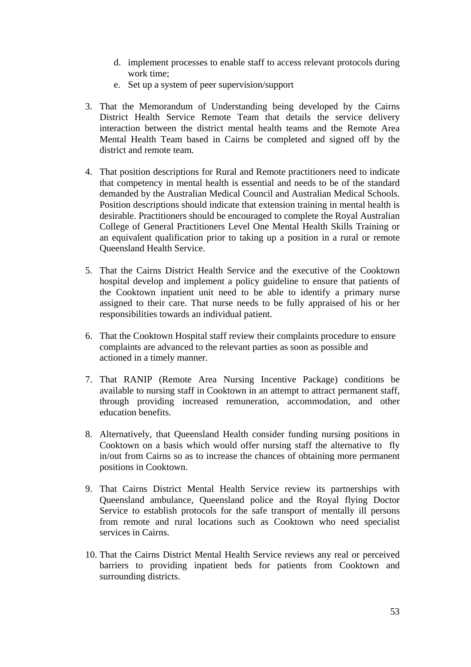- d. implement processes to enable staff to access relevant protocols during work time;
- e. Set up a system of peer supervision/support
- 3. That the Memorandum of Understanding being developed by the Cairns District Health Service Remote Team that details the service delivery interaction between the district mental health teams and the Remote Area Mental Health Team based in Cairns be completed and signed off by the district and remote team.
- 4. That position descriptions for Rural and Remote practitioners need to indicate that competency in mental health is essential and needs to be of the standard demanded by the Australian Medical Council and Australian Medical Schools. Position descriptions should indicate that extension training in mental health is desirable. Practitioners should be encouraged to complete the Royal Australian College of General Practitioners Level One Mental Health Skills Training or an equivalent qualification prior to taking up a position in a rural or remote Queensland Health Service.
- 5. That the Cairns District Health Service and the executive of the Cooktown hospital develop and implement a policy guideline to ensure that patients of the Cooktown inpatient unit need to be able to identify a primary nurse assigned to their care. That nurse needs to be fully appraised of his or her responsibilities towards an individual patient.
- 6. That the Cooktown Hospital staff review their complaints procedure to ensure complaints are advanced to the relevant parties as soon as possible and actioned in a timely manner.
- 7. That RANIP (Remote Area Nursing Incentive Package) conditions be available to nursing staff in Cooktown in an attempt to attract permanent staff, through providing increased remuneration, accommodation, and other education benefits.
- 8. Alternatively, that Queensland Health consider funding nursing positions in Cooktown on a basis which would offer nursing staff the alternative to fly in/out from Cairns so as to increase the chances of obtaining more permanent positions in Cooktown.
- 9. That Cairns District Mental Health Service review its partnerships with Queensland ambulance, Queensland police and the Royal flying Doctor Service to establish protocols for the safe transport of mentally ill persons from remote and rural locations such as Cooktown who need specialist services in Cairns.
- 10. That the Cairns District Mental Health Service reviews any real or perceived barriers to providing inpatient beds for patients from Cooktown and surrounding districts.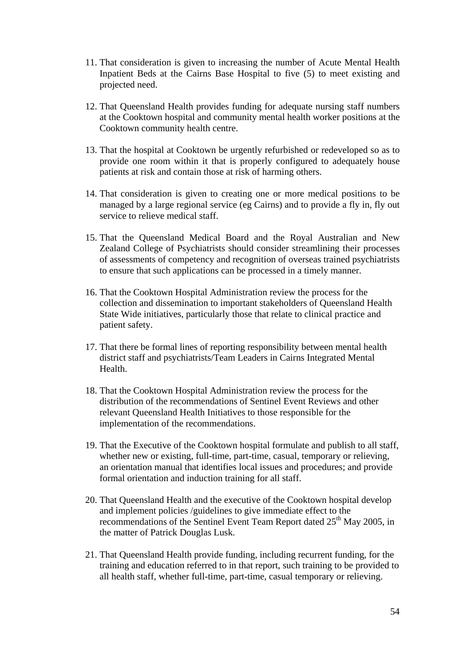- 11. That consideration is given to increasing the number of Acute Mental Health Inpatient Beds at the Cairns Base Hospital to five (5) to meet existing and projected need.
- 12. That Queensland Health provides funding for adequate nursing staff numbers at the Cooktown hospital and community mental health worker positions at the Cooktown community health centre.
- 13. That the hospital at Cooktown be urgently refurbished or redeveloped so as to provide one room within it that is properly configured to adequately house patients at risk and contain those at risk of harming others.
- 14. That consideration is given to creating one or more medical positions to be managed by a large regional service (eg Cairns) and to provide a fly in, fly out service to relieve medical staff.
- 15. That the Queensland Medical Board and the Royal Australian and New Zealand College of Psychiatrists should consider streamlining their processes of assessments of competency and recognition of overseas trained psychiatrists to ensure that such applications can be processed in a timely manner.
- 16. That the Cooktown Hospital Administration review the process for the collection and dissemination to important stakeholders of Queensland Health State Wide initiatives, particularly those that relate to clinical practice and patient safety.
- 17. That there be formal lines of reporting responsibility between mental health district staff and psychiatrists/Team Leaders in Cairns Integrated Mental Health.
- 18. That the Cooktown Hospital Administration review the process for the distribution of the recommendations of Sentinel Event Reviews and other relevant Queensland Health Initiatives to those responsible for the implementation of the recommendations.
- 19. That the Executive of the Cooktown hospital formulate and publish to all staff, whether new or existing, full-time, part-time, casual, temporary or relieving, an orientation manual that identifies local issues and procedures; and provide formal orientation and induction training for all staff.
- 20. That Queensland Health and the executive of the Cooktown hospital develop and implement policies /guidelines to give immediate effect to the recommendations of the Sentinel Event Team Report dated 25<sup>th</sup> May 2005, in the matter of Patrick Douglas Lusk.
- 21. That Queensland Health provide funding, including recurrent funding, for the training and education referred to in that report, such training to be provided to all health staff, whether full-time, part-time, casual temporary or relieving.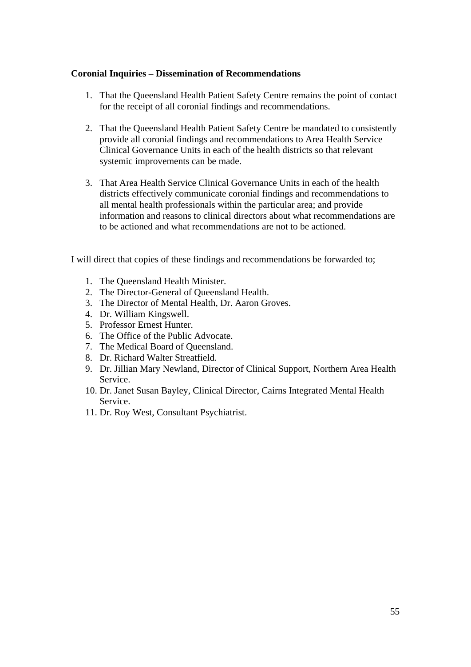#### **Coronial Inquiries – Dissemination of Recommendations**

- 1. That the Queensland Health Patient Safety Centre remains the point of contact for the receipt of all coronial findings and recommendations.
- 2. That the Queensland Health Patient Safety Centre be mandated to consistently provide all coronial findings and recommendations to Area Health Service Clinical Governance Units in each of the health districts so that relevant systemic improvements can be made.
- 3. That Area Health Service Clinical Governance Units in each of the health districts effectively communicate coronial findings and recommendations to all mental health professionals within the particular area; and provide information and reasons to clinical directors about what recommendations are to be actioned and what recommendations are not to be actioned.

I will direct that copies of these findings and recommendations be forwarded to;

- 1. The Queensland Health Minister.
- 2. The Director-General of Queensland Health.
- 3. The Director of Mental Health, Dr. Aaron Groves.
- 4. Dr. William Kingswell.
- 5. Professor Ernest Hunter.
- 6. The Office of the Public Advocate.
- 7. The Medical Board of Queensland.
- 8. Dr. Richard Walter Streatfield.
- 9. Dr. Jillian Mary Newland, Director of Clinical Support, Northern Area Health Service.
- 10. Dr. Janet Susan Bayley, Clinical Director, Cairns Integrated Mental Health Service.
- 11. Dr. Roy West, Consultant Psychiatrist.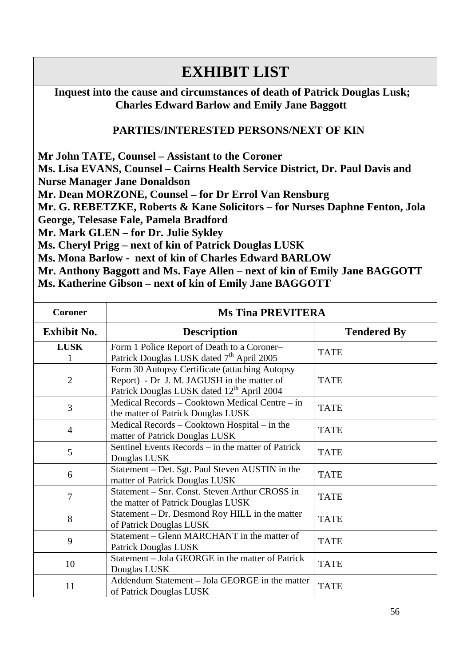# **EXHIBIT LIST**

 **Inquest into the cause and circumstances of death of Patrick Douglas Lusk; Charles Edward Barlow and Emily Jane Baggott** 

# **PARTIES/INTERESTED PERSONS/NEXT OF KIN**

**Mr John TATE, Counsel – Assistant to the Coroner Ms. Lisa EVANS, Counsel – Cairns Health Service District, Dr. Paul Davis and Nurse Manager Jane Donaldson Mr. Dean MORZONE, Counsel – for Dr Errol Van Rensburg Mr. G. REBETZKE, Roberts & Kane Solicitors – for Nurses Daphne Fenton, Jola George, Telesase Fale, Pamela Bradford Mr. Mark GLEN – for Dr. Julie Sykley Ms. Cheryl Prigg – next of kin of Patrick Douglas LUSK Ms. Mona Barlow - next of kin of Charles Edward BARLOW Mr. Anthony Baggott and Ms. Faye Allen – next of kin of Emily Jane BAGGOTT** 

|  |  |  | Ms. Katherine Gibson – next of kin of Emily Jane BAGGOTT |
|--|--|--|----------------------------------------------------------|
|--|--|--|----------------------------------------------------------|

| <b>Coroner</b>     | <b>Ms Tina PREVITERA</b>                                                                                                                               |                    |
|--------------------|--------------------------------------------------------------------------------------------------------------------------------------------------------|--------------------|
| <b>Exhibit No.</b> | <b>Description</b>                                                                                                                                     | <b>Tendered By</b> |
| <b>LUSK</b>        | Form 1 Police Report of Death to a Coroner-<br>Patrick Douglas LUSK dated 7 <sup>th</sup> April 2005                                                   | <b>TATE</b>        |
| $\overline{2}$     | Form 30 Autopsy Certificate (attaching Autopsy<br>Report) - Dr J. M. JAGUSH in the matter of<br>Patrick Douglas LUSK dated 12 <sup>th</sup> April 2004 | <b>TATE</b>        |
| 3                  | Medical Records – Cooktown Medical Centre – in<br>the matter of Patrick Douglas LUSK                                                                   | <b>TATE</b>        |
| $\overline{4}$     | Medical Records – Cooktown Hospital – in the<br>matter of Patrick Douglas LUSK                                                                         | <b>TATE</b>        |
| 5                  | Sentinel Events Records – in the matter of Patrick<br>Douglas LUSK                                                                                     | <b>TATE</b>        |
| 6                  | Statement - Det. Sgt. Paul Steven AUSTIN in the<br>matter of Patrick Douglas LUSK                                                                      | <b>TATE</b>        |
| 7                  | Statement - Snr. Const. Steven Arthur CROSS in<br>the matter of Patrick Douglas LUSK                                                                   | <b>TATE</b>        |
| 8                  | Statement – Dr. Desmond Roy HILL in the matter<br>of Patrick Douglas LUSK                                                                              | <b>TATE</b>        |
| 9                  | Statement – Glenn MARCHANT in the matter of<br>Patrick Douglas LUSK                                                                                    | <b>TATE</b>        |
| 10                 | Statement – Jola GEORGE in the matter of Patrick<br>Douglas LUSK                                                                                       | <b>TATE</b>        |
| 11                 | Addendum Statement - Jola GEORGE in the matter<br>of Patrick Douglas LUSK                                                                              | <b>TATE</b>        |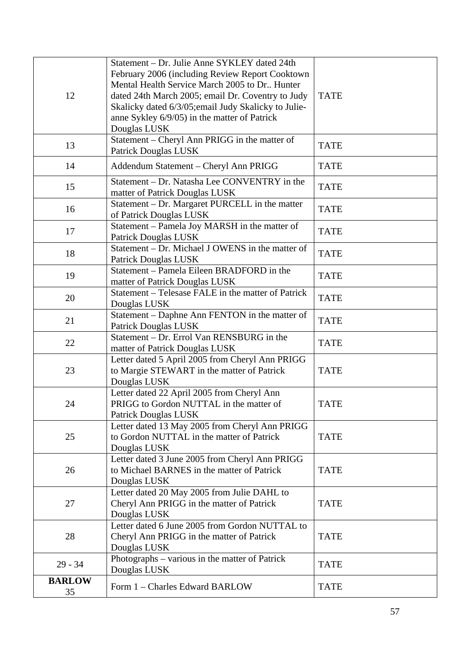| 12                  | Statement - Dr. Julie Anne SYKLEY dated 24th<br>February 2006 (including Review Report Cooktown<br>Mental Health Service March 2005 to Dr., Hunter<br>dated 24th March 2005; email Dr. Coventry to Judy<br>Skalicky dated 6/3/05; email Judy Skalicky to Julie-<br>anne Sykley 6/9/05) in the matter of Patrick<br>Douglas LUSK | <b>TATE</b> |
|---------------------|---------------------------------------------------------------------------------------------------------------------------------------------------------------------------------------------------------------------------------------------------------------------------------------------------------------------------------|-------------|
| 13                  | Statement - Cheryl Ann PRIGG in the matter of<br><b>Patrick Douglas LUSK</b>                                                                                                                                                                                                                                                    | <b>TATE</b> |
| 14                  | Addendum Statement - Cheryl Ann PRIGG                                                                                                                                                                                                                                                                                           | <b>TATE</b> |
| 15                  | Statement – Dr. Natasha Lee CONVENTRY in the<br>matter of Patrick Douglas LUSK                                                                                                                                                                                                                                                  | <b>TATE</b> |
| 16                  | Statement - Dr. Margaret PURCELL in the matter<br>of Patrick Douglas LUSK                                                                                                                                                                                                                                                       | <b>TATE</b> |
| 17                  | Statement - Pamela Joy MARSH in the matter of<br>Patrick Douglas LUSK                                                                                                                                                                                                                                                           | <b>TATE</b> |
| 18                  | Statement – Dr. Michael J OWENS in the matter of<br><b>Patrick Douglas LUSK</b>                                                                                                                                                                                                                                                 | <b>TATE</b> |
| 19                  | Statement – Pamela Eileen BRADFORD in the<br>matter of Patrick Douglas LUSK                                                                                                                                                                                                                                                     | <b>TATE</b> |
| 20                  | Statement – Telesase FALE in the matter of Patrick<br>Douglas LUSK                                                                                                                                                                                                                                                              | <b>TATE</b> |
| 21                  | Statement – Daphne Ann FENTON in the matter of<br><b>Patrick Douglas LUSK</b>                                                                                                                                                                                                                                                   | <b>TATE</b> |
| 22                  | Statement – Dr. Errol Van RENSBURG in the<br>matter of Patrick Douglas LUSK                                                                                                                                                                                                                                                     | <b>TATE</b> |
| 23                  | Letter dated 5 April 2005 from Cheryl Ann PRIGG<br>to Margie STEWART in the matter of Patrick<br>Douglas LUSK                                                                                                                                                                                                                   | <b>TATE</b> |
| 24                  | Letter dated 22 April 2005 from Cheryl Ann<br>PRIGG to Gordon NUTTAL in the matter of<br><b>Patrick Douglas LUSK</b>                                                                                                                                                                                                            | <b>TATE</b> |
| 25                  | Letter dated 13 May 2005 from Cheryl Ann PRIGG<br>to Gordon NUTTAL in the matter of Patrick<br>Douglas LUSK                                                                                                                                                                                                                     | <b>TATE</b> |
| 26                  | Letter dated 3 June 2005 from Cheryl Ann PRIGG<br>to Michael BARNES in the matter of Patrick<br>Douglas LUSK                                                                                                                                                                                                                    | <b>TATE</b> |
| 27                  | Letter dated 20 May 2005 from Julie DAHL to<br>Cheryl Ann PRIGG in the matter of Patrick<br>Douglas LUSK                                                                                                                                                                                                                        | <b>TATE</b> |
| 28                  | Letter dated 6 June 2005 from Gordon NUTTAL to<br>Cheryl Ann PRIGG in the matter of Patrick<br>Douglas LUSK                                                                                                                                                                                                                     | <b>TATE</b> |
| $29 - 34$           | Photographs – various in the matter of Patrick<br>Douglas LUSK                                                                                                                                                                                                                                                                  | <b>TATE</b> |
| <b>BARLOW</b><br>35 | Form 1 - Charles Edward BARLOW                                                                                                                                                                                                                                                                                                  | <b>TATE</b> |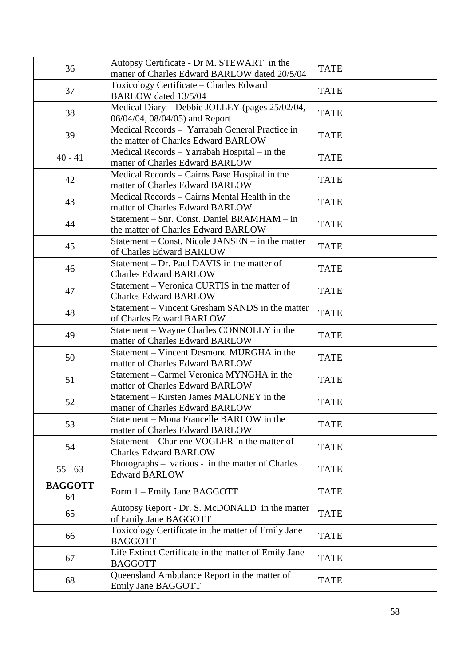|                | Autopsy Certificate - Dr M. STEWART in the                                   |             |
|----------------|------------------------------------------------------------------------------|-------------|
| 36             | matter of Charles Edward BARLOW dated 20/5/04                                | <b>TATE</b> |
|                | Toxicology Certificate - Charles Edward                                      |             |
| 37             | BARLOW dated 13/5/04                                                         | <b>TATE</b> |
| 38             | Medical Diary - Debbie JOLLEY (pages 25/02/04,                               | <b>TATE</b> |
|                | 06/04/04, 08/04/05) and Report                                               |             |
| 39             | Medical Records - Yarrabah General Practice in                               | <b>TATE</b> |
|                | the matter of Charles Edward BARLOW                                          |             |
| $40 - 41$      | Medical Records - Yarrabah Hospital - in the                                 | <b>TATE</b> |
|                | matter of Charles Edward BARLOW                                              |             |
| 42             | Medical Records - Cairns Base Hospital in the                                | <b>TATE</b> |
|                | matter of Charles Edward BARLOW                                              |             |
| 43             | Medical Records – Cairns Mental Health in the                                | <b>TATE</b> |
|                | matter of Charles Edward BARLOW                                              |             |
| 44             | Statement – Snr. Const. Daniel BRAMHAM – in                                  | <b>TATE</b> |
|                | the matter of Charles Edward BARLOW                                          |             |
| 45             | Statement – Const. Nicole JANSEN – in the matter                             | <b>TATE</b> |
|                | of Charles Edward BARLOW                                                     |             |
| 46             | Statement – Dr. Paul DAVIS in the matter of                                  | <b>TATE</b> |
|                | <b>Charles Edward BARLOW</b>                                                 |             |
| 47             | Statement – Veronica CURTIS in the matter of                                 | <b>TATE</b> |
|                | <b>Charles Edward BARLOW</b>                                                 |             |
| 48             | Statement – Vincent Gresham SANDS in the matter                              | <b>TATE</b> |
|                | of Charles Edward BARLOW                                                     |             |
| 49             | Statement - Wayne Charles CONNOLLY in the                                    | <b>TATE</b> |
|                | matter of Charles Edward BARLOW                                              |             |
| 50             | Statement – Vincent Desmond MURGHA in the                                    | <b>TATE</b> |
|                | matter of Charles Edward BARLOW<br>Statement – Carmel Veronica MYNGHA in the |             |
| 51             | matter of Charles Edward BARLOW                                              | <b>TATE</b> |
|                | Statement – Kirsten James MALONEY in the                                     |             |
| 52             | matter of Charles Edward BARLOW                                              | <b>TATE</b> |
|                | Statement - Mona Francelle BARLOW in the                                     |             |
| 53             | matter of Charles Edward BARLOW                                              | <b>TATE</b> |
|                | Statement – Charlene VOGLER in the matter of                                 |             |
| 54             | <b>Charles Edward BARLOW</b>                                                 | <b>TATE</b> |
|                | Photographs – various - in the matter of Charles                             |             |
| $55 - 63$      | <b>Edward BARLOW</b>                                                         | <b>TATE</b> |
| <b>BAGGOTT</b> |                                                                              |             |
| 64             | Form 1 – Emily Jane BAGGOTT                                                  | <b>TATE</b> |
|                | Autopsy Report - Dr. S. McDONALD in the matter                               |             |
| 65             | of Emily Jane BAGGOTT                                                        | <b>TATE</b> |
|                | Toxicology Certificate in the matter of Emily Jane                           | <b>TATE</b> |
| 66             | <b>BAGGOTT</b>                                                               |             |
| 67             | Life Extinct Certificate in the matter of Emily Jane                         | <b>TATE</b> |
|                | <b>BAGGOTT</b>                                                               |             |
| 68             | Queensland Ambulance Report in the matter of                                 | <b>TATE</b> |
|                | Emily Jane BAGGOTT                                                           |             |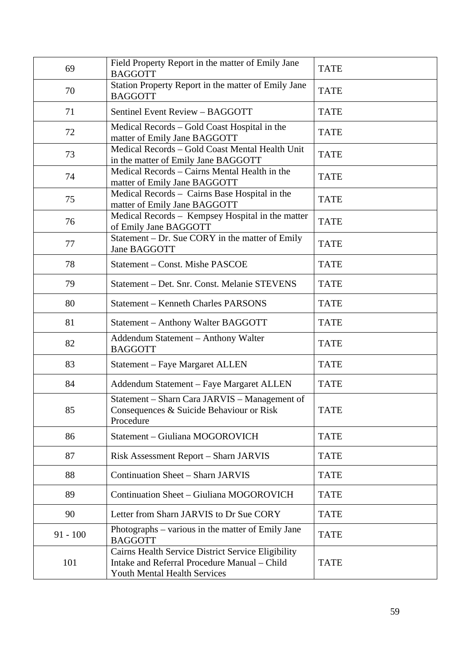| 69         | Field Property Report in the matter of Emily Jane<br><b>BAGGOTT</b>                                                                | <b>TATE</b> |
|------------|------------------------------------------------------------------------------------------------------------------------------------|-------------|
| 70         | Station Property Report in the matter of Emily Jane<br><b>BAGGOTT</b>                                                              | <b>TATE</b> |
| 71         | Sentinel Event Review - BAGGOTT                                                                                                    | <b>TATE</b> |
| 72         | Medical Records – Gold Coast Hospital in the<br>matter of Emily Jane BAGGOTT                                                       | <b>TATE</b> |
| 73         | Medical Records - Gold Coast Mental Health Unit<br>in the matter of Emily Jane BAGGOTT                                             | <b>TATE</b> |
| 74         | Medical Records – Cairns Mental Health in the<br>matter of Emily Jane BAGGOTT                                                      | <b>TATE</b> |
| 75         | Medical Records - Cairns Base Hospital in the<br>matter of Emily Jane BAGGOTT                                                      | <b>TATE</b> |
| 76         | Medical Records - Kempsey Hospital in the matter<br>of Emily Jane BAGGOTT                                                          | <b>TATE</b> |
| 77         | Statement - Dr. Sue CORY in the matter of Emily<br>Jane BAGGOTT                                                                    | <b>TATE</b> |
| 78         | Statement – Const. Mishe PASCOE                                                                                                    | <b>TATE</b> |
| 79         | Statement – Det. Snr. Const. Melanie STEVENS                                                                                       | <b>TATE</b> |
| 80         | <b>Statement - Kenneth Charles PARSONS</b>                                                                                         | <b>TATE</b> |
| 81         | Statement - Anthony Walter BAGGOTT                                                                                                 | <b>TATE</b> |
| 82         | Addendum Statement - Anthony Walter<br><b>BAGGOTT</b>                                                                              | <b>TATE</b> |
| 83         | Statement - Faye Margaret ALLEN                                                                                                    | <b>TATE</b> |
| 84         | Addendum Statement - Faye Margaret ALLEN                                                                                           | <b>TATE</b> |
| 85         | Statement - Sharn Cara JARVIS - Management of<br>Consequences & Suicide Behaviour or Risk<br>Procedure                             | <b>TATE</b> |
| 86         | Statement - Giuliana MOGOROVICH                                                                                                    | <b>TATE</b> |
| 87         | Risk Assessment Report - Sharn JARVIS                                                                                              | <b>TATE</b> |
| 88         | <b>Continuation Sheet - Sharn JARVIS</b>                                                                                           | <b>TATE</b> |
| 89         | Continuation Sheet - Giuliana MOGOROVICH                                                                                           | <b>TATE</b> |
| 90         | Letter from Sharn JARVIS to Dr Sue CORY                                                                                            | <b>TATE</b> |
| $91 - 100$ | Photographs – various in the matter of Emily Jane<br><b>BAGGOTT</b>                                                                | <b>TATE</b> |
| 101        | Cairns Health Service District Service Eligibility<br>Intake and Referral Procedure Manual - Child<br>Youth Mental Health Services | <b>TATE</b> |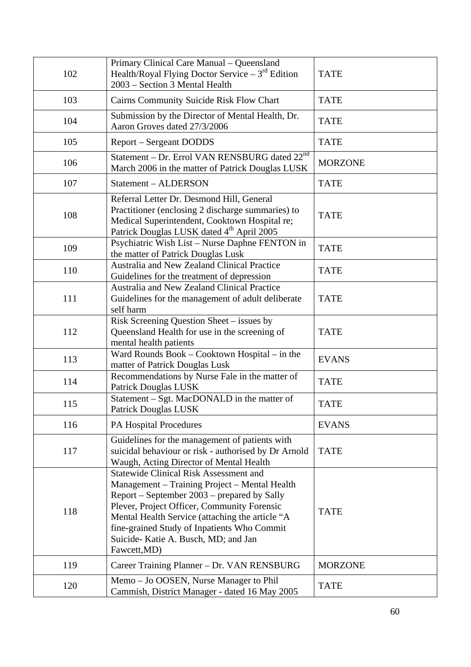| 102 | Primary Clinical Care Manual - Queensland<br>Health/Royal Flying Doctor Service $-3^{rd}$ Edition<br>2003 – Section 3 Mental Health                                                                                                                                                                                                                   | <b>TATE</b>    |
|-----|-------------------------------------------------------------------------------------------------------------------------------------------------------------------------------------------------------------------------------------------------------------------------------------------------------------------------------------------------------|----------------|
| 103 | Cairns Community Suicide Risk Flow Chart                                                                                                                                                                                                                                                                                                              | <b>TATE</b>    |
| 104 | Submission by the Director of Mental Health, Dr.<br>Aaron Groves dated 27/3/2006                                                                                                                                                                                                                                                                      | <b>TATE</b>    |
| 105 | <b>Report – Sergeant DODDS</b>                                                                                                                                                                                                                                                                                                                        | <b>TATE</b>    |
| 106 | Statement – Dr. Errol VAN RENSBURG dated $22^{nd}$<br>March 2006 in the matter of Patrick Douglas LUSK                                                                                                                                                                                                                                                | <b>MORZONE</b> |
| 107 | Statement - ALDERSON                                                                                                                                                                                                                                                                                                                                  | <b>TATE</b>    |
| 108 | Referral Letter Dr. Desmond Hill, General<br>Practitioner (enclosing 2 discharge summaries) to<br>Medical Superintendent, Cooktown Hospital re;<br>Patrick Douglas LUSK dated 4 <sup>th</sup> April 2005                                                                                                                                              | <b>TATE</b>    |
| 109 | Psychiatric Wish List - Nurse Daphne FENTON in<br>the matter of Patrick Douglas Lusk                                                                                                                                                                                                                                                                  | <b>TATE</b>    |
| 110 | Australia and New Zealand Clinical Practice<br>Guidelines for the treatment of depression                                                                                                                                                                                                                                                             | <b>TATE</b>    |
| 111 | Australia and New Zealand Clinical Practice<br>Guidelines for the management of adult deliberate<br>self harm                                                                                                                                                                                                                                         | <b>TATE</b>    |
| 112 | Risk Screening Question Sheet - issues by<br>Queensland Health for use in the screening of<br>mental health patients                                                                                                                                                                                                                                  | <b>TATE</b>    |
| 113 | Ward Rounds Book - Cooktown Hospital - in the<br>matter of Patrick Douglas Lusk                                                                                                                                                                                                                                                                       | <b>EVANS</b>   |
| 114 | Recommendations by Nurse Fale in the matter of<br><b>Patrick Douglas LUSK</b>                                                                                                                                                                                                                                                                         | <b>TATE</b>    |
| 115 | Statement – Sgt. MacDONALD in the matter of<br>Patrick Douglas LUSK                                                                                                                                                                                                                                                                                   | <b>TATE</b>    |
| 116 | <b>PA Hospital Procedures</b>                                                                                                                                                                                                                                                                                                                         | <b>EVANS</b>   |
| 117 | Guidelines for the management of patients with<br>suicidal behaviour or risk - authorised by Dr Arnold<br>Waugh, Acting Director of Mental Health                                                                                                                                                                                                     | <b>TATE</b>    |
| 118 | <b>Statewide Clinical Risk Assessment and</b><br>Management – Training Project – Mental Health<br>Report – September 2003 – prepared by Sally<br>Plever, Project Officer, Community Forensic<br>Mental Health Service (attaching the article "A<br>fine-grained Study of Inpatients Who Commit<br>Suicide-Katie A. Busch, MD; and Jan<br>Fawcett, MD) | <b>TATE</b>    |
| 119 | Career Training Planner - Dr. VAN RENSBURG                                                                                                                                                                                                                                                                                                            | <b>MORZONE</b> |
| 120 | Memo – Jo OOSEN, Nurse Manager to Phil<br>Cammish, District Manager - dated 16 May 2005                                                                                                                                                                                                                                                               | <b>TATE</b>    |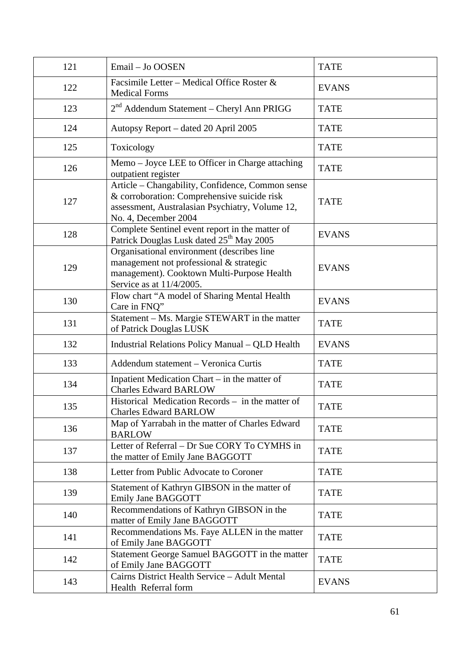| 121 | Email - Jo OOSEN                                                                                                                                                           | <b>TATE</b>  |
|-----|----------------------------------------------------------------------------------------------------------------------------------------------------------------------------|--------------|
| 122 | Facsimile Letter – Medical Office Roster &<br><b>Medical Forms</b>                                                                                                         | <b>EVANS</b> |
| 123 | $2nd$ Addendum Statement – Cheryl Ann PRIGG                                                                                                                                | <b>TATE</b>  |
| 124 | Autopsy Report - dated 20 April 2005                                                                                                                                       | <b>TATE</b>  |
| 125 | Toxicology                                                                                                                                                                 | <b>TATE</b>  |
| 126 | Memo – Joyce LEE to Officer in Charge attaching<br>outpatient register                                                                                                     | <b>TATE</b>  |
| 127 | Article - Changability, Confidence, Common sense<br>& corroboration: Comprehensive suicide risk<br>assessment, Australasian Psychiatry, Volume 12,<br>No. 4, December 2004 | <b>TATE</b>  |
| 128 | Complete Sentinel event report in the matter of<br>Patrick Douglas Lusk dated 25 <sup>th</sup> May 2005                                                                    | <b>EVANS</b> |
| 129 | Organisational environment (describes line<br>management not professional & strategic<br>management). Cooktown Multi-Purpose Health<br>Service as at 11/4/2005.            | <b>EVANS</b> |
| 130 | Flow chart "A model of Sharing Mental Health<br>Care in FNQ"                                                                                                               | <b>EVANS</b> |
| 131 | Statement - Ms. Margie STEWART in the matter<br>of Patrick Douglas LUSK                                                                                                    | <b>TATE</b>  |
| 132 | Industrial Relations Policy Manual - QLD Health                                                                                                                            | <b>EVANS</b> |
| 133 | Addendum statement - Veronica Curtis                                                                                                                                       | <b>TATE</b>  |
| 134 | Inpatient Medication Chart – in the matter of<br><b>Charles Edward BARLOW</b>                                                                                              | <b>TATE</b>  |
| 135 | Historical Medication Records – in the matter of<br><b>Charles Edward BARLOW</b>                                                                                           | <b>TATE</b>  |
| 136 | Map of Yarrabah in the matter of Charles Edward<br><b>BARLOW</b>                                                                                                           | <b>TATE</b>  |
| 137 | Letter of Referral - Dr Sue CORY To CYMHS in<br>the matter of Emily Jane BAGGOTT                                                                                           | <b>TATE</b>  |
| 138 | Letter from Public Advocate to Coroner                                                                                                                                     | <b>TATE</b>  |
| 139 | Statement of Kathryn GIBSON in the matter of<br>Emily Jane BAGGOTT                                                                                                         | <b>TATE</b>  |
| 140 | Recommendations of Kathryn GIBSON in the<br>matter of Emily Jane BAGGOTT                                                                                                   | <b>TATE</b>  |
| 141 | Recommendations Ms. Faye ALLEN in the matter<br>of Emily Jane BAGGOTT                                                                                                      | <b>TATE</b>  |
| 142 | Statement George Samuel BAGGOTT in the matter<br>of Emily Jane BAGGOTT                                                                                                     | <b>TATE</b>  |
| 143 | Cairns District Health Service - Adult Mental<br>Health Referral form                                                                                                      | <b>EVANS</b> |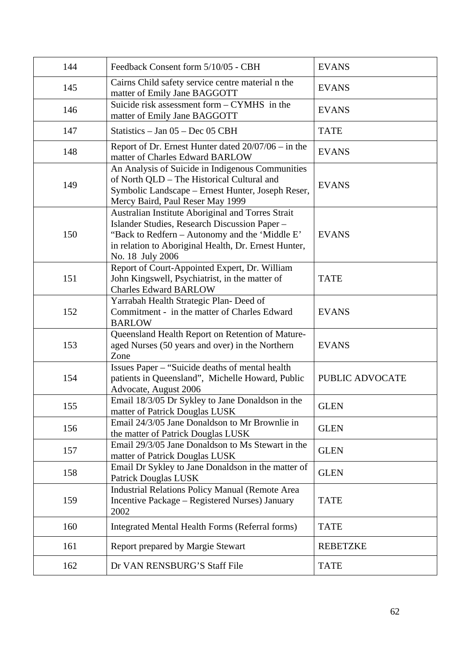| 144 | Feedback Consent form 5/10/05 - CBH                                                                                                                                                                                              | <b>EVANS</b>    |
|-----|----------------------------------------------------------------------------------------------------------------------------------------------------------------------------------------------------------------------------------|-----------------|
| 145 | Cairns Child safety service centre material n the<br>matter of Emily Jane BAGGOTT                                                                                                                                                | <b>EVANS</b>    |
| 146 | Suicide risk assessment form – CYMHS in the<br>matter of Emily Jane BAGGOTT                                                                                                                                                      | <b>EVANS</b>    |
| 147 | Statistics $-$ Jan 05 $-$ Dec 05 CBH                                                                                                                                                                                             | <b>TATE</b>     |
| 148 | Report of Dr. Ernest Hunter dated $20/07/06 - in$ the<br>matter of Charles Edward BARLOW                                                                                                                                         | <b>EVANS</b>    |
| 149 | An Analysis of Suicide in Indigenous Communities<br>of North QLD - The Historical Cultural and<br>Symbolic Landscape – Ernest Hunter, Joseph Reser,<br>Mercy Baird, Paul Reser May 1999                                          | <b>EVANS</b>    |
| 150 | Australian Institute Aboriginal and Torres Strait<br>Islander Studies, Research Discussion Paper -<br>"Back to Redfern - Autonomy and the 'Middle E'<br>in relation to Aboriginal Health, Dr. Ernest Hunter,<br>No. 18 July 2006 | <b>EVANS</b>    |
| 151 | Report of Court-Appointed Expert, Dr. William<br>John Kingswell, Psychiatrist, in the matter of<br><b>Charles Edward BARLOW</b>                                                                                                  | <b>TATE</b>     |
| 152 | Yarrabah Health Strategic Plan- Deed of<br>Commitment - in the matter of Charles Edward<br><b>BARLOW</b>                                                                                                                         | <b>EVANS</b>    |
| 153 | Queensland Health Report on Retention of Mature-<br>aged Nurses (50 years and over) in the Northern<br>Zone                                                                                                                      | <b>EVANS</b>    |
| 154 | Issues Paper – "Suicide deaths of mental health<br>patients in Queensland", Michelle Howard, Public<br>Advocate, August 2006                                                                                                     | PUBLIC ADVOCATE |
| 155 | Email 18/3/05 Dr Sykley to Jane Donaldson in the<br>matter of Patrick Douglas LUSK                                                                                                                                               | <b>GLEN</b>     |
| 156 | Email 24/3/05 Jane Donaldson to Mr Brownlie in<br>the matter of Patrick Douglas LUSK                                                                                                                                             | <b>GLEN</b>     |
| 157 | Email 29/3/05 Jane Donaldson to Ms Stewart in the<br>matter of Patrick Douglas LUSK                                                                                                                                              | <b>GLEN</b>     |
| 158 | Email Dr Sykley to Jane Donaldson in the matter of<br><b>Patrick Douglas LUSK</b>                                                                                                                                                | <b>GLEN</b>     |
| 159 | <b>Industrial Relations Policy Manual (Remote Area</b><br>Incentive Package - Registered Nurses) January<br>2002                                                                                                                 | <b>TATE</b>     |
| 160 | <b>Integrated Mental Health Forms (Referral forms)</b>                                                                                                                                                                           | <b>TATE</b>     |
| 161 | Report prepared by Margie Stewart                                                                                                                                                                                                | <b>REBETZKE</b> |
| 162 | Dr VAN RENSBURG'S Staff File                                                                                                                                                                                                     | <b>TATE</b>     |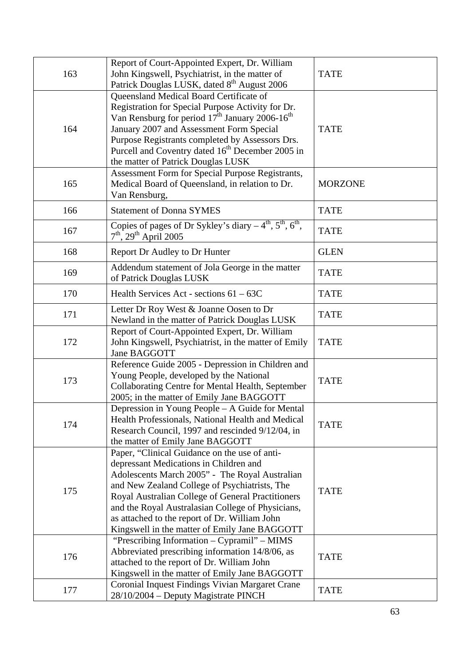|     | Report of Court-Appointed Expert, Dr. William                                                                                                                                                                                                                                                                                                                                                          |                |
|-----|--------------------------------------------------------------------------------------------------------------------------------------------------------------------------------------------------------------------------------------------------------------------------------------------------------------------------------------------------------------------------------------------------------|----------------|
| 163 | John Kingswell, Psychiatrist, in the matter of                                                                                                                                                                                                                                                                                                                                                         | <b>TATE</b>    |
|     | Patrick Douglas LUSK, dated 8 <sup>th</sup> August 2006                                                                                                                                                                                                                                                                                                                                                |                |
| 164 | Queensland Medical Board Certificate of<br>Registration for Special Purpose Activity for Dr.<br>Van Rensburg for period $17th$ January 2006-16 <sup>th</sup><br>January 2007 and Assessment Form Special<br>Purpose Registrants completed by Assessors Drs.<br>Purcell and Coventry dated 16 <sup>th</sup> December 2005 in<br>the matter of Patrick Douglas LUSK                                      | <b>TATE</b>    |
| 165 | Assessment Form for Special Purpose Registrants,<br>Medical Board of Queensland, in relation to Dr.<br>Van Rensburg,                                                                                                                                                                                                                                                                                   | <b>MORZONE</b> |
| 166 | <b>Statement of Donna SYMES</b>                                                                                                                                                                                                                                                                                                                                                                        | <b>TATE</b>    |
| 167 | Copies of pages of Dr Sykley's diary $-4^{\text{th}}$ , $5^{\text{th}}$ , $6^{\text{th}}$ ,<br>$7th$ , 29 <sup>th</sup> April 2005                                                                                                                                                                                                                                                                     | <b>TATE</b>    |
| 168 | <b>Report Dr Audley to Dr Hunter</b>                                                                                                                                                                                                                                                                                                                                                                   | <b>GLEN</b>    |
| 169 | Addendum statement of Jola George in the matter<br>of Patrick Douglas LUSK                                                                                                                                                                                                                                                                                                                             | <b>TATE</b>    |
| 170 | Health Services Act - sections $61 - 63C$                                                                                                                                                                                                                                                                                                                                                              | <b>TATE</b>    |
| 171 | Letter Dr Roy West & Joanne Oosen to Dr<br>Newland in the matter of Patrick Douglas LUSK                                                                                                                                                                                                                                                                                                               | <b>TATE</b>    |
| 172 | Report of Court-Appointed Expert, Dr. William<br>John Kingswell, Psychiatrist, in the matter of Emily<br>Jane BAGGOTT                                                                                                                                                                                                                                                                                  | <b>TATE</b>    |
| 173 | Reference Guide 2005 - Depression in Children and<br>Young People, developed by the National<br>Collaborating Centre for Mental Health, September<br>2005; in the matter of Emily Jane BAGGOTT                                                                                                                                                                                                         | <b>TATE</b>    |
| 174 | Depression in Young People – A Guide for Mental<br>Health Professionals, National Health and Medical<br>Research Council, 1997 and rescinded 9/12/04, in<br>the matter of Emily Jane BAGGOTT                                                                                                                                                                                                           | <b>TATE</b>    |
| 175 | Paper, "Clinical Guidance on the use of anti-<br>depressant Medications in Children and<br>Adolescents March 2005" - The Royal Australian<br>and New Zealand College of Psychiatrists, The<br>Royal Australian College of General Practitioners<br>and the Royal Australasian College of Physicians,<br>as attached to the report of Dr. William John<br>Kingswell in the matter of Emily Jane BAGGOTT | <b>TATE</b>    |
| 176 | "Prescribing Information - Cypramil" - MIMS<br>Abbreviated prescribing information 14/8/06, as<br>attached to the report of Dr. William John<br>Kingswell in the matter of Emily Jane BAGGOTT                                                                                                                                                                                                          | <b>TATE</b>    |
| 177 | Coronial Inquest Findings Vivian Margaret Crane<br>28/10/2004 - Deputy Magistrate PINCH                                                                                                                                                                                                                                                                                                                | <b>TATE</b>    |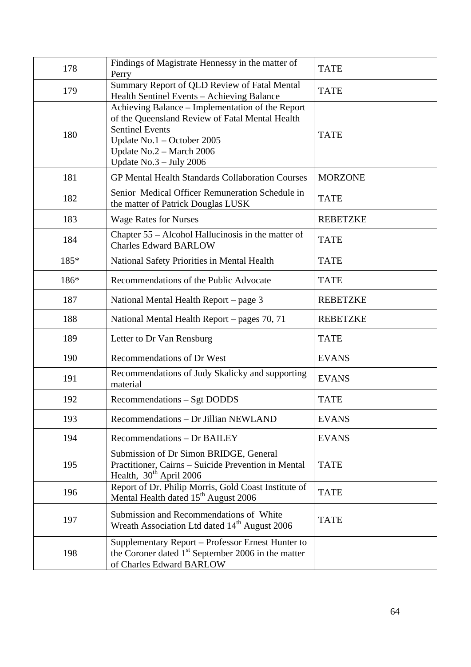| 178  | Findings of Magistrate Hennessy in the matter of<br>Perry                                                                                                                                                            | <b>TATE</b>     |
|------|----------------------------------------------------------------------------------------------------------------------------------------------------------------------------------------------------------------------|-----------------|
| 179  | Summary Report of QLD Review of Fatal Mental<br>Health Sentinel Events - Achieving Balance                                                                                                                           | <b>TATE</b>     |
| 180  | Achieving Balance – Implementation of the Report<br>of the Queensland Review of Fatal Mental Health<br><b>Sentinel Events</b><br>Update No.1 - October 2005<br>Update No.2 - March 2006<br>Update $No.3 - July 2006$ | <b>TATE</b>     |
| 181  | <b>GP Mental Health Standards Collaboration Courses</b>                                                                                                                                                              | <b>MORZONE</b>  |
| 182  | Senior Medical Officer Remuneration Schedule in<br>the matter of Patrick Douglas LUSK                                                                                                                                | <b>TATE</b>     |
| 183  | <b>Wage Rates for Nurses</b>                                                                                                                                                                                         | <b>REBETZKE</b> |
| 184  | Chapter 55 – Alcohol Hallucinosis in the matter of<br><b>Charles Edward BARLOW</b>                                                                                                                                   | <b>TATE</b>     |
| 185* | National Safety Priorities in Mental Health                                                                                                                                                                          | <b>TATE</b>     |
| 186* | Recommendations of the Public Advocate                                                                                                                                                                               | <b>TATE</b>     |
| 187  | National Mental Health Report – page 3                                                                                                                                                                               | <b>REBETZKE</b> |
| 188  | National Mental Health Report – pages 70, 71                                                                                                                                                                         | <b>REBETZKE</b> |
| 189  | Letter to Dr Van Rensburg                                                                                                                                                                                            | <b>TATE</b>     |
| 190  | Recommendations of Dr West                                                                                                                                                                                           | <b>EVANS</b>    |
| 191  | Recommendations of Judy Skalicky and supporting<br>material                                                                                                                                                          | <b>EVANS</b>    |
| 192  | Recommendations - Sgt DODDS                                                                                                                                                                                          | <b>TATE</b>     |
| 193  | Recommendations - Dr Jillian NEWLAND                                                                                                                                                                                 | <b>EVANS</b>    |
| 194  | <b>Recommendations - Dr BAILEY</b>                                                                                                                                                                                   | <b>EVANS</b>    |
| 195  | Submission of Dr Simon BRIDGE, General<br>Practitioner, Cairns - Suicide Prevention in Mental<br>Health, $30th$ April 2006                                                                                           | <b>TATE</b>     |
| 196  | Report of Dr. Philip Morris, Gold Coast Institute of<br>Mental Health dated 15 <sup>th</sup> August 2006                                                                                                             | <b>TATE</b>     |
| 197  | Submission and Recommendations of White<br>Wreath Association Ltd dated 14 <sup>th</sup> August 2006                                                                                                                 | <b>TATE</b>     |
| 198  | Supplementary Report - Professor Ernest Hunter to<br>the Coroner dated $1st$ September 2006 in the matter<br>of Charles Edward BARLOW                                                                                |                 |